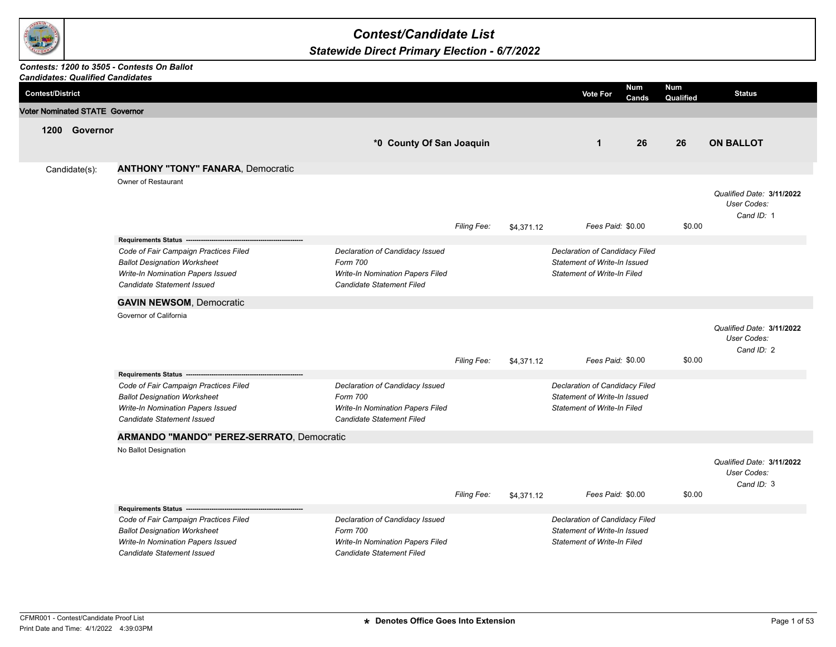

## *Contest/Candidate List*

## *Statewide Direct Primary Election - 6/7/2022*

## *Contests: 1200 to 3505 - Contests On Ballot*

|                         | <b>Candidates: Qualified Candidates</b> |                                                                                                                                                 |                                                                                                              |             |            |                                                                                                      |                     |                  |                                                        |
|-------------------------|-----------------------------------------|-------------------------------------------------------------------------------------------------------------------------------------------------|--------------------------------------------------------------------------------------------------------------|-------------|------------|------------------------------------------------------------------------------------------------------|---------------------|------------------|--------------------------------------------------------|
| <b>Contest/District</b> |                                         |                                                                                                                                                 |                                                                                                              |             |            | <b>Vote For</b>                                                                                      | <b>Num</b><br>Cands | Num<br>Qualified | <b>Status</b>                                          |
|                         | <b>Voter Nominated STATE Governor</b>   |                                                                                                                                                 |                                                                                                              |             |            |                                                                                                      |                     |                  |                                                        |
|                         | 1200 Governor                           |                                                                                                                                                 |                                                                                                              |             |            |                                                                                                      |                     |                  |                                                        |
|                         |                                         |                                                                                                                                                 | *0 County Of San Joaquin                                                                                     |             |            | $\mathbf{1}$                                                                                         | 26                  | 26               | <b>ON BALLOT</b>                                       |
|                         |                                         | <b>ANTHONY "TONY" FANARA, Democratic</b>                                                                                                        |                                                                                                              |             |            |                                                                                                      |                     |                  |                                                        |
|                         | Candidate(s):                           | Owner of Restaurant                                                                                                                             |                                                                                                              |             |            |                                                                                                      |                     |                  |                                                        |
|                         |                                         |                                                                                                                                                 |                                                                                                              | Filing Fee: | \$4,371.12 | Fees Paid: \$0.00                                                                                    |                     | \$0.00           | Qualified Date: 3/11/2022<br>User Codes:<br>Cand ID: 1 |
|                         |                                         | Requirements Status -------------------                                                                                                         |                                                                                                              |             |            |                                                                                                      |                     |                  |                                                        |
|                         |                                         | Code of Fair Campaign Practices Filed<br><b>Ballot Designation Worksheet</b><br>Write-In Nomination Papers Issued<br>Candidate Statement Issued | Declaration of Candidacy Issued<br>Form 700<br>Write-In Nomination Papers Filed<br>Candidate Statement Filed |             |            | Declaration of Candidacy Filed<br>Statement of Write-In Issued<br><b>Statement of Write-In Filed</b> |                     |                  |                                                        |
|                         |                                         | <b>GAVIN NEWSOM, Democratic</b>                                                                                                                 |                                                                                                              |             |            |                                                                                                      |                     |                  |                                                        |
|                         |                                         | Governor of California                                                                                                                          |                                                                                                              |             |            |                                                                                                      |                     |                  |                                                        |
|                         |                                         |                                                                                                                                                 |                                                                                                              | Filing Fee: | \$4,371.12 | Fees Paid: \$0.00                                                                                    |                     | \$0.00           | Qualified Date: 3/11/2022<br>User Codes:<br>Cand ID: 2 |
|                         |                                         |                                                                                                                                                 |                                                                                                              |             |            |                                                                                                      |                     |                  |                                                        |
|                         |                                         | Code of Fair Campaign Practices Filed<br><b>Ballot Designation Worksheet</b><br>Write-In Nomination Papers Issued<br>Candidate Statement Issued | Declaration of Candidacy Issued<br>Form 700<br>Write-In Nomination Papers Filed<br>Candidate Statement Filed |             |            | Declaration of Candidacy Filed<br>Statement of Write-In Issued<br>Statement of Write-In Filed        |                     |                  |                                                        |
|                         |                                         | <b>ARMANDO "MANDO" PEREZ-SERRATO, Democratic</b>                                                                                                |                                                                                                              |             |            |                                                                                                      |                     |                  |                                                        |
|                         |                                         | No Ballot Designation                                                                                                                           |                                                                                                              | Filing Fee: | \$4,371.12 | Fees Paid: \$0.00                                                                                    |                     | \$0.00           | Qualified Date: 3/11/2022<br>User Codes:<br>Cand ID: 3 |
|                         |                                         | Requirements Status ---                                                                                                                         |                                                                                                              |             |            |                                                                                                      |                     |                  |                                                        |
|                         |                                         | Code of Fair Campaign Practices Filed<br><b>Ballot Designation Worksheet</b><br>Write-In Nomination Papers Issued<br>Candidate Statement Issued | Declaration of Candidacy Issued<br>Form 700<br>Write-In Nomination Papers Filed<br>Candidate Statement Filed |             |            | Declaration of Candidacy Filed<br>Statement of Write-In Issued<br><b>Statement of Write-In Filed</b> |                     |                  |                                                        |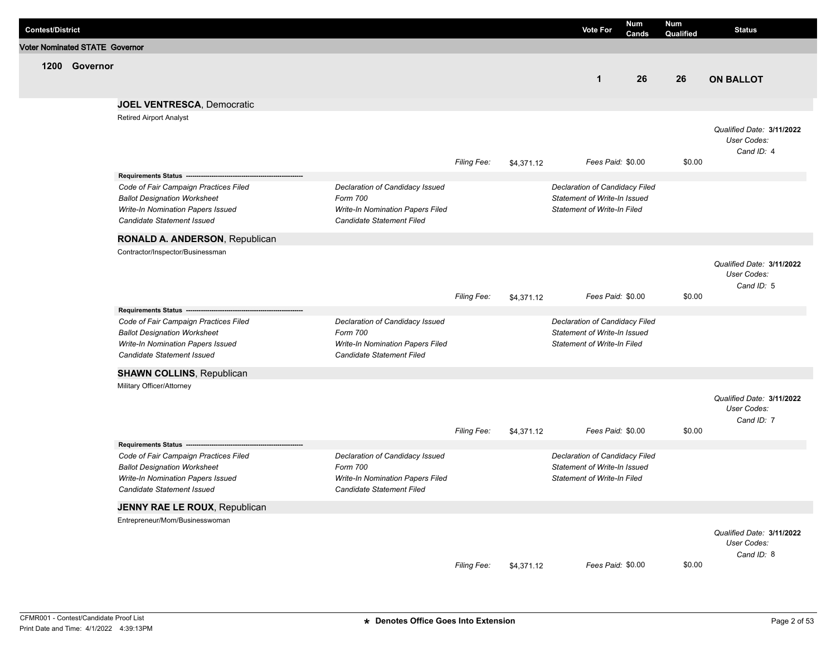| <b>Contest/District</b> |                                       |                                                                                                                                                 |                                                                                                              |                    |            | <b>Vote For</b>                                                                                      | <b>Num</b><br>Cands | <b>Num</b><br>Qualified | <b>Status</b>                                          |
|-------------------------|---------------------------------------|-------------------------------------------------------------------------------------------------------------------------------------------------|--------------------------------------------------------------------------------------------------------------|--------------------|------------|------------------------------------------------------------------------------------------------------|---------------------|-------------------------|--------------------------------------------------------|
|                         | <b>Voter Nominated STATE Governor</b> |                                                                                                                                                 |                                                                                                              |                    |            |                                                                                                      |                     |                         |                                                        |
|                         | 1200 Governor                         |                                                                                                                                                 |                                                                                                              |                    |            | $\mathbf{1}$                                                                                         | 26                  | 26                      | <b>ON BALLOT</b>                                       |
|                         |                                       | <b>JOEL VENTRESCA, Democratic</b>                                                                                                               |                                                                                                              |                    |            |                                                                                                      |                     |                         |                                                        |
|                         |                                       | <b>Retired Airport Analyst</b>                                                                                                                  |                                                                                                              | <b>Filing Fee:</b> | \$4,371.12 | Fees Paid: \$0.00                                                                                    |                     | \$0.00                  | Qualified Date: 3/11/2022<br>User Codes:<br>Cand ID: 4 |
|                         |                                       | Requirements Status ---                                                                                                                         |                                                                                                              |                    |            |                                                                                                      |                     |                         |                                                        |
|                         |                                       | Code of Fair Campaign Practices Filed<br><b>Ballot Designation Worksheet</b><br>Write-In Nomination Papers Issued<br>Candidate Statement Issued | Declaration of Candidacy Issued<br>Form 700<br>Write-In Nomination Papers Filed<br>Candidate Statement Filed |                    |            | Declaration of Candidacy Filed<br>Statement of Write-In Issued<br>Statement of Write-In Filed        |                     |                         |                                                        |
|                         |                                       | RONALD A. ANDERSON, Republican                                                                                                                  |                                                                                                              |                    |            |                                                                                                      |                     |                         |                                                        |
|                         |                                       | Contractor/Inspector/Businessman                                                                                                                |                                                                                                              | <b>Filing Fee:</b> | \$4,371.12 | Fees Paid: \$0.00                                                                                    |                     | \$0.00                  | Qualified Date: 3/11/2022<br>User Codes:<br>Cand ID: 5 |
|                         |                                       | Requirements Status -----<br>Code of Fair Campaign Practices Filed<br><b>Ballot Designation Worksheet</b><br>Write-In Nomination Papers Issued  | Declaration of Candidacy Issued<br>Form 700<br>Write-In Nomination Papers Filed                              |                    |            | Declaration of Candidacy Filed<br>Statement of Write-In Issued<br><b>Statement of Write-In Filed</b> |                     |                         |                                                        |
|                         |                                       | Candidate Statement Issued                                                                                                                      | Candidate Statement Filed                                                                                    |                    |            |                                                                                                      |                     |                         |                                                        |
|                         |                                       | <b>SHAWN COLLINS, Republican</b>                                                                                                                |                                                                                                              |                    |            |                                                                                                      |                     |                         |                                                        |
|                         |                                       | Military Officer/Attorney                                                                                                                       |                                                                                                              | <b>Filing Fee:</b> | \$4,371.12 | Fees Paid: \$0.00                                                                                    |                     | \$0.00                  | Qualified Date: 3/11/2022<br>User Codes:<br>Cand ID: 7 |
|                         |                                       | Requirements Status --<br>Code of Fair Campaign Practices Filed                                                                                 | Declaration of Candidacy Issued                                                                              |                    |            | Declaration of Candidacy Filed                                                                       |                     |                         |                                                        |
|                         |                                       | <b>Ballot Designation Worksheet</b><br>Write-In Nomination Papers Issued<br>Candidate Statement Issued                                          | Form 700<br><b>Write-In Nomination Papers Filed</b><br>Candidate Statement Filed                             |                    |            | Statement of Write-In Issued<br><b>Statement of Write-In Filed</b>                                   |                     |                         |                                                        |
|                         |                                       | JENNY RAE LE ROUX, Republican                                                                                                                   |                                                                                                              |                    |            |                                                                                                      |                     |                         |                                                        |
|                         |                                       | Entrepreneur/Mom/Businesswoman                                                                                                                  |                                                                                                              | Filing Fee:        | \$4,371.12 | Fees Paid: \$0.00                                                                                    |                     | \$0.00                  | Qualified Date: 3/11/2022<br>User Codes:<br>Cand ID: 8 |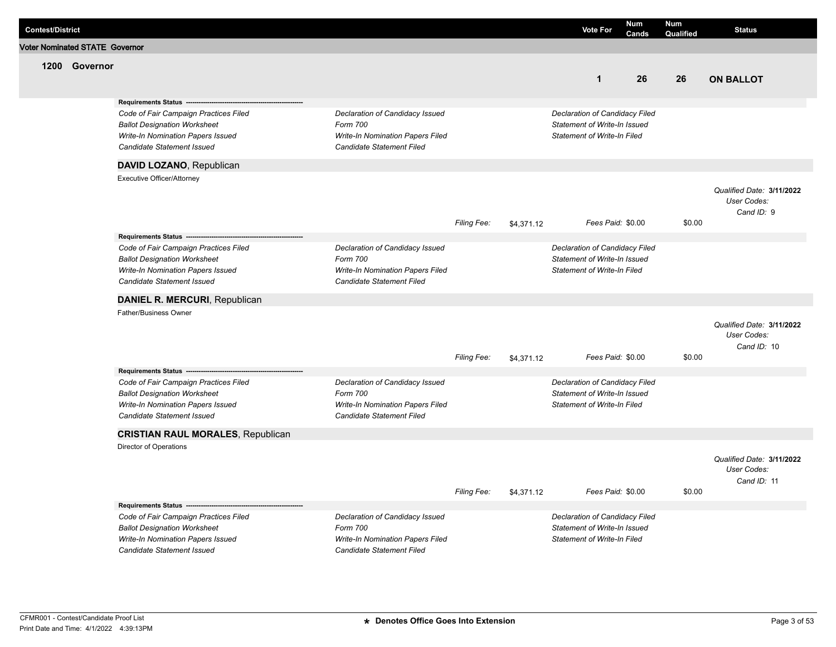| <b>Contest/District</b> |                                       |                                                                                                                                                                                                      |                                                                                                                     |             |            | <b>Vote For</b>                                                                                             | <b>Num</b><br>Cands | <b>Num</b><br>Qualified | <b>Status</b>                                           |
|-------------------------|---------------------------------------|------------------------------------------------------------------------------------------------------------------------------------------------------------------------------------------------------|---------------------------------------------------------------------------------------------------------------------|-------------|------------|-------------------------------------------------------------------------------------------------------------|---------------------|-------------------------|---------------------------------------------------------|
|                         | <b>Voter Nominated STATE Governor</b> |                                                                                                                                                                                                      |                                                                                                                     |             |            |                                                                                                             |                     |                         |                                                         |
|                         | 1200 Governor                         |                                                                                                                                                                                                      |                                                                                                                     |             |            |                                                                                                             |                     |                         |                                                         |
|                         |                                       |                                                                                                                                                                                                      |                                                                                                                     |             |            | $\mathbf{1}$                                                                                                | 26                  | 26                      | <b>ON BALLOT</b>                                        |
|                         |                                       | Requirements Status ---                                                                                                                                                                              |                                                                                                                     |             |            |                                                                                                             |                     |                         |                                                         |
|                         |                                       | Code of Fair Campaign Practices Filed<br><b>Ballot Designation Worksheet</b><br>Write-In Nomination Papers Issued<br>Candidate Statement Issued                                                      | Declaration of Candidacy Issued<br>Form 700<br>Write-In Nomination Papers Filed<br>Candidate Statement Filed        |             |            | Declaration of Candidacy Filed<br>Statement of Write-In Issued<br><b>Statement of Write-In Filed</b>        |                     |                         |                                                         |
|                         |                                       | DAVID LOZANO, Republican                                                                                                                                                                             |                                                                                                                     |             |            |                                                                                                             |                     |                         |                                                         |
|                         |                                       | Executive Officer/Attorney                                                                                                                                                                           |                                                                                                                     |             |            |                                                                                                             |                     |                         |                                                         |
|                         |                                       |                                                                                                                                                                                                      |                                                                                                                     | Filing Fee: | \$4,371.12 | Fees Paid: \$0.00                                                                                           |                     | \$0.00                  | Qualified Date: 3/11/2022<br>User Codes:<br>Cand ID: 9  |
|                         |                                       | Requirements Status --                                                                                                                                                                               |                                                                                                                     |             |            |                                                                                                             |                     |                         |                                                         |
|                         |                                       | Code of Fair Campaign Practices Filed<br><b>Ballot Designation Worksheet</b><br>Write-In Nomination Papers Issued<br>Candidate Statement Issued                                                      | Declaration of Candidacy Issued<br>Form 700<br>Write-In Nomination Papers Filed<br><b>Candidate Statement Filed</b> |             |            | Declaration of Candidacy Filed<br>Statement of Write-In Issued<br><b>Statement of Write-In Filed</b>        |                     |                         |                                                         |
|                         |                                       | DANIEL R. MERCURI, Republican                                                                                                                                                                        |                                                                                                                     |             |            |                                                                                                             |                     |                         |                                                         |
|                         |                                       | <b>Father/Business Owner</b>                                                                                                                                                                         |                                                                                                                     | Filing Fee: | \$4,371.12 | Fees Paid: \$0.00                                                                                           |                     | \$0.00                  | Qualified Date: 3/11/2022<br>User Codes:<br>Cand ID: 10 |
|                         |                                       | Requirements Status --                                                                                                                                                                               |                                                                                                                     |             |            |                                                                                                             |                     |                         |                                                         |
|                         |                                       | Code of Fair Campaign Practices Filed<br><b>Ballot Designation Worksheet</b><br>Write-In Nomination Papers Issued<br>Candidate Statement Issued                                                      | Declaration of Candidacy Issued<br>Form 700<br>Write-In Nomination Papers Filed<br>Candidate Statement Filed        |             |            | Declaration of Candidacy Filed<br><b>Statement of Write-In Issued</b><br><b>Statement of Write-In Filed</b> |                     |                         |                                                         |
|                         |                                       | <b>CRISTIAN RAUL MORALES, Republican</b>                                                                                                                                                             |                                                                                                                     |             |            |                                                                                                             |                     |                         |                                                         |
|                         |                                       | Director of Operations                                                                                                                                                                               |                                                                                                                     |             |            |                                                                                                             |                     |                         | Qualified Date: 3/11/2022<br>User Codes:<br>Cand ID: 11 |
|                         |                                       |                                                                                                                                                                                                      |                                                                                                                     | Filing Fee: | \$4,371.12 | Fees Paid: \$0.00                                                                                           |                     | \$0.00                  |                                                         |
|                         |                                       | Requirements Status ----------------------<br>Code of Fair Campaign Practices Filed<br><b>Ballot Designation Worksheet</b><br>Write-In Nomination Papers Issued<br><b>Candidate Statement Issued</b> | Declaration of Candidacy Issued<br>Form 700<br>Write-In Nomination Papers Filed<br>Candidate Statement Filed        |             |            | Declaration of Candidacy Filed<br>Statement of Write-In Issued<br><b>Statement of Write-In Filed</b>        |                     |                         |                                                         |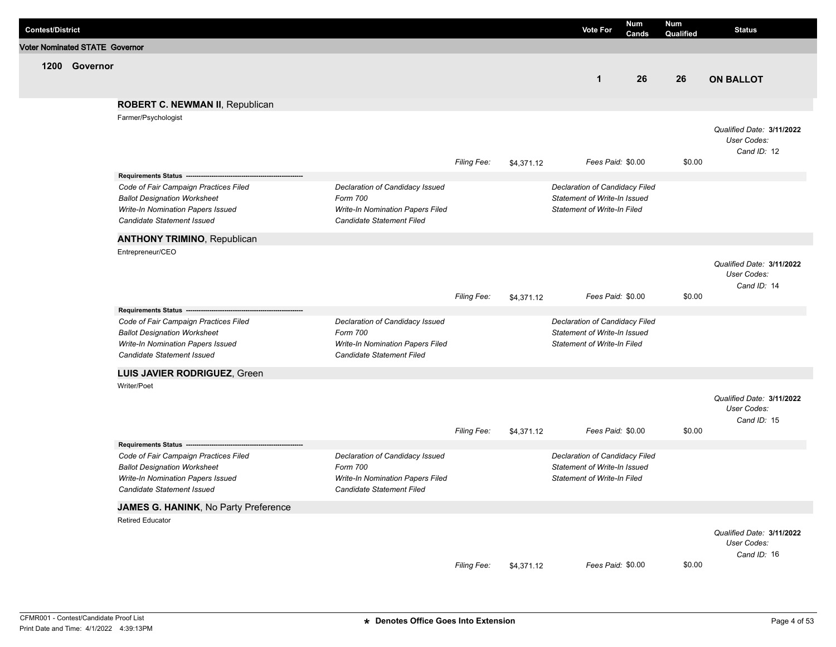| <b>Contest/District</b>               |               |                                                                                                                                                                                                   |                                                                                                                     |                    |            | <b>Vote For</b>                                                                                      | <b>Num</b><br>Cands | <b>Num</b><br>Qualified | <b>Status</b>                                           |
|---------------------------------------|---------------|---------------------------------------------------------------------------------------------------------------------------------------------------------------------------------------------------|---------------------------------------------------------------------------------------------------------------------|--------------------|------------|------------------------------------------------------------------------------------------------------|---------------------|-------------------------|---------------------------------------------------------|
| <b>Voter Nominated STATE Governor</b> |               |                                                                                                                                                                                                   |                                                                                                                     |                    |            |                                                                                                      |                     |                         |                                                         |
|                                       | 1200 Governor |                                                                                                                                                                                                   |                                                                                                                     |                    |            | $\mathbf{1}$                                                                                         | 26                  | 26                      | <b>ON BALLOT</b>                                        |
|                                       |               | ROBERT C. NEWMAN II, Republican                                                                                                                                                                   |                                                                                                                     |                    |            |                                                                                                      |                     |                         |                                                         |
|                                       |               | Farmer/Psychologist                                                                                                                                                                               |                                                                                                                     |                    |            |                                                                                                      |                     |                         |                                                         |
|                                       |               |                                                                                                                                                                                                   |                                                                                                                     | Filing Fee:        | \$4,371.12 | Fees Paid: \$0.00                                                                                    |                     | \$0.00                  | Qualified Date: 3/11/2022<br>User Codes:<br>Cand ID: 12 |
|                                       |               | Requirements Status ----------------------                                                                                                                                                        |                                                                                                                     |                    |            |                                                                                                      |                     |                         |                                                         |
|                                       |               | Code of Fair Campaign Practices Filed<br><b>Ballot Designation Worksheet</b><br>Write-In Nomination Papers Issued<br>Candidate Statement Issued                                                   | Declaration of Candidacy Issued<br>Form 700<br><b>Write-In Nomination Papers Filed</b><br>Candidate Statement Filed |                    |            | Declaration of Candidacy Filed<br>Statement of Write-In Issued<br><b>Statement of Write-In Filed</b> |                     |                         |                                                         |
|                                       |               | <b>ANTHONY TRIMINO, Republican</b>                                                                                                                                                                |                                                                                                                     |                    |            |                                                                                                      |                     |                         |                                                         |
|                                       |               | Entrepreneur/CEO                                                                                                                                                                                  |                                                                                                                     |                    |            |                                                                                                      |                     |                         | Qualified Date: 3/11/2022<br>User Codes:<br>Cand ID: 14 |
|                                       |               |                                                                                                                                                                                                   |                                                                                                                     | <b>Filing Fee:</b> | \$4,371.12 | Fees Paid: \$0.00                                                                                    |                     | \$0.00                  |                                                         |
|                                       |               | Requirements Status --------------------------<br>Code of Fair Campaign Practices Filed<br><b>Ballot Designation Worksheet</b><br>Write-In Nomination Papers Issued<br>Candidate Statement Issued | Declaration of Candidacy Issued<br>Form 700<br>Write-In Nomination Papers Filed<br>Candidate Statement Filed        |                    |            | Declaration of Candidacy Filed<br>Statement of Write-In Issued<br><b>Statement of Write-In Filed</b> |                     |                         |                                                         |
|                                       |               | LUIS JAVIER RODRIGUEZ, Green                                                                                                                                                                      |                                                                                                                     |                    |            |                                                                                                      |                     |                         |                                                         |
|                                       |               | Writer/Poet                                                                                                                                                                                       |                                                                                                                     |                    |            |                                                                                                      |                     |                         |                                                         |
|                                       |               |                                                                                                                                                                                                   |                                                                                                                     | <b>Filing Fee:</b> | \$4,371.12 | Fees Paid: \$0.00                                                                                    |                     | \$0.00                  | Qualified Date: 3/11/2022<br>User Codes:<br>Cand ID: 15 |
|                                       |               | Requirements Status --------------------------------                                                                                                                                              | Declaration of Candidacy Issued                                                                                     |                    |            |                                                                                                      |                     |                         |                                                         |
|                                       |               | Code of Fair Campaign Practices Filed<br><b>Ballot Designation Worksheet</b><br>Write-In Nomination Papers Issued<br>Candidate Statement Issued                                                   | Form 700<br><b>Write-In Nomination Papers Filed</b><br>Candidate Statement Filed                                    |                    |            | Declaration of Candidacy Filed<br>Statement of Write-In Issued<br><b>Statement of Write-In Filed</b> |                     |                         |                                                         |
|                                       |               | JAMES G. HANINK, No Party Preference                                                                                                                                                              |                                                                                                                     |                    |            |                                                                                                      |                     |                         |                                                         |
|                                       |               | <b>Retired Educator</b>                                                                                                                                                                           |                                                                                                                     | Filing Fee:        | \$4,371.12 | Fees Paid: \$0.00                                                                                    |                     | \$0.00                  | Qualified Date: 3/11/2022<br>User Codes:<br>Cand ID: 16 |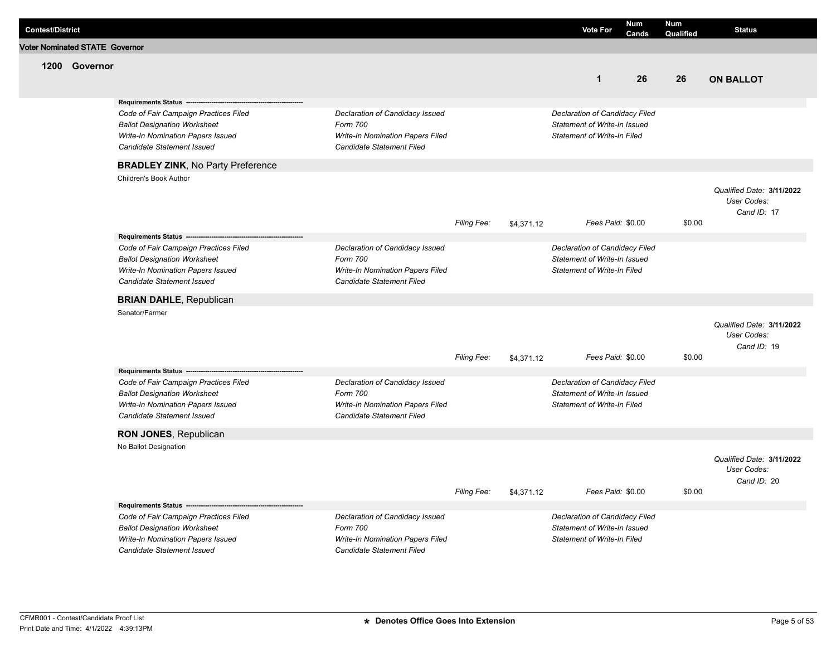| <b>Contest/District</b> |                                       |                                                                                                                                                                                 |                                                                                                                     |             |            | <b>Vote For</b>                                                                                      | <b>Num</b><br>Cands | Num<br>Qualified | <b>Status</b>                                           |
|-------------------------|---------------------------------------|---------------------------------------------------------------------------------------------------------------------------------------------------------------------------------|---------------------------------------------------------------------------------------------------------------------|-------------|------------|------------------------------------------------------------------------------------------------------|---------------------|------------------|---------------------------------------------------------|
|                         | <b>Voter Nominated STATE Governor</b> |                                                                                                                                                                                 |                                                                                                                     |             |            |                                                                                                      |                     |                  |                                                         |
|                         | 1200 Governor                         |                                                                                                                                                                                 |                                                                                                                     |             |            | $\mathbf{1}$                                                                                         | 26                  | 26               | <b>ON BALLOT</b>                                        |
|                         |                                       | <b>Requirements Status -</b><br>Code of Fair Campaign Practices Filed<br><b>Ballot Designation Worksheet</b><br>Write-In Nomination Papers Issued<br>Candidate Statement Issued | Declaration of Candidacy Issued<br>Form 700<br>Write-In Nomination Papers Filed<br>Candidate Statement Filed        |             |            | Declaration of Candidacy Filed<br>Statement of Write-In Issued<br><b>Statement of Write-In Filed</b> |                     |                  |                                                         |
|                         |                                       | <b>BRADLEY ZINK, No Party Preference</b>                                                                                                                                        |                                                                                                                     |             |            |                                                                                                      |                     |                  |                                                         |
|                         |                                       | Children's Book Author                                                                                                                                                          |                                                                                                                     | Filing Fee: | \$4,371.12 | Fees Paid: \$0.00                                                                                    |                     | \$0.00           | Qualified Date: 3/11/2022<br>User Codes:<br>Cand ID: 17 |
|                         |                                       |                                                                                                                                                                                 |                                                                                                                     |             |            |                                                                                                      |                     |                  |                                                         |
|                         |                                       | Code of Fair Campaign Practices Filed<br><b>Ballot Designation Worksheet</b><br>Write-In Nomination Papers Issued<br><b>Candidate Statement Issued</b>                          | Declaration of Candidacy Issued<br>Form 700<br><b>Write-In Nomination Papers Filed</b><br>Candidate Statement Filed |             |            | Declaration of Candidacy Filed<br>Statement of Write-In Issued<br><b>Statement of Write-In Filed</b> |                     |                  |                                                         |
|                         |                                       | <b>BRIAN DAHLE, Republican</b>                                                                                                                                                  |                                                                                                                     |             |            |                                                                                                      |                     |                  |                                                         |
|                         |                                       | Senator/Farmer                                                                                                                                                                  |                                                                                                                     | Filing Fee: | \$4,371.12 | Fees Paid: \$0.00                                                                                    |                     | \$0.00           | Qualified Date: 3/11/2022<br>User Codes:<br>Cand ID: 19 |
|                         |                                       | Requirements Status --                                                                                                                                                          |                                                                                                                     |             |            |                                                                                                      |                     |                  |                                                         |
|                         |                                       | Code of Fair Campaign Practices Filed<br><b>Ballot Designation Worksheet</b><br>Write-In Nomination Papers Issued<br>Candidate Statement Issued                                 | Declaration of Candidacy Issued<br>Form 700<br>Write-In Nomination Papers Filed<br>Candidate Statement Filed        |             |            | Declaration of Candidacy Filed<br>Statement of Write-In Issued<br><b>Statement of Write-In Filed</b> |                     |                  |                                                         |
|                         |                                       | RON JONES, Republican                                                                                                                                                           |                                                                                                                     |             |            |                                                                                                      |                     |                  |                                                         |
|                         |                                       | No Ballot Designation                                                                                                                                                           |                                                                                                                     | Filing Fee: |            | Fees Paid: \$0.00                                                                                    |                     | \$0.00           | Qualified Date: 3/11/2022<br>User Codes:<br>Cand ID: 20 |
|                         |                                       | Requirements Status -------------------------                                                                                                                                   |                                                                                                                     |             | \$4,371.12 |                                                                                                      |                     |                  |                                                         |
|                         |                                       | Code of Fair Campaign Practices Filed<br><b>Ballot Designation Worksheet</b><br>Write-In Nomination Papers Issued<br>Candidate Statement Issued                                 | Declaration of Candidacy Issued<br>Form 700<br>Write-In Nomination Papers Filed<br>Candidate Statement Filed        |             |            | Declaration of Candidacy Filed<br>Statement of Write-In Issued<br><b>Statement of Write-In Filed</b> |                     |                  |                                                         |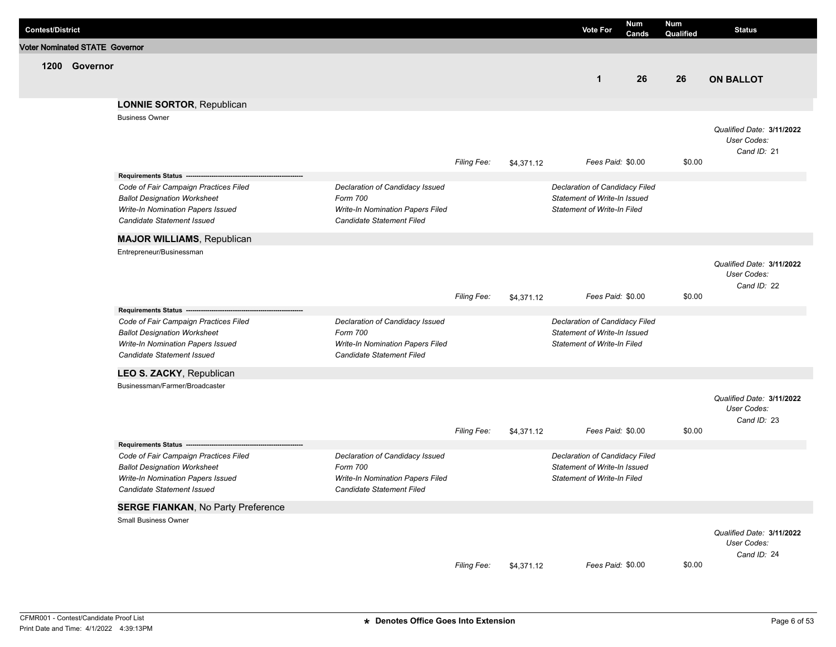| <b>Contest/District</b>               |               |                                                                                                                                                        |                                                                                                                     |                    |            | <b>Vote For</b>                                                                                      | <b>Num</b><br>Cands | <b>Num</b><br>Qualified | <b>Status</b>                                           |
|---------------------------------------|---------------|--------------------------------------------------------------------------------------------------------------------------------------------------------|---------------------------------------------------------------------------------------------------------------------|--------------------|------------|------------------------------------------------------------------------------------------------------|---------------------|-------------------------|---------------------------------------------------------|
| <b>Voter Nominated STATE Governor</b> |               |                                                                                                                                                        |                                                                                                                     |                    |            |                                                                                                      |                     |                         |                                                         |
|                                       | 1200 Governor |                                                                                                                                                        |                                                                                                                     |                    |            | $\mathbf 1$                                                                                          | 26                  | 26                      | <b>ON BALLOT</b>                                        |
|                                       |               | <b>LONNIE SORTOR, Republican</b>                                                                                                                       |                                                                                                                     |                    |            |                                                                                                      |                     |                         |                                                         |
|                                       |               | <b>Business Owner</b>                                                                                                                                  |                                                                                                                     |                    |            |                                                                                                      |                     |                         |                                                         |
|                                       |               |                                                                                                                                                        |                                                                                                                     | <b>Filing Fee:</b> | \$4,371.12 | Fees Paid: \$0.00                                                                                    |                     | \$0.00                  | Qualified Date: 3/11/2022<br>User Codes:<br>Cand ID: 21 |
|                                       |               | Requirements Status -------------------------                                                                                                          |                                                                                                                     |                    |            |                                                                                                      |                     |                         |                                                         |
|                                       |               | Code of Fair Campaign Practices Filed<br><b>Ballot Designation Worksheet</b><br>Write-In Nomination Papers Issued<br><b>Candidate Statement Issued</b> | Declaration of Candidacy Issued<br>Form 700<br><b>Write-In Nomination Papers Filed</b><br>Candidate Statement Filed |                    |            | Declaration of Candidacy Filed<br>Statement of Write-In Issued<br><b>Statement of Write-In Filed</b> |                     |                         |                                                         |
|                                       |               | <b>MAJOR WILLIAMS, Republican</b>                                                                                                                      |                                                                                                                     |                    |            |                                                                                                      |                     |                         |                                                         |
|                                       |               | Entrepreneur/Businessman                                                                                                                               |                                                                                                                     | <b>Filing Fee:</b> | \$4,371.12 | Fees Paid: \$0.00                                                                                    |                     | \$0.00                  | Qualified Date: 3/11/2022<br>User Codes:<br>Cand ID: 22 |
|                                       |               | Requirements Status ---                                                                                                                                |                                                                                                                     |                    |            |                                                                                                      |                     |                         |                                                         |
|                                       |               | Code of Fair Campaign Practices Filed<br><b>Ballot Designation Worksheet</b><br>Write-In Nomination Papers Issued<br>Candidate Statement Issued        | Declaration of Candidacy Issued<br>Form 700<br>Write-In Nomination Papers Filed<br>Candidate Statement Filed        |                    |            | Declaration of Candidacy Filed<br>Statement of Write-In Issued<br>Statement of Write-In Filed        |                     |                         |                                                         |
|                                       |               | LEO S. ZACKY, Republican                                                                                                                               |                                                                                                                     |                    |            |                                                                                                      |                     |                         |                                                         |
|                                       |               | Businessman/Farmer/Broadcaster                                                                                                                         |                                                                                                                     |                    |            |                                                                                                      |                     |                         |                                                         |
|                                       |               |                                                                                                                                                        |                                                                                                                     | <b>Filing Fee:</b> | \$4,371.12 | Fees Paid: \$0.00                                                                                    |                     | \$0.00                  | Qualified Date: 3/11/2022<br>User Codes:<br>Cand ID: 23 |
|                                       |               | Requirements Status -------------------------                                                                                                          |                                                                                                                     |                    |            |                                                                                                      |                     |                         |                                                         |
|                                       |               | Code of Fair Campaign Practices Filed<br><b>Ballot Designation Worksheet</b><br>Write-In Nomination Papers Issued<br>Candidate Statement Issued        | Declaration of Candidacy Issued<br>Form 700<br><b>Write-In Nomination Papers Filed</b><br>Candidate Statement Filed |                    |            | Declaration of Candidacy Filed<br>Statement of Write-In Issued<br>Statement of Write-In Filed        |                     |                         |                                                         |
|                                       |               | <b>SERGE FIANKAN, No Party Preference</b>                                                                                                              |                                                                                                                     |                    |            |                                                                                                      |                     |                         |                                                         |
|                                       |               | <b>Small Business Owner</b>                                                                                                                            |                                                                                                                     | Filing Fee:        | \$4,371.12 | Fees Paid: \$0.00                                                                                    |                     | \$0.00                  | Qualified Date: 3/11/2022<br>User Codes:<br>Cand ID: 24 |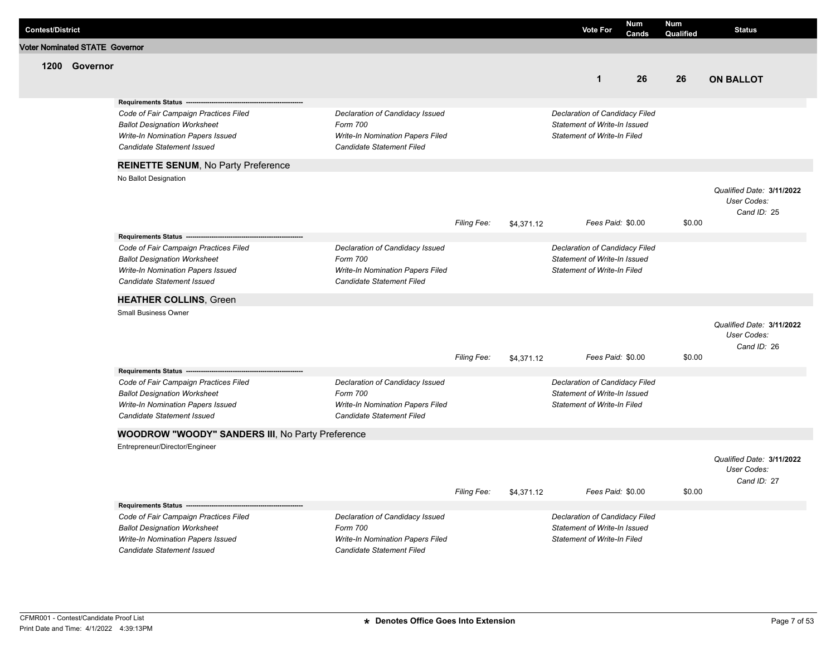| <b>Contest/District</b> |                                       |                                                                                 |                                                                      |             |            | <b>Vote For</b>                                                    | <b>Num</b><br>Cands | <b>Num</b><br>Qualified | <b>Status</b>                            |
|-------------------------|---------------------------------------|---------------------------------------------------------------------------------|----------------------------------------------------------------------|-------------|------------|--------------------------------------------------------------------|---------------------|-------------------------|------------------------------------------|
|                         | <b>Voter Nominated STATE Governor</b> |                                                                                 |                                                                      |             |            |                                                                    |                     |                         |                                          |
|                         | 1200 Governor                         |                                                                                 |                                                                      |             |            |                                                                    |                     |                         |                                          |
|                         |                                       |                                                                                 |                                                                      |             |            | $\mathbf{1}$                                                       | 26                  | 26                      | <b>ON BALLOT</b>                         |
|                         |                                       |                                                                                 |                                                                      |             |            |                                                                    |                     |                         |                                          |
|                         |                                       | Requirements Status --                                                          |                                                                      |             |            |                                                                    |                     |                         |                                          |
|                         |                                       | Code of Fair Campaign Practices Filed                                           | Declaration of Candidacy Issued                                      |             |            | Declaration of Candidacy Filed                                     |                     |                         |                                          |
|                         |                                       | <b>Ballot Designation Worksheet</b><br>Write-In Nomination Papers Issued        | Form 700<br>Write-In Nomination Papers Filed                         |             |            | Statement of Write-In Issued<br><b>Statement of Write-In Filed</b> |                     |                         |                                          |
|                         |                                       | Candidate Statement Issued                                                      | Candidate Statement Filed                                            |             |            |                                                                    |                     |                         |                                          |
|                         |                                       |                                                                                 |                                                                      |             |            |                                                                    |                     |                         |                                          |
|                         |                                       | <b>REINETTE SENUM, No Party Preference</b>                                      |                                                                      |             |            |                                                                    |                     |                         |                                          |
|                         |                                       | No Ballot Designation                                                           |                                                                      |             |            |                                                                    |                     |                         |                                          |
|                         |                                       |                                                                                 |                                                                      |             |            |                                                                    |                     |                         | Qualified Date: 3/11/2022<br>User Codes: |
|                         |                                       |                                                                                 |                                                                      |             |            |                                                                    |                     |                         | Cand ID: 25                              |
|                         |                                       |                                                                                 |                                                                      | Filing Fee: | \$4,371.12 | Fees Paid: \$0.00                                                  |                     | \$0.00                  |                                          |
|                         |                                       | Requirements Status -                                                           |                                                                      |             |            |                                                                    |                     |                         |                                          |
|                         |                                       | Code of Fair Campaign Practices Filed                                           | Declaration of Candidacy Issued                                      |             |            | Declaration of Candidacy Filed                                     |                     |                         |                                          |
|                         |                                       | <b>Ballot Designation Worksheet</b>                                             | Form 700                                                             |             |            | Statement of Write-In Issued                                       |                     |                         |                                          |
|                         |                                       | Write-In Nomination Papers Issued<br>Candidate Statement Issued                 | <b>Write-In Nomination Papers Filed</b><br>Candidate Statement Filed |             |            | <b>Statement of Write-In Filed</b>                                 |                     |                         |                                          |
|                         |                                       |                                                                                 |                                                                      |             |            |                                                                    |                     |                         |                                          |
|                         |                                       | <b>HEATHER COLLINS, Green</b>                                                   |                                                                      |             |            |                                                                    |                     |                         |                                          |
|                         |                                       | <b>Small Business Owner</b>                                                     |                                                                      |             |            |                                                                    |                     |                         |                                          |
|                         |                                       |                                                                                 |                                                                      |             |            |                                                                    |                     |                         | Qualified Date: 3/11/2022                |
|                         |                                       |                                                                                 |                                                                      |             |            |                                                                    |                     |                         | User Codes:<br>Cand ID: 26               |
|                         |                                       |                                                                                 |                                                                      | Filing Fee: | \$4,371.12 | Fees Paid: \$0.00                                                  |                     | \$0.00                  |                                          |
|                         |                                       | Requirements Status --                                                          |                                                                      |             |            |                                                                    |                     |                         |                                          |
|                         |                                       | Code of Fair Campaign Practices Filed                                           | Declaration of Candidacy Issued                                      |             |            | Declaration of Candidacy Filed                                     |                     |                         |                                          |
|                         |                                       | <b>Ballot Designation Worksheet</b>                                             | Form 700                                                             |             |            | <b>Statement of Write-In Issued</b>                                |                     |                         |                                          |
|                         |                                       | Write-In Nomination Papers Issued                                               | Write-In Nomination Papers Filed                                     |             |            | <b>Statement of Write-In Filed</b>                                 |                     |                         |                                          |
|                         |                                       | Candidate Statement Issued                                                      | Candidate Statement Filed                                            |             |            |                                                                    |                     |                         |                                          |
|                         |                                       | <b>WOODROW "WOODY" SANDERS III, No Party Preference</b>                         |                                                                      |             |            |                                                                    |                     |                         |                                          |
|                         |                                       | Entrepreneur/Director/Engineer                                                  |                                                                      |             |            |                                                                    |                     |                         |                                          |
|                         |                                       |                                                                                 |                                                                      |             |            |                                                                    |                     |                         | Qualified Date: 3/11/2022                |
|                         |                                       |                                                                                 |                                                                      |             |            |                                                                    |                     |                         | User Codes:                              |
|                         |                                       |                                                                                 |                                                                      | Filing Fee: |            | Fees Paid: \$0.00                                                  |                     | \$0.00                  | Cand ID: 27                              |
|                         |                                       |                                                                                 |                                                                      |             | \$4,371.12 |                                                                    |                     |                         |                                          |
|                         |                                       | Requirements Status ------------------<br>Code of Fair Campaign Practices Filed | Declaration of Candidacy Issued                                      |             |            | Declaration of Candidacy Filed                                     |                     |                         |                                          |
|                         |                                       | <b>Ballot Designation Worksheet</b>                                             | Form 700                                                             |             |            | Statement of Write-In Issued                                       |                     |                         |                                          |
|                         |                                       | Write-In Nomination Papers Issued                                               | Write-In Nomination Papers Filed                                     |             |            | <b>Statement of Write-In Filed</b>                                 |                     |                         |                                          |
|                         |                                       | Candidate Statement Issued                                                      | Candidate Statement Filed                                            |             |            |                                                                    |                     |                         |                                          |
|                         |                                       |                                                                                 |                                                                      |             |            |                                                                    |                     |                         |                                          |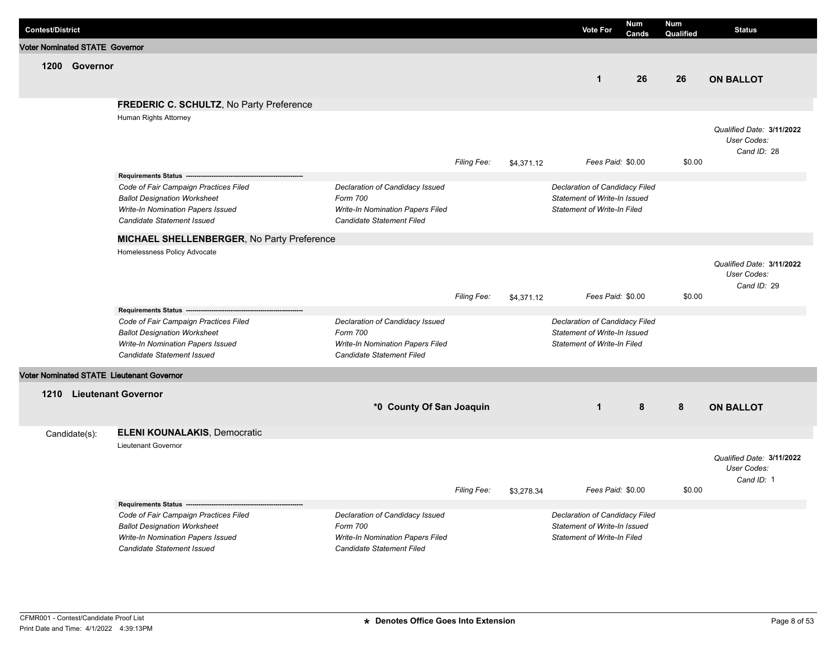| <b>Contest/District</b>               |               |                                                                                                                                                                             |                                                                                                              |             |            | <b>Vote For</b>                                                                               | <b>Num</b><br>Cands | Num<br>Qualified | <b>Status</b>                                           |
|---------------------------------------|---------------|-----------------------------------------------------------------------------------------------------------------------------------------------------------------------------|--------------------------------------------------------------------------------------------------------------|-------------|------------|-----------------------------------------------------------------------------------------------|---------------------|------------------|---------------------------------------------------------|
| <b>Voter Nominated STATE Governor</b> |               |                                                                                                                                                                             |                                                                                                              |             |            |                                                                                               |                     |                  |                                                         |
|                                       | 1200 Governor |                                                                                                                                                                             |                                                                                                              |             |            | $\mathbf{1}$                                                                                  | 26                  | 26               | <b>ON BALLOT</b>                                        |
|                                       |               | FREDERIC C. SCHULTZ, No Party Preference                                                                                                                                    |                                                                                                              |             |            |                                                                                               |                     |                  |                                                         |
|                                       |               | Human Rights Attorney                                                                                                                                                       |                                                                                                              | Filing Fee: | \$4,371.12 | Fees Paid: \$0.00                                                                             |                     | \$0.00           | Qualified Date: 3/11/2022<br>User Codes:<br>Cand ID: 28 |
|                                       |               |                                                                                                                                                                             |                                                                                                              |             |            |                                                                                               |                     |                  |                                                         |
|                                       |               | Code of Fair Campaign Practices Filed<br><b>Ballot Designation Worksheet</b><br>Write-In Nomination Papers Issued<br>Candidate Statement Issued                             | Declaration of Candidacy Issued<br>Form 700<br>Write-In Nomination Papers Filed<br>Candidate Statement Filed |             |            | Declaration of Candidacy Filed<br>Statement of Write-In Issued<br>Statement of Write-In Filed |                     |                  |                                                         |
|                                       |               | MICHAEL SHELLENBERGER, No Party Preference                                                                                                                                  |                                                                                                              |             |            |                                                                                               |                     |                  |                                                         |
|                                       |               | Homelessness Policy Advocate                                                                                                                                                |                                                                                                              |             |            |                                                                                               |                     |                  | Qualified Date: 3/11/2022<br>User Codes:<br>Cand ID: 29 |
|                                       |               |                                                                                                                                                                             |                                                                                                              | Filing Fee: | \$4,371.12 | Fees Paid: \$0.00                                                                             |                     | \$0.00           |                                                         |
|                                       |               | Requirements Status ----<br>Code of Fair Campaign Practices Filed<br><b>Ballot Designation Worksheet</b><br>Write-In Nomination Papers Issued<br>Candidate Statement Issued | Declaration of Candidacy Issued<br>Form 700<br>Write-In Nomination Papers Filed<br>Candidate Statement Filed |             |            | Declaration of Candidacy Filed<br>Statement of Write-In Issued<br>Statement of Write-In Filed |                     |                  |                                                         |
|                                       |               | <b>Voter Nominated STATE Lieutenant Governor</b>                                                                                                                            |                                                                                                              |             |            |                                                                                               |                     |                  |                                                         |
|                                       |               | 1210 Lieutenant Governor<br><b>ELENI KOUNALAKIS, Democratic</b>                                                                                                             | *0 County Of San Joaquin                                                                                     |             |            | $\mathbf{1}$                                                                                  | 8                   | 8                | <b>ON BALLOT</b>                                        |
|                                       | Candidate(s): | <b>Lieutenant Governor</b>                                                                                                                                                  |                                                                                                              |             |            |                                                                                               |                     |                  |                                                         |
|                                       |               |                                                                                                                                                                             |                                                                                                              | Filing Fee: | \$3,278.34 | Fees Paid: \$0.00                                                                             |                     | \$0.00           | Qualified Date: 3/11/2022<br>User Codes:<br>Cand ID: 1  |
|                                       |               | Requirements Status -------------------                                                                                                                                     |                                                                                                              |             |            |                                                                                               |                     |                  |                                                         |
|                                       |               | Code of Fair Campaign Practices Filed<br><b>Ballot Designation Worksheet</b><br>Write-In Nomination Papers Issued<br>Candidate Statement Issued                             | Declaration of Candidacy Issued<br>Form 700<br>Write-In Nomination Papers Filed<br>Candidate Statement Filed |             |            | Declaration of Candidacy Filed<br>Statement of Write-In Issued<br>Statement of Write-In Filed |                     |                  |                                                         |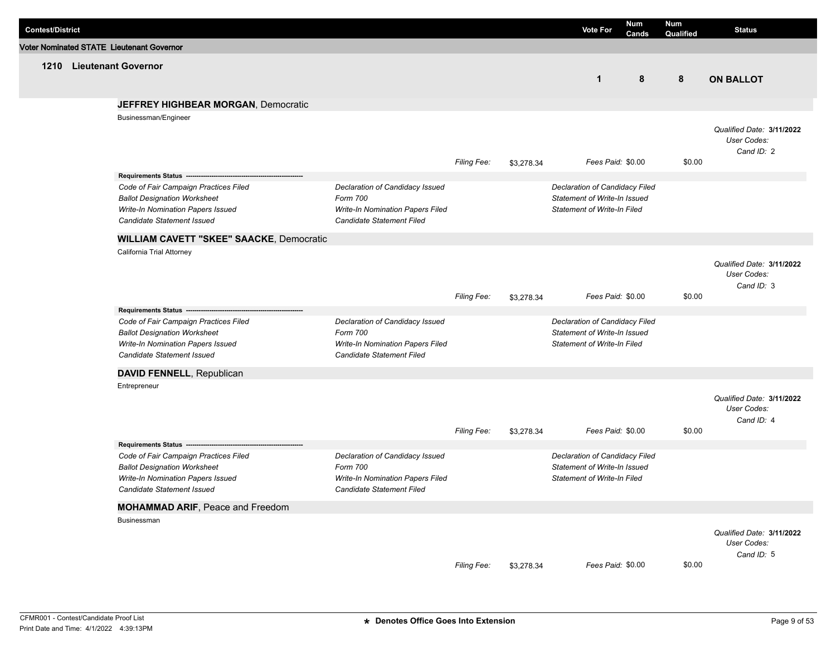| <b>Contest/District</b> |                                                  |                                         |             |            | <b>Vote For</b>                    | <b>Num</b><br>Cands | Num<br>Qualified | <b>Status</b>             |
|-------------------------|--------------------------------------------------|-----------------------------------------|-------------|------------|------------------------------------|---------------------|------------------|---------------------------|
|                         | <b>Voter Nominated STATE Lieutenant Governor</b> |                                         |             |            |                                    |                     |                  |                           |
|                         | 1210 Lieutenant Governor                         |                                         |             |            |                                    |                     |                  |                           |
|                         |                                                  |                                         |             |            | $\mathbf{1}$                       | 8                   | 8                | <b>ON BALLOT</b>          |
|                         | <b>JEFFREY HIGHBEAR MORGAN, Democratic</b>       |                                         |             |            |                                    |                     |                  |                           |
|                         | Businessman/Engineer                             |                                         |             |            |                                    |                     |                  |                           |
|                         |                                                  |                                         |             |            |                                    |                     |                  | Qualified Date: 3/11/2022 |
|                         |                                                  |                                         |             |            |                                    |                     |                  | User Codes:<br>Cand ID: 2 |
|                         |                                                  |                                         | Filing Fee: | \$3,278.34 | Fees Paid: \$0.00                  |                     | \$0.00           |                           |
|                         |                                                  |                                         |             |            |                                    |                     |                  |                           |
|                         | Code of Fair Campaign Practices Filed            | Declaration of Candidacy Issued         |             |            | Declaration of Candidacy Filed     |                     |                  |                           |
|                         | <b>Ballot Designation Worksheet</b>              | Form 700                                |             |            | Statement of Write-In Issued       |                     |                  |                           |
|                         | Write-In Nomination Papers Issued                | Write-In Nomination Papers Filed        |             |            | <b>Statement of Write-In Filed</b> |                     |                  |                           |
|                         | Candidate Statement Issued                       | Candidate Statement Filed               |             |            |                                    |                     |                  |                           |
|                         | <b>WILLIAM CAVETT "SKEE" SAACKE, Democratic</b>  |                                         |             |            |                                    |                     |                  |                           |
|                         | California Trial Attorney                        |                                         |             |            |                                    |                     |                  |                           |
|                         |                                                  |                                         |             |            |                                    |                     |                  | Qualified Date: 3/11/2022 |
|                         |                                                  |                                         |             |            |                                    |                     |                  | User Codes:               |
|                         |                                                  |                                         | Filing Fee: | \$3,278.34 | Fees Paid: \$0.00                  |                     | \$0.00           | Cand ID: 3                |
|                         | Requirements Status ---                          |                                         |             |            |                                    |                     |                  |                           |
|                         | Code of Fair Campaign Practices Filed            | Declaration of Candidacy Issued         |             |            | Declaration of Candidacy Filed     |                     |                  |                           |
|                         | <b>Ballot Designation Worksheet</b>              | Form 700                                |             |            | Statement of Write-In Issued       |                     |                  |                           |
|                         | Write-In Nomination Papers Issued                | Write-In Nomination Papers Filed        |             |            | <b>Statement of Write-In Filed</b> |                     |                  |                           |
|                         | <b>Candidate Statement Issued</b>                | Candidate Statement Filed               |             |            |                                    |                     |                  |                           |
|                         | DAVID FENNELL, Republican                        |                                         |             |            |                                    |                     |                  |                           |
|                         | Entrepreneur                                     |                                         |             |            |                                    |                     |                  |                           |
|                         |                                                  |                                         |             |            |                                    |                     |                  | Qualified Date: 3/11/2022 |
|                         |                                                  |                                         |             |            |                                    |                     |                  | User Codes:<br>Cand ID: 4 |
|                         |                                                  |                                         | Filing Fee: | \$3,278.34 | Fees Paid: \$0.00                  |                     | \$0.00           |                           |
|                         | Requirements Status ------------------           |                                         |             |            |                                    |                     |                  |                           |
|                         | Code of Fair Campaign Practices Filed            | Declaration of Candidacy Issued         |             |            | Declaration of Candidacy Filed     |                     |                  |                           |
|                         | <b>Ballot Designation Worksheet</b>              | Form 700                                |             |            | Statement of Write-In Issued       |                     |                  |                           |
|                         | Write-In Nomination Papers Issued                | <b>Write-In Nomination Papers Filed</b> |             |            | <b>Statement of Write-In Filed</b> |                     |                  |                           |
|                         | Candidate Statement Issued                       | Candidate Statement Filed               |             |            |                                    |                     |                  |                           |
|                         | <b>MOHAMMAD ARIF, Peace and Freedom</b>          |                                         |             |            |                                    |                     |                  |                           |
|                         | Businessman                                      |                                         |             |            |                                    |                     |                  |                           |
|                         |                                                  |                                         |             |            |                                    |                     |                  | Qualified Date: 3/11/2022 |
|                         |                                                  |                                         |             |            |                                    |                     |                  | User Codes:               |
|                         |                                                  |                                         | Filing Fee: | \$3,278.34 | Fees Paid: \$0.00                  |                     | \$0.00           | Cand ID: 5                |
|                         |                                                  |                                         |             |            |                                    |                     |                  |                           |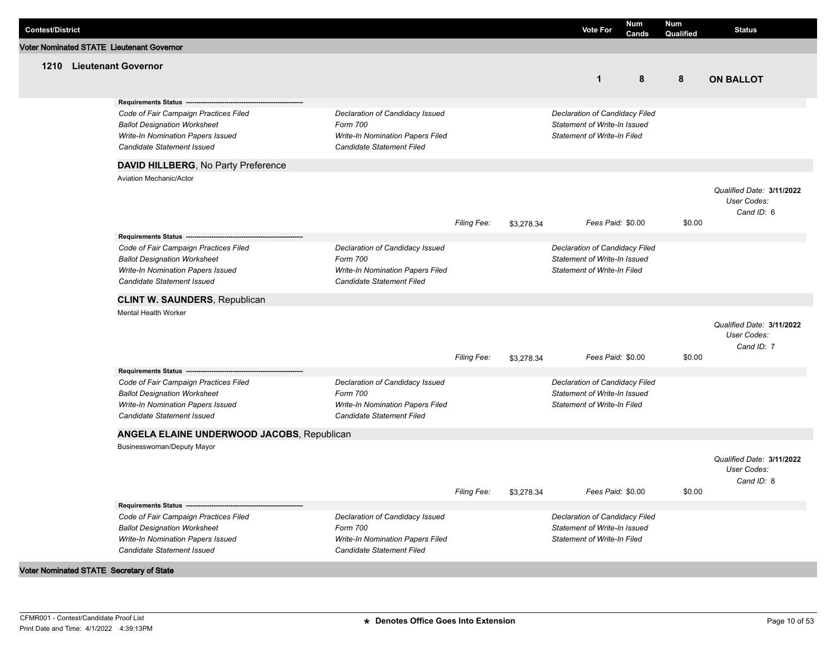| <b>Contest/District</b> |                                                                 |                                                               |                    |            | <b>Vote For</b>                    | Num<br>Cands | Num<br>Qualified | <b>Status</b>             |
|-------------------------|-----------------------------------------------------------------|---------------------------------------------------------------|--------------------|------------|------------------------------------|--------------|------------------|---------------------------|
|                         | <b>Voter Nominated STATE Lieutenant Governor</b>                |                                                               |                    |            |                                    |              |                  |                           |
|                         | 1210 Lieutenant Governor                                        |                                                               |                    |            |                                    |              |                  |                           |
|                         |                                                                 |                                                               |                    |            | $\mathbf{1}$                       | 8            | 8                | <b>ON BALLOT</b>          |
|                         |                                                                 |                                                               |                    |            |                                    |              |                  |                           |
|                         | Requirements Status ---                                         |                                                               |                    |            |                                    |              |                  |                           |
|                         | Code of Fair Campaign Practices Filed                           | Declaration of Candidacy Issued                               |                    |            | Declaration of Candidacy Filed     |              |                  |                           |
|                         | <b>Ballot Designation Worksheet</b>                             | Form 700                                                      |                    |            | Statement of Write-In Issued       |              |                  |                           |
|                         | Write-In Nomination Papers Issued                               | Write-In Nomination Papers Filed<br>Candidate Statement Filed |                    |            | Statement of Write-In Filed        |              |                  |                           |
|                         | Candidate Statement Issued                                      |                                                               |                    |            |                                    |              |                  |                           |
|                         | DAVID HILLBERG, No Party Preference                             |                                                               |                    |            |                                    |              |                  |                           |
|                         | <b>Aviation Mechanic/Actor</b>                                  |                                                               |                    |            |                                    |              |                  |                           |
|                         |                                                                 |                                                               |                    |            |                                    |              |                  | Qualified Date: 3/11/2022 |
|                         |                                                                 |                                                               |                    |            |                                    |              |                  | User Codes:               |
|                         |                                                                 |                                                               |                    |            |                                    |              | \$0.00           | Cand ID: 6                |
|                         |                                                                 |                                                               | <b>Filing Fee:</b> | \$3,278.34 | Fees Paid: \$0.00                  |              |                  |                           |
|                         |                                                                 |                                                               |                    |            |                                    |              |                  |                           |
|                         | Code of Fair Campaign Practices Filed                           | Declaration of Candidacy Issued                               |                    |            | Declaration of Candidacy Filed     |              |                  |                           |
|                         | <b>Ballot Designation Worksheet</b>                             | Form 700                                                      |                    |            | Statement of Write-In Issued       |              |                  |                           |
|                         | Write-In Nomination Papers Issued<br>Candidate Statement Issued | Write-In Nomination Papers Filed<br>Candidate Statement Filed |                    |            | <b>Statement of Write-In Filed</b> |              |                  |                           |
|                         |                                                                 |                                                               |                    |            |                                    |              |                  |                           |
|                         | <b>CLINT W. SAUNDERS, Republican</b>                            |                                                               |                    |            |                                    |              |                  |                           |
|                         | Mental Health Worker                                            |                                                               |                    |            |                                    |              |                  |                           |
|                         |                                                                 |                                                               |                    |            |                                    |              |                  | Qualified Date: 3/11/2022 |
|                         |                                                                 |                                                               |                    |            |                                    |              |                  | User Codes:               |
|                         |                                                                 |                                                               |                    |            |                                    |              |                  | Cand ID: 7                |
|                         |                                                                 |                                                               | Filing Fee:        | \$3,278.34 | Fees Paid: \$0.00                  |              | \$0.00           |                           |
|                         | Requirements Status --                                          |                                                               |                    |            |                                    |              |                  |                           |
|                         | Code of Fair Campaign Practices Filed                           | Declaration of Candidacy Issued                               |                    |            | Declaration of Candidacy Filed     |              |                  |                           |
|                         | <b>Ballot Designation Worksheet</b>                             | Form 700                                                      |                    |            | Statement of Write-In Issued       |              |                  |                           |
|                         | Write-In Nomination Papers Issued                               | Write-In Nomination Papers Filed                              |                    |            | <b>Statement of Write-In Filed</b> |              |                  |                           |
|                         | Candidate Statement Issued                                      | Candidate Statement Filed                                     |                    |            |                                    |              |                  |                           |
|                         | ANGELA ELAINE UNDERWOOD JACOBS, Republican                      |                                                               |                    |            |                                    |              |                  |                           |
|                         | Businesswoman/Deputy Mayor                                      |                                                               |                    |            |                                    |              |                  |                           |
|                         |                                                                 |                                                               |                    |            |                                    |              |                  | Qualified Date: 3/11/2022 |
|                         |                                                                 |                                                               |                    |            |                                    |              |                  | User Codes:               |
|                         |                                                                 |                                                               |                    |            |                                    |              |                  | Cand ID: 8                |
|                         |                                                                 |                                                               | Filing Fee:        | \$3,278.34 | Fees Paid: \$0.00                  |              | \$0.00           |                           |
|                         | Requirements Status -------------------                         |                                                               |                    |            |                                    |              |                  |                           |
|                         | Code of Fair Campaign Practices Filed                           | Declaration of Candidacy Issued                               |                    |            | Declaration of Candidacy Filed     |              |                  |                           |
|                         | <b>Ballot Designation Worksheet</b>                             | Form 700                                                      |                    |            | Statement of Write-In Issued       |              |                  |                           |
|                         | Write-In Nomination Papers Issued                               | Write-In Nomination Papers Filed                              |                    |            | <b>Statement of Write-In Filed</b> |              |                  |                           |
|                         | Candidate Statement Issued                                      | Candidate Statement Filed                                     |                    |            |                                    |              |                  |                           |
|                         | Voter Nominated STATE Secretary of State                        |                                                               |                    |            |                                    |              |                  |                           |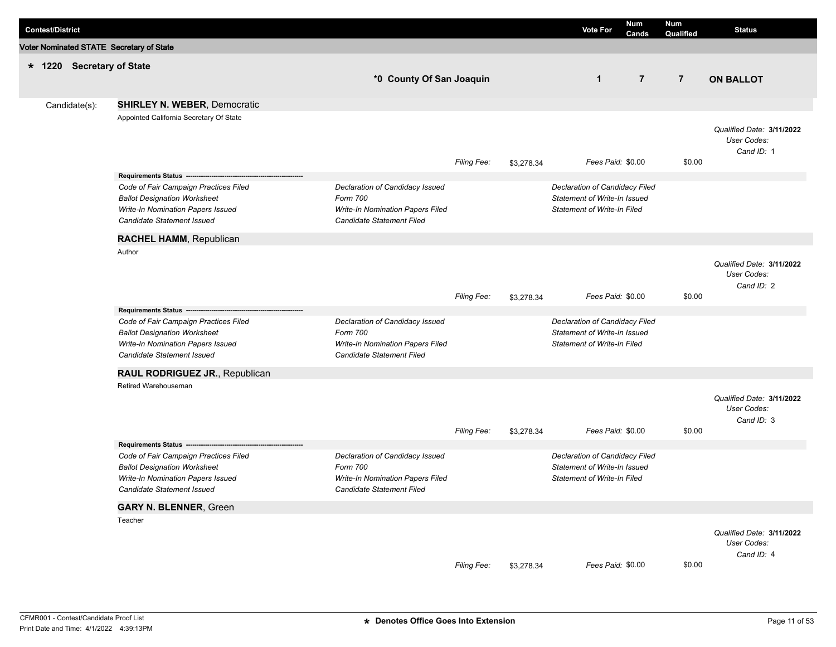| <b>Contest/District</b> |                           |                                                                                                                                                 |                                                                                                                     |                    |            | <b>Vote For</b>                                                                                      | Num<br>Cands   | <b>Num</b><br>Qualified | <b>Status</b>                                          |
|-------------------------|---------------------------|-------------------------------------------------------------------------------------------------------------------------------------------------|---------------------------------------------------------------------------------------------------------------------|--------------------|------------|------------------------------------------------------------------------------------------------------|----------------|-------------------------|--------------------------------------------------------|
|                         |                           | Voter Nominated STATE Secretary of State                                                                                                        |                                                                                                                     |                    |            |                                                                                                      |                |                         |                                                        |
|                         | * 1220 Secretary of State |                                                                                                                                                 |                                                                                                                     |                    |            |                                                                                                      |                |                         |                                                        |
|                         |                           |                                                                                                                                                 | *0 County Of San Joaquin                                                                                            |                    |            | $\mathbf{1}$                                                                                         | $\overline{7}$ | $\overline{7}$          | <b>ON BALLOT</b>                                       |
|                         |                           |                                                                                                                                                 |                                                                                                                     |                    |            |                                                                                                      |                |                         |                                                        |
|                         | Candidate(s):             | <b>SHIRLEY N. WEBER, Democratic</b>                                                                                                             |                                                                                                                     |                    |            |                                                                                                      |                |                         |                                                        |
|                         |                           | Appointed California Secretary Of State                                                                                                         |                                                                                                                     | <b>Filing Fee:</b> | \$3,278.34 | Fees Paid: \$0.00                                                                                    |                | \$0.00                  | Qualified Date: 3/11/2022<br>User Codes:<br>Cand ID: 1 |
|                         |                           | Requirements Status -------------------------                                                                                                   |                                                                                                                     |                    |            |                                                                                                      |                |                         |                                                        |
|                         |                           | Code of Fair Campaign Practices Filed<br><b>Ballot Designation Worksheet</b><br>Write-In Nomination Papers Issued<br>Candidate Statement Issued | Declaration of Candidacy Issued<br>Form 700<br>Write-In Nomination Papers Filed<br>Candidate Statement Filed        |                    |            | Declaration of Candidacy Filed<br>Statement of Write-In Issued<br><b>Statement of Write-In Filed</b> |                |                         |                                                        |
|                         |                           | RACHEL HAMM, Republican                                                                                                                         |                                                                                                                     |                    |            |                                                                                                      |                |                         |                                                        |
|                         |                           | Author                                                                                                                                          |                                                                                                                     | Filing Fee:        |            | Fees Paid: \$0.00                                                                                    |                | \$0.00                  | Qualified Date: 3/11/2022<br>User Codes:<br>Cand ID: 2 |
|                         |                           |                                                                                                                                                 |                                                                                                                     |                    | \$3,278.34 |                                                                                                      |                |                         |                                                        |
|                         |                           | Code of Fair Campaign Practices Filed<br><b>Ballot Designation Worksheet</b><br>Write-In Nomination Papers Issued<br>Candidate Statement Issued | Declaration of Candidacy Issued<br>Form 700<br>Write-In Nomination Papers Filed<br>Candidate Statement Filed        |                    |            | Declaration of Candidacy Filed<br>Statement of Write-In Issued<br><b>Statement of Write-In Filed</b> |                |                         |                                                        |
|                         |                           | RAUL RODRIGUEZ JR., Republican                                                                                                                  |                                                                                                                     |                    |            |                                                                                                      |                |                         |                                                        |
|                         |                           | Retired Warehouseman                                                                                                                            |                                                                                                                     | <b>Filing Fee:</b> | \$3,278.34 | Fees Paid: \$0.00                                                                                    |                | \$0.00                  | Qualified Date: 3/11/2022<br>User Codes:<br>Cand ID: 3 |
|                         |                           | Requirements Status ---                                                                                                                         |                                                                                                                     |                    |            |                                                                                                      |                |                         |                                                        |
|                         |                           | Code of Fair Campaign Practices Filed<br><b>Ballot Designation Worksheet</b><br>Write-In Nomination Papers Issued<br>Candidate Statement Issued | Declaration of Candidacy Issued<br>Form 700<br><b>Write-In Nomination Papers Filed</b><br>Candidate Statement Filed |                    |            | Declaration of Candidacy Filed<br>Statement of Write-In Issued<br><b>Statement of Write-In Filed</b> |                |                         |                                                        |
|                         |                           | <b>GARY N. BLENNER, Green</b>                                                                                                                   |                                                                                                                     |                    |            |                                                                                                      |                |                         |                                                        |
|                         |                           | Teacher                                                                                                                                         |                                                                                                                     | Filing Fee:        | \$3,278.34 | Fees Paid: \$0.00                                                                                    |                | \$0.00                  | Qualified Date: 3/11/2022<br>User Codes:<br>Cand ID: 4 |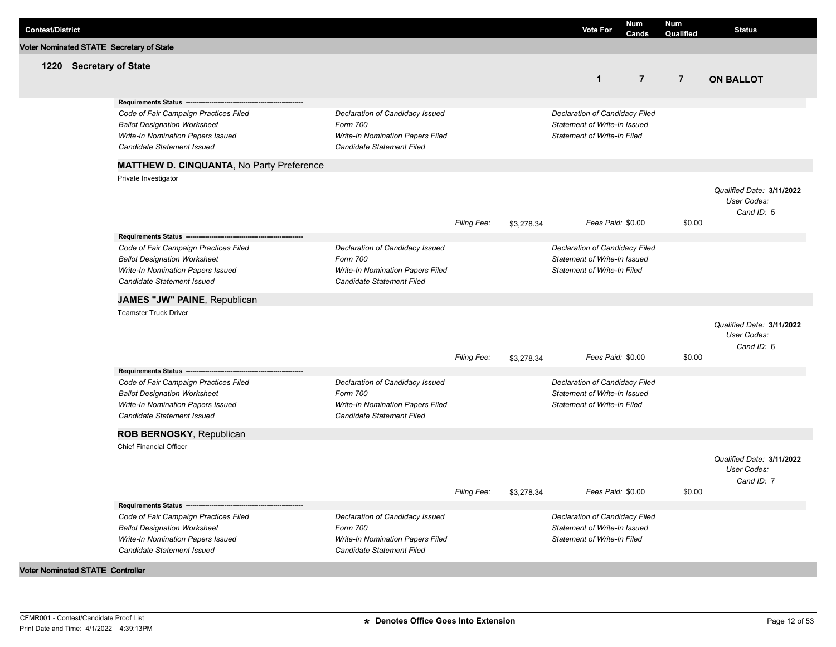| <b>Contest/District</b>                 |                         |                                                                                                                                                                                  |                                                                                                              |                    |            | <b>Vote For</b>                                                                                      | Num<br>Cands   | <b>Num</b><br>Qualified | <b>Status</b>                                          |
|-----------------------------------------|-------------------------|----------------------------------------------------------------------------------------------------------------------------------------------------------------------------------|--------------------------------------------------------------------------------------------------------------|--------------------|------------|------------------------------------------------------------------------------------------------------|----------------|-------------------------|--------------------------------------------------------|
|                                         |                         | Voter Nominated STATE Secretary of State                                                                                                                                         |                                                                                                              |                    |            |                                                                                                      |                |                         |                                                        |
|                                         | 1220 Secretary of State |                                                                                                                                                                                  |                                                                                                              |                    |            | $\mathbf{1}$                                                                                         | $\overline{7}$ | $\overline{7}$          | <b>ON BALLOT</b>                                       |
|                                         |                         | Requirements Status -----------------                                                                                                                                            |                                                                                                              |                    |            |                                                                                                      |                |                         |                                                        |
|                                         |                         | Code of Fair Campaign Practices Filed<br><b>Ballot Designation Worksheet</b><br>Write-In Nomination Papers Issued<br>Candidate Statement Issued                                  | Declaration of Candidacy Issued<br>Form 700<br>Write-In Nomination Papers Filed<br>Candidate Statement Filed |                    |            | Declaration of Candidacy Filed<br>Statement of Write-In Issued<br><b>Statement of Write-In Filed</b> |                |                         |                                                        |
|                                         |                         | MATTHEW D. CINQUANTA, No Party Preference                                                                                                                                        |                                                                                                              |                    |            |                                                                                                      |                |                         |                                                        |
|                                         |                         | Private Investigator                                                                                                                                                             |                                                                                                              | <b>Filing Fee:</b> | \$3,278.34 | Fees Paid: \$0.00                                                                                    |                | \$0.00                  | Qualified Date: 3/11/2022<br>User Codes:<br>Cand ID: 5 |
|                                         |                         |                                                                                                                                                                                  |                                                                                                              |                    |            |                                                                                                      |                |                         |                                                        |
|                                         |                         | Code of Fair Campaign Practices Filed<br><b>Ballot Designation Worksheet</b><br>Write-In Nomination Papers Issued<br>Candidate Statement Issued                                  | Declaration of Candidacy Issued<br>Form 700<br>Write-In Nomination Papers Filed<br>Candidate Statement Filed |                    |            | Declaration of Candidacy Filed<br>Statement of Write-In Issued<br><b>Statement of Write-In Filed</b> |                |                         |                                                        |
|                                         |                         | JAMES "JW" PAINE, Republican                                                                                                                                                     |                                                                                                              |                    |            |                                                                                                      |                |                         |                                                        |
|                                         |                         | <b>Teamster Truck Driver</b>                                                                                                                                                     |                                                                                                              | <b>Filing Fee:</b> | \$3,278.34 | Fees Paid: \$0.00                                                                                    |                | \$0.00                  | Qualified Date: 3/11/2022<br>User Codes:<br>Cand ID: 6 |
|                                         |                         | Requirements Status --<br>Code of Fair Campaign Practices Filed<br><b>Ballot Designation Worksheet</b><br>Write-In Nomination Papers Issued<br><b>Candidate Statement Issued</b> | Declaration of Candidacy Issued<br>Form 700<br>Write-In Nomination Papers Filed<br>Candidate Statement Filed |                    |            | Declaration of Candidacy Filed<br>Statement of Write-In Issued<br><b>Statement of Write-In Filed</b> |                |                         |                                                        |
|                                         |                         | ROB BERNOSKY, Republican                                                                                                                                                         |                                                                                                              |                    |            |                                                                                                      |                |                         |                                                        |
|                                         |                         | <b>Chief Financial Officer</b>                                                                                                                                                   |                                                                                                              | <b>Filing Fee:</b> | \$3,278.34 | Fees Paid: \$0.00                                                                                    |                | \$0.00                  | Qualified Date: 3/11/2022<br>User Codes:<br>Cand ID: 7 |
|                                         |                         | Requirements Status -------------------                                                                                                                                          |                                                                                                              |                    |            |                                                                                                      |                |                         |                                                        |
|                                         |                         | Code of Fair Campaign Practices Filed<br><b>Ballot Designation Worksheet</b><br>Write-In Nomination Papers Issued<br>Candidate Statement Issued                                  | Declaration of Candidacy Issued<br>Form 700<br>Write-In Nomination Papers Filed<br>Candidate Statement Filed |                    |            | Declaration of Candidacy Filed<br>Statement of Write-In Issued<br><b>Statement of Write-In Filed</b> |                |                         |                                                        |
| <b>Voter Nominated STATE Controller</b> |                         |                                                                                                                                                                                  |                                                                                                              |                    |            |                                                                                                      |                |                         |                                                        |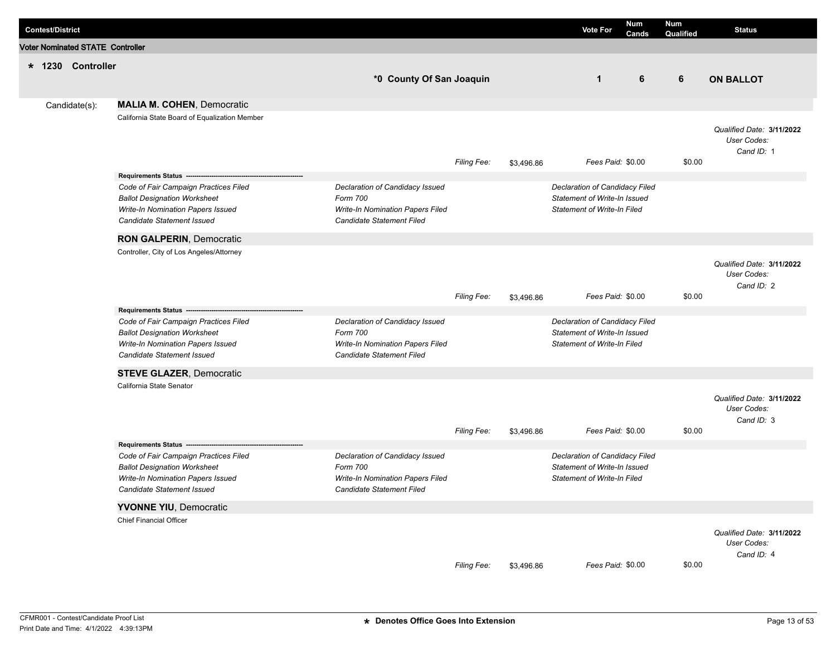| <b>Contest/District</b> |                                         |                                                                                                                                                 |                                                                                                                     |                    |            | <b>Vote For</b>                                                                                      | Num<br>Cands | <b>Num</b><br>Qualified | <b>Status</b>                                          |
|-------------------------|-----------------------------------------|-------------------------------------------------------------------------------------------------------------------------------------------------|---------------------------------------------------------------------------------------------------------------------|--------------------|------------|------------------------------------------------------------------------------------------------------|--------------|-------------------------|--------------------------------------------------------|
|                         | <b>Voter Nominated STATE Controller</b> |                                                                                                                                                 |                                                                                                                     |                    |            |                                                                                                      |              |                         |                                                        |
|                         | * 1230 Controller                       |                                                                                                                                                 |                                                                                                                     |                    |            |                                                                                                      |              |                         |                                                        |
|                         |                                         |                                                                                                                                                 | *0 County Of San Joaquin                                                                                            |                    |            | $\mathbf 1$                                                                                          | 6            | 6                       | <b>ON BALLOT</b>                                       |
|                         |                                         |                                                                                                                                                 |                                                                                                                     |                    |            |                                                                                                      |              |                         |                                                        |
|                         | Candidate(s):                           | <b>MALIA M. COHEN, Democratic</b>                                                                                                               |                                                                                                                     |                    |            |                                                                                                      |              |                         |                                                        |
|                         |                                         | California State Board of Equalization Member                                                                                                   |                                                                                                                     | Filing Fee:        | \$3,496.86 | Fees Paid: \$0.00                                                                                    |              | \$0.00                  | Qualified Date: 3/11/2022<br>User Codes:<br>Cand ID: 1 |
|                         |                                         | Requirements Status ---                                                                                                                         |                                                                                                                     |                    |            |                                                                                                      |              |                         |                                                        |
|                         |                                         | Code of Fair Campaign Practices Filed<br><b>Ballot Designation Worksheet</b><br>Write-In Nomination Papers Issued<br>Candidate Statement Issued | Declaration of Candidacy Issued<br>Form 700<br>Write-In Nomination Papers Filed<br>Candidate Statement Filed        |                    |            | Declaration of Candidacy Filed<br>Statement of Write-In Issued<br><b>Statement of Write-In Filed</b> |              |                         |                                                        |
|                         |                                         | <b>RON GALPERIN, Democratic</b>                                                                                                                 |                                                                                                                     |                    |            |                                                                                                      |              |                         |                                                        |
|                         |                                         | Controller, City of Los Angeles/Attorney                                                                                                        |                                                                                                                     | Filing Fee:        | \$3,496.86 | Fees Paid: \$0.00                                                                                    |              | \$0.00                  | Qualified Date: 3/11/2022<br>User Codes:<br>Cand ID: 2 |
|                         |                                         | Requirements Status --                                                                                                                          |                                                                                                                     |                    |            |                                                                                                      |              |                         |                                                        |
|                         |                                         | Code of Fair Campaign Practices Filed<br><b>Ballot Designation Worksheet</b><br>Write-In Nomination Papers Issued<br>Candidate Statement Issued | Declaration of Candidacy Issued<br>Form 700<br>Write-In Nomination Papers Filed<br>Candidate Statement Filed        |                    |            | Declaration of Candidacy Filed<br>Statement of Write-In Issued<br><b>Statement of Write-In Filed</b> |              |                         |                                                        |
|                         |                                         | <b>STEVE GLAZER, Democratic</b>                                                                                                                 |                                                                                                                     |                    |            |                                                                                                      |              |                         |                                                        |
|                         |                                         | California State Senator                                                                                                                        |                                                                                                                     | <b>Filing Fee:</b> | \$3,496.86 | Fees Paid: \$0.00                                                                                    |              | \$0.00                  | Qualified Date: 3/11/2022<br>User Codes:<br>Cand ID: 3 |
|                         |                                         | Requirements Status ------------------                                                                                                          |                                                                                                                     |                    |            |                                                                                                      |              |                         |                                                        |
|                         |                                         | Code of Fair Campaign Practices Filed<br><b>Ballot Designation Worksheet</b><br>Write-In Nomination Papers Issued<br>Candidate Statement Issued | Declaration of Candidacy Issued<br>Form 700<br><b>Write-In Nomination Papers Filed</b><br>Candidate Statement Filed |                    |            | Declaration of Candidacy Filed<br>Statement of Write-In Issued<br><b>Statement of Write-In Filed</b> |              |                         |                                                        |
|                         |                                         | <b>YVONNE YIU, Democratic</b>                                                                                                                   |                                                                                                                     |                    |            |                                                                                                      |              |                         |                                                        |
|                         |                                         | <b>Chief Financial Officer</b>                                                                                                                  |                                                                                                                     | Filing Fee:        | \$3,496.86 | Fees Paid: \$0.00                                                                                    |              | \$0.00                  | Qualified Date: 3/11/2022<br>User Codes:<br>Cand ID: 4 |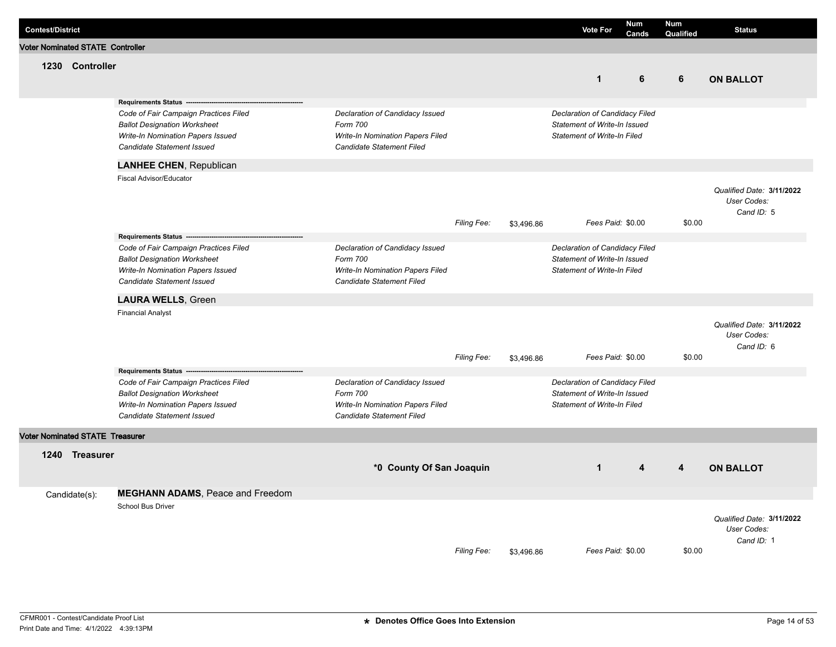| <b>Contest/District</b>                 |                                                                                                                                                                                                   |                                                                                                                     |                    |            | <b>Vote For</b>                                                                                      | <b>Num</b><br>Cands | <b>Num</b><br>Qualified | <b>Status</b>                                          |
|-----------------------------------------|---------------------------------------------------------------------------------------------------------------------------------------------------------------------------------------------------|---------------------------------------------------------------------------------------------------------------------|--------------------|------------|------------------------------------------------------------------------------------------------------|---------------------|-------------------------|--------------------------------------------------------|
| <b>Voter Nominated STATE Controller</b> |                                                                                                                                                                                                   |                                                                                                                     |                    |            |                                                                                                      |                     |                         |                                                        |
| 1230 Controller                         |                                                                                                                                                                                                   |                                                                                                                     |                    |            | $\mathbf{1}$                                                                                         | 6                   | 6                       | <b>ON BALLOT</b>                                       |
|                                         | Requirements Status -------------------<br>Code of Fair Campaign Practices Filed<br><b>Ballot Designation Worksheet</b><br>Write-In Nomination Papers Issued<br><b>Candidate Statement Issued</b> | Declaration of Candidacy Issued<br>Form 700<br>Write-In Nomination Papers Filed<br><b>Candidate Statement Filed</b> |                    |            | Declaration of Candidacy Filed<br>Statement of Write-In Issued<br>Statement of Write-In Filed        |                     |                         |                                                        |
|                                         | <b>LANHEE CHEN, Republican</b>                                                                                                                                                                    |                                                                                                                     |                    |            |                                                                                                      |                     |                         |                                                        |
|                                         | Fiscal Advisor/Educator                                                                                                                                                                           |                                                                                                                     | <b>Filing Fee:</b> | \$3,496.86 | Fees Paid: \$0.00                                                                                    |                     | \$0.00                  | Qualified Date: 3/11/2022<br>User Codes:<br>Cand ID: 5 |
|                                         | Requirements Status ----------------------------                                                                                                                                                  |                                                                                                                     |                    |            |                                                                                                      |                     |                         |                                                        |
|                                         | Code of Fair Campaign Practices Filed<br><b>Ballot Designation Worksheet</b><br>Write-In Nomination Papers Issued<br>Candidate Statement Issued                                                   | Declaration of Candidacy Issued<br>Form 700<br><b>Write-In Nomination Papers Filed</b><br>Candidate Statement Filed |                    |            | Declaration of Candidacy Filed<br>Statement of Write-In Issued<br>Statement of Write-In Filed        |                     |                         |                                                        |
|                                         | <b>LAURA WELLS, Green</b>                                                                                                                                                                         |                                                                                                                     |                    |            |                                                                                                      |                     |                         |                                                        |
|                                         | <b>Financial Analyst</b>                                                                                                                                                                          |                                                                                                                     | Filing Fee:        | \$3,496.86 | Fees Paid: \$0.00                                                                                    |                     | \$0.00                  | Qualified Date: 3/11/2022<br>User Codes:<br>Cand ID: 6 |
|                                         | Requirements Status ----------------------------                                                                                                                                                  |                                                                                                                     |                    |            |                                                                                                      |                     |                         |                                                        |
|                                         | Code of Fair Campaign Practices Filed<br><b>Ballot Designation Worksheet</b><br>Write-In Nomination Papers Issued<br>Candidate Statement Issued                                                   | Declaration of Candidacy Issued<br>Form 700<br>Write-In Nomination Papers Filed<br>Candidate Statement Filed        |                    |            | Declaration of Candidacy Filed<br>Statement of Write-In Issued<br><b>Statement of Write-In Filed</b> |                     |                         |                                                        |
| Voter Nominated STATE Treasurer         |                                                                                                                                                                                                   |                                                                                                                     |                    |            |                                                                                                      |                     |                         |                                                        |
| 1240 Treasurer                          |                                                                                                                                                                                                   | *0 County Of San Joaquin                                                                                            |                    |            | $\mathbf{1}$                                                                                         | 4                   | 4                       | <b>ON BALLOT</b>                                       |
| Candidate(s):                           | <b>MEGHANN ADAMS, Peace and Freedom</b>                                                                                                                                                           |                                                                                                                     |                    |            |                                                                                                      |                     |                         |                                                        |
|                                         | <b>School Bus Driver</b>                                                                                                                                                                          |                                                                                                                     | Filing Fee:        | \$3,496.86 | Fees Paid: \$0.00                                                                                    |                     | \$0.00                  | Qualified Date: 3/11/2022<br>User Codes:<br>Cand ID: 1 |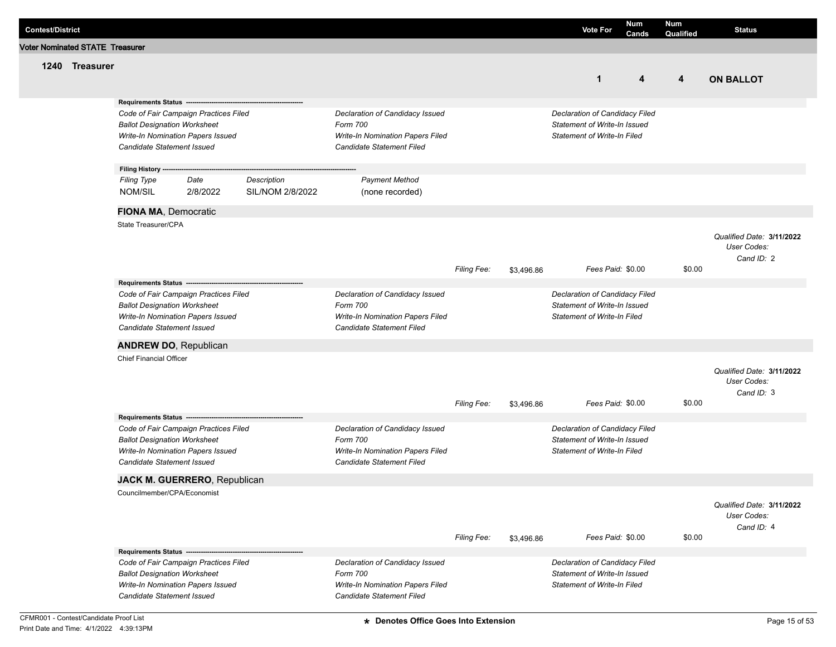| <b>Contest/District</b> |                                |                                                                   |                                                                            |                                 |                                                                                                              |                    |            | <b>Vote For</b>                                                                                      | <b>Num</b><br>Cands | <b>Num</b><br>Qualified | <b>Status</b>                                          |
|-------------------------|--------------------------------|-------------------------------------------------------------------|----------------------------------------------------------------------------|---------------------------------|--------------------------------------------------------------------------------------------------------------|--------------------|------------|------------------------------------------------------------------------------------------------------|---------------------|-------------------------|--------------------------------------------------------|
|                         | oter Nominated STATE Treasurer |                                                                   |                                                                            |                                 |                                                                                                              |                    |            |                                                                                                      |                     |                         |                                                        |
|                         | 1240 Treasurer                 |                                                                   |                                                                            |                                 |                                                                                                              |                    |            | $\mathbf{1}$                                                                                         | 4                   | 4                       | <b>ON BALLOT</b>                                       |
|                         |                                | Requirements Status ---                                           |                                                                            |                                 |                                                                                                              |                    |            |                                                                                                      |                     |                         |                                                        |
|                         |                                | <b>Ballot Designation Worksheet</b><br>Candidate Statement Issued | Code of Fair Campaign Practices Filed<br>Write-In Nomination Papers Issued |                                 | Declaration of Candidacy Issued<br>Form 700<br>Write-In Nomination Papers Filed<br>Candidate Statement Filed |                    |            | Declaration of Candidacy Filed<br>Statement of Write-In Issued<br><b>Statement of Write-In Filed</b> |                     |                         |                                                        |
|                         |                                | Filing History ---                                                |                                                                            |                                 |                                                                                                              |                    |            |                                                                                                      |                     |                         |                                                        |
|                         |                                | <b>Filing Type</b><br>NOM/SIL                                     | Date<br>2/8/2022                                                           | Description<br>SIL/NOM 2/8/2022 | <b>Payment Method</b><br>(none recorded)                                                                     |                    |            |                                                                                                      |                     |                         |                                                        |
|                         |                                | FIONA MA, Democratic                                              |                                                                            |                                 |                                                                                                              |                    |            |                                                                                                      |                     |                         |                                                        |
|                         |                                | State Treasurer/CPA                                               |                                                                            |                                 |                                                                                                              |                    |            |                                                                                                      |                     |                         | Qualified Date: 3/11/2022<br>User Codes:<br>Cand ID: 2 |
|                         |                                |                                                                   |                                                                            |                                 |                                                                                                              | <b>Filing Fee:</b> | \$3,496.86 | Fees Paid: \$0.00                                                                                    |                     | \$0.00                  |                                                        |
|                         |                                |                                                                   |                                                                            |                                 |                                                                                                              |                    |            |                                                                                                      |                     |                         |                                                        |
|                         |                                | <b>Ballot Designation Worksheet</b><br>Candidate Statement Issued | Code of Fair Campaign Practices Filed<br>Write-In Nomination Papers Issued |                                 | Declaration of Candidacy Issued<br>Form 700<br>Write-In Nomination Papers Filed<br>Candidate Statement Filed |                    |            | Declaration of Candidacy Filed<br>Statement of Write-In Issued<br><b>Statement of Write-In Filed</b> |                     |                         |                                                        |
|                         |                                | <b>ANDREW DO, Republican</b>                                      |                                                                            |                                 |                                                                                                              |                    |            |                                                                                                      |                     |                         |                                                        |
|                         |                                | <b>Chief Financial Officer</b>                                    |                                                                            |                                 |                                                                                                              | <b>Filing Fee:</b> | \$3,496.86 | Fees Paid: \$0.00                                                                                    |                     | \$0.00                  | Qualified Date: 3/11/2022<br>User Codes:<br>Cand ID: 3 |
|                         |                                |                                                                   | Requirements Status ------------------------                               |                                 |                                                                                                              |                    |            |                                                                                                      |                     |                         |                                                        |
|                         |                                | <b>Ballot Designation Worksheet</b><br>Candidate Statement Issued | Code of Fair Campaign Practices Filed<br>Write-In Nomination Papers Issued |                                 | Declaration of Candidacy Issued<br>Form 700<br>Write-In Nomination Papers Filed<br>Candidate Statement Filed |                    |            | Declaration of Candidacy Filed<br>Statement of Write-In Issued<br><b>Statement of Write-In Filed</b> |                     |                         |                                                        |
|                         |                                |                                                                   | JACK M. GUERRERO, Republican                                               |                                 |                                                                                                              |                    |            |                                                                                                      |                     |                         |                                                        |
|                         |                                | Councilmember/CPA/Economist                                       |                                                                            |                                 |                                                                                                              | <b>Filing Fee:</b> | \$3,496.86 | Fees Paid: \$0.00                                                                                    |                     | \$0.00                  | Qualified Date: 3/11/2022<br>User Codes:<br>Cand ID: 4 |
|                         |                                | Requirements Status --------------------                          |                                                                            |                                 |                                                                                                              |                    |            |                                                                                                      |                     |                         |                                                        |
|                         |                                | <b>Ballot Designation Worksheet</b><br>Candidate Statement Issued | Code of Fair Campaign Practices Filed<br>Write-In Nomination Papers Issued |                                 | Declaration of Candidacy Issued<br>Form 700<br>Write-In Nomination Papers Filed<br>Candidate Statement Filed |                    |            | Declaration of Candidacy Filed<br>Statement of Write-In Issued<br><b>Statement of Write-In Filed</b> |                     |                         |                                                        |

**Voter I**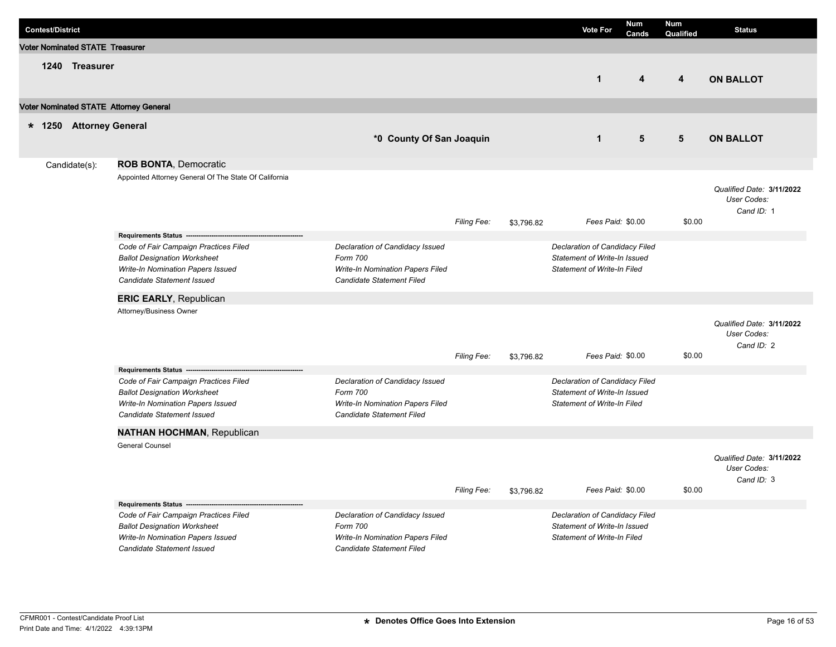| <b>Contest/District</b>                |                                        |                                                                                                                                                 |                                                                                                              |             | <b>Vote For</b> | <b>Num</b><br>Cands                                                                                  | <b>Num</b><br>Qualified | <b>Status</b>           |                                                        |
|----------------------------------------|----------------------------------------|-------------------------------------------------------------------------------------------------------------------------------------------------|--------------------------------------------------------------------------------------------------------------|-------------|-----------------|------------------------------------------------------------------------------------------------------|-------------------------|-------------------------|--------------------------------------------------------|
|                                        | <b>Voter Nominated STATE Treasurer</b> |                                                                                                                                                 |                                                                                                              |             |                 |                                                                                                      |                         |                         |                                                        |
|                                        | 1240 Treasurer                         |                                                                                                                                                 |                                                                                                              |             |                 | $\mathbf{1}$                                                                                         | $\overline{\mathbf{4}}$ | $\overline{\mathbf{4}}$ | <b>ON BALLOT</b>                                       |
| Voter Nominated STATE Attorney General |                                        |                                                                                                                                                 |                                                                                                              |             |                 |                                                                                                      |                         |                         |                                                        |
|                                        | * 1250 Attorney General                |                                                                                                                                                 | *0 County Of San Joaquin                                                                                     |             |                 | $\mathbf{1}$                                                                                         | 5                       | 5                       | <b>ON BALLOT</b>                                       |
|                                        | Candidate(s):                          | ROB BONTA, Democratic                                                                                                                           |                                                                                                              |             |                 |                                                                                                      |                         |                         |                                                        |
|                                        |                                        | Appointed Attorney General Of The State Of California                                                                                           |                                                                                                              | Filing Fee: | \$3,796.82      | Fees Paid: \$0.00                                                                                    |                         | \$0.00                  | Qualified Date: 3/11/2022<br>User Codes:<br>Cand ID: 1 |
|                                        |                                        |                                                                                                                                                 |                                                                                                              |             |                 |                                                                                                      |                         |                         |                                                        |
|                                        |                                        | Code of Fair Campaign Practices Filed<br><b>Ballot Designation Worksheet</b><br>Write-In Nomination Papers Issued<br>Candidate Statement Issued | Declaration of Candidacy Issued<br>Form 700<br>Write-In Nomination Papers Filed<br>Candidate Statement Filed |             |                 | Declaration of Candidacy Filed<br>Statement of Write-In Issued<br><b>Statement of Write-In Filed</b> |                         |                         |                                                        |
|                                        |                                        | <b>ERIC EARLY, Republican</b>                                                                                                                   |                                                                                                              |             |                 |                                                                                                      |                         |                         |                                                        |
|                                        |                                        | Attorney/Business Owner                                                                                                                         |                                                                                                              | Filing Fee: | \$3,796.82      | Fees Paid: \$0.00                                                                                    |                         | \$0.00                  | Qualified Date: 3/11/2022<br>User Codes:<br>Cand ID: 2 |
|                                        |                                        | Requirements Status --------------------------                                                                                                  |                                                                                                              |             |                 |                                                                                                      |                         |                         |                                                        |
|                                        |                                        | Code of Fair Campaign Practices Filed<br><b>Ballot Designation Worksheet</b><br>Write-In Nomination Papers Issued<br>Candidate Statement Issued | Declaration of Candidacy Issued<br>Form 700<br>Write-In Nomination Papers Filed<br>Candidate Statement Filed |             |                 | Declaration of Candidacy Filed<br>Statement of Write-In Issued<br>Statement of Write-In Filed        |                         |                         |                                                        |
|                                        |                                        | <b>NATHAN HOCHMAN, Republican</b>                                                                                                               |                                                                                                              |             |                 |                                                                                                      |                         |                         |                                                        |
|                                        |                                        | <b>General Counsel</b>                                                                                                                          |                                                                                                              | Filing Fee: | \$3,796.82      | Fees Paid: \$0.00                                                                                    |                         | \$0.00                  | Qualified Date: 3/11/2022<br>User Codes:<br>Cand ID: 3 |
|                                        |                                        | Requirements Status ------------------------                                                                                                    |                                                                                                              |             |                 |                                                                                                      |                         |                         |                                                        |
|                                        |                                        | Code of Fair Campaign Practices Filed<br><b>Ballot Designation Worksheet</b><br>Write-In Nomination Papers Issued<br>Candidate Statement Issued | Declaration of Candidacy Issued<br>Form 700<br>Write-In Nomination Papers Filed<br>Candidate Statement Filed |             |                 | Declaration of Candidacy Filed<br>Statement of Write-In Issued<br>Statement of Write-In Filed        |                         |                         |                                                        |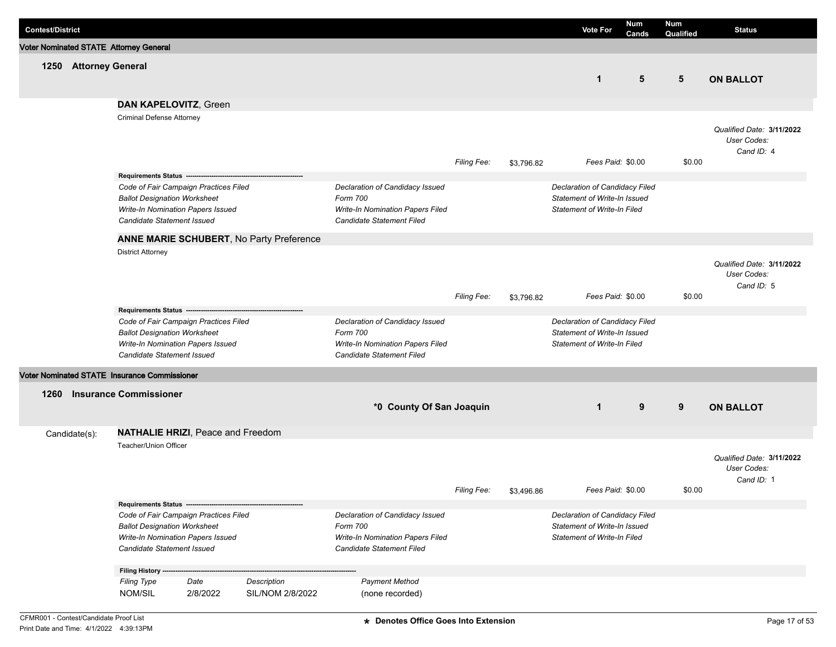| <b>Contest/District</b> |                       |                                                                                                                                                                                               |                  |                                          |                                                                                                              |                    |            | <b>Vote For</b>                                                                                      | <b>Num</b><br>Cands | <b>Num</b><br>Qualified | <b>Status</b>                                          |
|-------------------------|-----------------------|-----------------------------------------------------------------------------------------------------------------------------------------------------------------------------------------------|------------------|------------------------------------------|--------------------------------------------------------------------------------------------------------------|--------------------|------------|------------------------------------------------------------------------------------------------------|---------------------|-------------------------|--------------------------------------------------------|
|                         |                       | Voter Nominated STATE Attorney General                                                                                                                                                        |                  |                                          |                                                                                                              |                    |            |                                                                                                      |                     |                         |                                                        |
|                         | 1250 Attorney General |                                                                                                                                                                                               |                  |                                          |                                                                                                              |                    |            | $\mathbf 1$                                                                                          | 5                   | 5                       | <b>ON BALLOT</b>                                       |
|                         |                       | DAN KAPELOVITZ, Green                                                                                                                                                                         |                  |                                          |                                                                                                              |                    |            |                                                                                                      |                     |                         |                                                        |
|                         |                       | <b>Criminal Defense Attorney</b>                                                                                                                                                              |                  |                                          |                                                                                                              | Filing Fee:        | \$3,796.82 | Fees Paid: \$0.00                                                                                    |                     | \$0.00                  | Qualified Date: 3/11/2022<br>User Codes:<br>Cand ID: 4 |
|                         |                       | Requirements Status ----------------------<br>Code of Fair Campaign Practices Filed<br><b>Ballot Designation Worksheet</b><br>Write-In Nomination Papers Issued<br>Candidate Statement Issued |                  |                                          | Declaration of Candidacy Issued<br>Form 700<br>Write-In Nomination Papers Filed<br>Candidate Statement Filed |                    |            | Declaration of Candidacy Filed<br>Statement of Write-In Issued<br><b>Statement of Write-In Filed</b> |                     |                         |                                                        |
|                         |                       |                                                                                                                                                                                               |                  | ANNE MARIE SCHUBERT, No Party Preference |                                                                                                              |                    |            |                                                                                                      |                     |                         |                                                        |
|                         |                       | <b>District Attorney</b>                                                                                                                                                                      |                  |                                          |                                                                                                              | <b>Filing Fee:</b> | \$3,796.82 | Fees Paid: \$0.00                                                                                    |                     | \$0.00                  | Qualified Date: 3/11/2022<br>User Codes:<br>Cand ID: 5 |
|                         |                       | Requirements Status ----<br>Code of Fair Campaign Practices Filed<br><b>Ballot Designation Worksheet</b><br>Write-In Nomination Papers Issued<br>Candidate Statement Issued                   |                  |                                          | Declaration of Candidacy Issued<br>Form 700<br>Write-In Nomination Papers Filed<br>Candidate Statement Filed |                    |            | Declaration of Candidacy Filed<br>Statement of Write-In Issued<br><b>Statement of Write-In Filed</b> |                     |                         |                                                        |
|                         |                       | Voter Nominated STATE Insurance Commissioner                                                                                                                                                  |                  |                                          |                                                                                                              |                    |            |                                                                                                      |                     |                         |                                                        |
| 1260                    |                       | <b>Insurance Commissioner</b>                                                                                                                                                                 |                  |                                          | *0 County Of San Joaquin                                                                                     |                    |            | $\mathbf 1$                                                                                          | 9                   | 9                       | <b>ON BALLOT</b>                                       |
| Candidate(s):           |                       | <b>NATHALIE HRIZI, Peace and Freedom</b>                                                                                                                                                      |                  |                                          |                                                                                                              |                    |            |                                                                                                      |                     |                         |                                                        |
|                         |                       | Teacher/Union Officer                                                                                                                                                                         |                  |                                          |                                                                                                              | Filing Fee:        | \$3,496.86 | Fees Paid: \$0.00                                                                                    |                     | \$0.00                  | Qualified Date: 3/11/2022<br>User Codes:<br>Cand ID: 1 |
|                         |                       | Requirements Status ---------------------------------                                                                                                                                         |                  |                                          |                                                                                                              |                    |            |                                                                                                      |                     |                         |                                                        |
|                         |                       | Code of Fair Campaign Practices Filed<br><b>Ballot Designation Worksheet</b><br>Write-In Nomination Papers Issued<br>Candidate Statement Issued                                               |                  |                                          | Declaration of Candidacy Issued<br>Form 700<br>Write-In Nomination Papers Filed<br>Candidate Statement Filed |                    |            | Declaration of Candidacy Filed<br>Statement of Write-In Issued<br><b>Statement of Write-In Filed</b> |                     |                         |                                                        |
|                         |                       | Filing History ----                                                                                                                                                                           |                  |                                          |                                                                                                              |                    |            |                                                                                                      |                     |                         |                                                        |
|                         |                       | <b>Filing Type</b><br>NOM/SIL                                                                                                                                                                 | Date<br>2/8/2022 | Description<br>SIL/NOM 2/8/2022          | <b>Payment Method</b><br>(none recorded)                                                                     |                    |            |                                                                                                      |                     |                         |                                                        |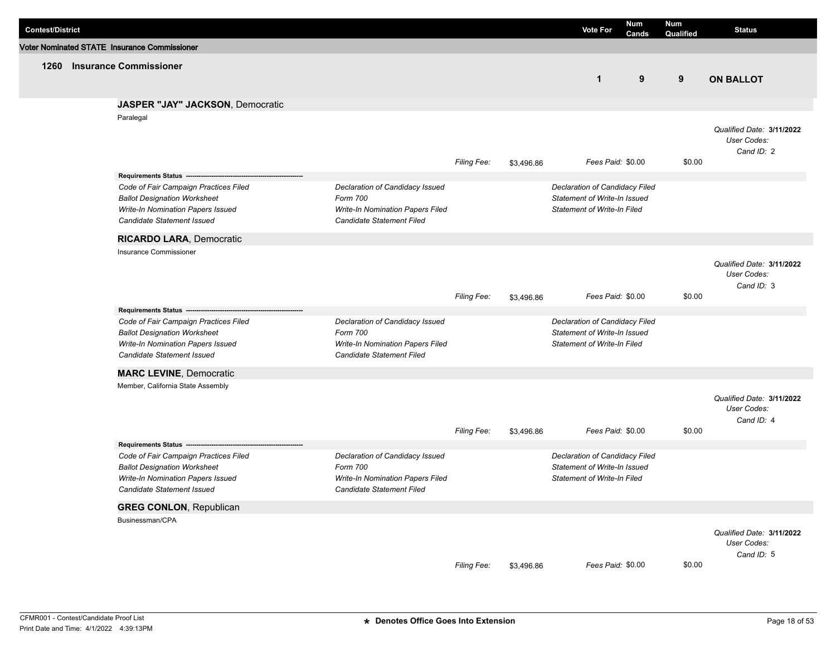| <b>Contest/District</b> |                                                                                                                                                        |                                                                                                                     |                    |            | <b>Vote For</b>                                                                                      | Num<br><b>Cands</b> | Num<br>Qualified | <b>Status</b>                                          |
|-------------------------|--------------------------------------------------------------------------------------------------------------------------------------------------------|---------------------------------------------------------------------------------------------------------------------|--------------------|------------|------------------------------------------------------------------------------------------------------|---------------------|------------------|--------------------------------------------------------|
|                         | Voter Nominated STATE Insurance Commissioner                                                                                                           |                                                                                                                     |                    |            |                                                                                                      |                     |                  |                                                        |
| 1260                    | <b>Insurance Commissioner</b>                                                                                                                          |                                                                                                                     |                    |            | $\mathbf 1$                                                                                          | 9                   | 9                | <b>ON BALLOT</b>                                       |
|                         |                                                                                                                                                        |                                                                                                                     |                    |            |                                                                                                      |                     |                  |                                                        |
|                         | <b>JASPER "JAY" JACKSON, Democratic</b>                                                                                                                |                                                                                                                     |                    |            |                                                                                                      |                     |                  |                                                        |
|                         | Paralegal                                                                                                                                              |                                                                                                                     | Filing Fee:        | \$3,496.86 | Fees Paid: \$0.00                                                                                    |                     | \$0.00           | Qualified Date: 3/11/2022<br>User Codes:<br>Cand ID: 2 |
|                         |                                                                                                                                                        |                                                                                                                     |                    |            |                                                                                                      |                     |                  |                                                        |
|                         | Code of Fair Campaign Practices Filed<br><b>Ballot Designation Worksheet</b><br>Write-In Nomination Papers Issued<br>Candidate Statement Issued        | Declaration of Candidacy Issued<br>Form 700<br>Write-In Nomination Papers Filed<br>Candidate Statement Filed        |                    |            | Declaration of Candidacy Filed<br>Statement of Write-In Issued<br><b>Statement of Write-In Filed</b> |                     |                  |                                                        |
|                         | <b>RICARDO LARA, Democratic</b>                                                                                                                        |                                                                                                                     |                    |            |                                                                                                      |                     |                  |                                                        |
|                         | Insurance Commissioner                                                                                                                                 |                                                                                                                     | Filing Fee:        | \$3,496.86 | Fees Paid: \$0.00                                                                                    |                     | \$0.00           | Qualified Date: 3/11/2022<br>User Codes:<br>Cand ID: 3 |
|                         | Requirements Status --                                                                                                                                 |                                                                                                                     |                    |            |                                                                                                      |                     |                  |                                                        |
|                         | Code of Fair Campaign Practices Filed<br><b>Ballot Designation Worksheet</b><br>Write-In Nomination Papers Issued<br><b>Candidate Statement Issued</b> | Declaration of Candidacy Issued<br>Form 700<br>Write-In Nomination Papers Filed<br>Candidate Statement Filed        |                    |            | Declaration of Candidacy Filed<br>Statement of Write-In Issued<br><b>Statement of Write-In Filed</b> |                     |                  |                                                        |
|                         | <b>MARC LEVINE, Democratic</b>                                                                                                                         |                                                                                                                     |                    |            |                                                                                                      |                     |                  |                                                        |
|                         | Member, California State Assembly                                                                                                                      |                                                                                                                     | <b>Filing Fee:</b> | \$3,496.86 | Fees Paid: \$0.00                                                                                    |                     | \$0.00           | Qualified Date: 3/11/2022<br>User Codes:<br>Cand ID: 4 |
|                         | Requirements Status ----------------                                                                                                                   |                                                                                                                     |                    |            |                                                                                                      |                     |                  |                                                        |
|                         | Code of Fair Campaign Practices Filed<br><b>Ballot Designation Worksheet</b><br>Write-In Nomination Papers Issued<br>Candidate Statement Issued        | Declaration of Candidacy Issued<br>Form 700<br><b>Write-In Nomination Papers Filed</b><br>Candidate Statement Filed |                    |            | Declaration of Candidacy Filed<br>Statement of Write-In Issued<br><b>Statement of Write-In Filed</b> |                     |                  |                                                        |
|                         | <b>GREG CONLON, Republican</b>                                                                                                                         |                                                                                                                     |                    |            |                                                                                                      |                     |                  |                                                        |
|                         | Businessman/CPA                                                                                                                                        |                                                                                                                     | Filing Fee:        | \$3,496.86 | Fees Paid: \$0.00                                                                                    |                     | \$0.00           | Qualified Date: 3/11/2022<br>User Codes:<br>Cand ID: 5 |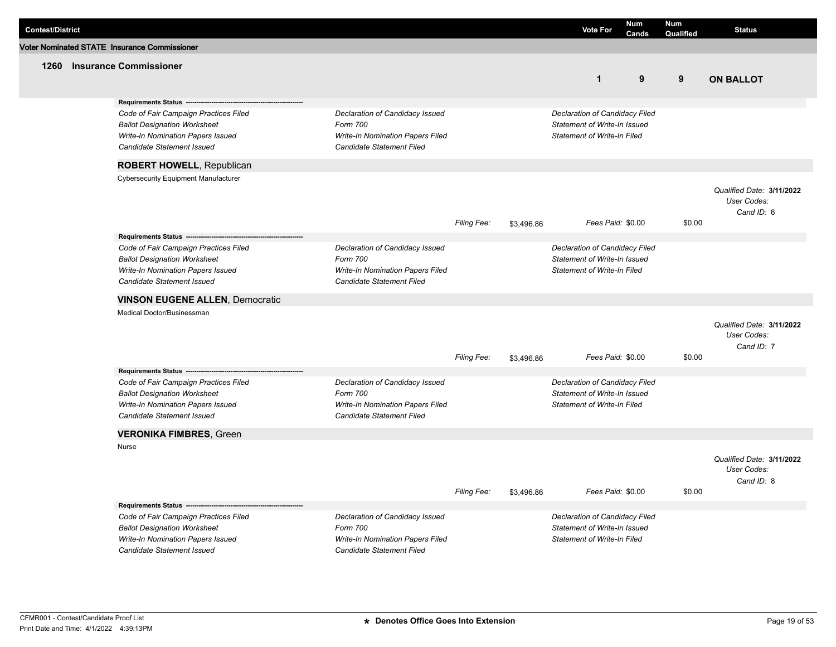| <b>Contest/District</b> |                                                                 |                                                               |             |            | <b>Vote For</b>                    | Num<br>Cands | <b>Num</b><br>Qualified | <b>Status</b>             |
|-------------------------|-----------------------------------------------------------------|---------------------------------------------------------------|-------------|------------|------------------------------------|--------------|-------------------------|---------------------------|
|                         | Voter Nominated STATE Insurance Commissioner                    |                                                               |             |            |                                    |              |                         |                           |
| 1260                    | <b>Insurance Commissioner</b>                                   |                                                               |             |            |                                    |              |                         |                           |
|                         |                                                                 |                                                               |             |            | $\mathbf{1}$                       | 9            | 9                       | <b>ON BALLOT</b>          |
|                         |                                                                 |                                                               |             |            |                                    |              |                         |                           |
|                         | Requirements Status ----                                        |                                                               |             |            |                                    |              |                         |                           |
|                         | Code of Fair Campaign Practices Filed                           | Declaration of Candidacy Issued                               |             |            | Declaration of Candidacy Filed     |              |                         |                           |
|                         | <b>Ballot Designation Worksheet</b>                             | Form 700                                                      |             |            | Statement of Write-In Issued       |              |                         |                           |
|                         | Write-In Nomination Papers Issued<br>Candidate Statement Issued | Write-In Nomination Papers Filed<br>Candidate Statement Filed |             |            | <b>Statement of Write-In Filed</b> |              |                         |                           |
|                         |                                                                 |                                                               |             |            |                                    |              |                         |                           |
|                         | ROBERT HOWELL, Republican                                       |                                                               |             |            |                                    |              |                         |                           |
|                         | <b>Cybersecurity Equipment Manufacturer</b>                     |                                                               |             |            |                                    |              |                         |                           |
|                         |                                                                 |                                                               |             |            |                                    |              |                         | Qualified Date: 3/11/2022 |
|                         |                                                                 |                                                               |             |            |                                    |              |                         | User Codes:<br>Cand ID: 6 |
|                         |                                                                 |                                                               | Filing Fee: | \$3,496.86 | Fees Paid: \$0.00                  |              | \$0.00                  |                           |
|                         | Requirements Status -------------------                         |                                                               |             |            |                                    |              |                         |                           |
|                         | Code of Fair Campaign Practices Filed                           | Declaration of Candidacy Issued                               |             |            | Declaration of Candidacy Filed     |              |                         |                           |
|                         | <b>Ballot Designation Worksheet</b>                             | Form 700                                                      |             |            | Statement of Write-In Issued       |              |                         |                           |
|                         | Write-In Nomination Papers Issued                               | Write-In Nomination Papers Filed                              |             |            | Statement of Write-In Filed        |              |                         |                           |
|                         | Candidate Statement Issued                                      | Candidate Statement Filed                                     |             |            |                                    |              |                         |                           |
|                         | <b>VINSON EUGENE ALLEN, Democratic</b>                          |                                                               |             |            |                                    |              |                         |                           |
|                         | Medical Doctor/Businessman                                      |                                                               |             |            |                                    |              |                         |                           |
|                         |                                                                 |                                                               |             |            |                                    |              |                         | Qualified Date: 3/11/2022 |
|                         |                                                                 |                                                               |             |            |                                    |              |                         | User Codes:<br>Cand ID: 7 |
|                         |                                                                 |                                                               | Filing Fee: | \$3,496.86 | Fees Paid: \$0.00                  |              | \$0.00                  |                           |
|                         | Requirements Status ---                                         |                                                               |             |            |                                    |              |                         |                           |
|                         | Code of Fair Campaign Practices Filed                           | Declaration of Candidacy Issued                               |             |            | Declaration of Candidacy Filed     |              |                         |                           |
|                         | <b>Ballot Designation Worksheet</b>                             | Form 700                                                      |             |            | Statement of Write-In Issued       |              |                         |                           |
|                         | Write-In Nomination Papers Issued                               | Write-In Nomination Papers Filed                              |             |            | <b>Statement of Write-In Filed</b> |              |                         |                           |
|                         | Candidate Statement Issued                                      | <b>Candidate Statement Filed</b>                              |             |            |                                    |              |                         |                           |
|                         | <b>VERONIKA FIMBRES, Green</b>                                  |                                                               |             |            |                                    |              |                         |                           |
|                         | <b>Nurse</b>                                                    |                                                               |             |            |                                    |              |                         |                           |
|                         |                                                                 |                                                               |             |            |                                    |              |                         | Qualified Date: 3/11/2022 |
|                         |                                                                 |                                                               |             |            |                                    |              |                         | User Codes:               |
|                         |                                                                 |                                                               | Filing Fee: | \$3,496.86 | Fees Paid: \$0.00                  |              | \$0.00                  | Cand ID: 8                |
|                         | Requirements Status --------------------                        |                                                               |             |            |                                    |              |                         |                           |
|                         | Code of Fair Campaign Practices Filed                           | Declaration of Candidacy Issued                               |             |            | Declaration of Candidacy Filed     |              |                         |                           |
|                         | <b>Ballot Designation Worksheet</b>                             | Form 700                                                      |             |            | Statement of Write-In Issued       |              |                         |                           |
|                         | Write-In Nomination Papers Issued                               | Write-In Nomination Papers Filed                              |             |            | <b>Statement of Write-In Filed</b> |              |                         |                           |
|                         | Candidate Statement Issued                                      | <b>Candidate Statement Filed</b>                              |             |            |                                    |              |                         |                           |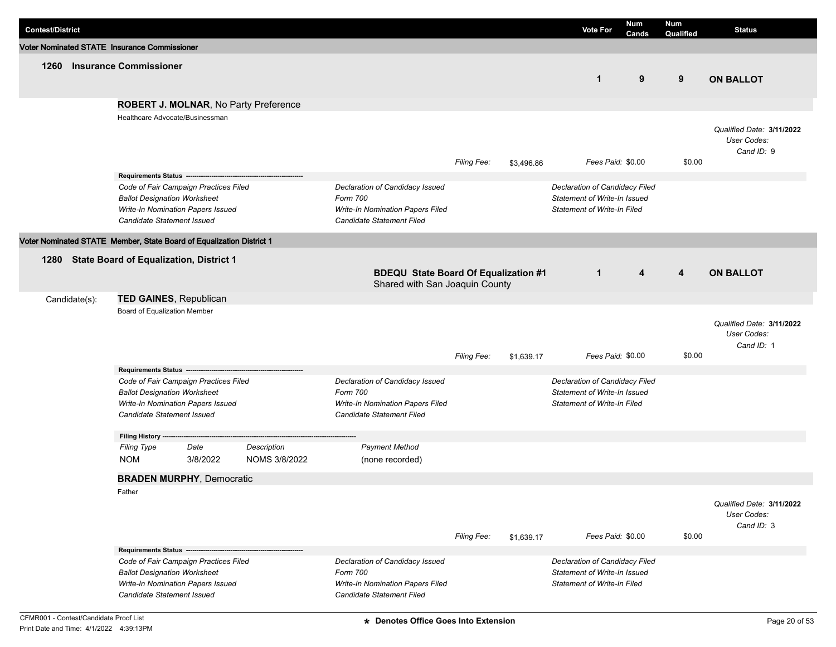| <b>Contest/District</b> |               |                                              |                                                                      |                                       |                                              |                    |            | <b>Vote For</b>                                                    | Num<br>Cands | Num<br>Qualified | <b>Status</b>                            |
|-------------------------|---------------|----------------------------------------------|----------------------------------------------------------------------|---------------------------------------|----------------------------------------------|--------------------|------------|--------------------------------------------------------------------|--------------|------------------|------------------------------------------|
|                         |               | Voter Nominated STATE Insurance Commissioner |                                                                      |                                       |                                              |                    |            |                                                                    |              |                  |                                          |
| 1260                    |               | <b>Insurance Commissioner</b>                |                                                                      |                                       |                                              |                    |            |                                                                    |              |                  |                                          |
|                         |               |                                              |                                                                      |                                       |                                              |                    |            | $\mathbf{1}$                                                       | 9            | 9                | <b>ON BALLOT</b>                         |
|                         |               |                                              |                                                                      |                                       |                                              |                    |            |                                                                    |              |                  |                                          |
|                         |               |                                              |                                                                      | ROBERT J. MOLNAR, No Party Preference |                                              |                    |            |                                                                    |              |                  |                                          |
|                         |               |                                              | Healthcare Advocate/Businessman                                      |                                       |                                              |                    |            |                                                                    |              |                  |                                          |
|                         |               |                                              |                                                                      |                                       |                                              |                    |            |                                                                    |              |                  | Qualified Date: 3/11/2022<br>User Codes: |
|                         |               |                                              |                                                                      |                                       |                                              |                    |            |                                                                    |              |                  | Cand ID: 9                               |
|                         |               |                                              |                                                                      |                                       |                                              | <b>Filing Fee:</b> | \$3,496.86 | Fees Paid: \$0.00                                                  |              | \$0.00           |                                          |
|                         |               |                                              | Requirements Status -------------------                              |                                       |                                              |                    |            |                                                                    |              |                  |                                          |
|                         |               | <b>Ballot Designation Worksheet</b>          | Code of Fair Campaign Practices Filed                                |                                       | Declaration of Candidacy Issued<br>Form 700  |                    |            | Declaration of Candidacy Filed<br>Statement of Write-In Issued     |              |                  |                                          |
|                         |               |                                              | Write-In Nomination Papers Issued                                    |                                       | <b>Write-In Nomination Papers Filed</b>      |                    |            | <b>Statement of Write-In Filed</b>                                 |              |                  |                                          |
|                         |               | Candidate Statement Issued                   |                                                                      |                                       | <b>Candidate Statement Filed</b>             |                    |            |                                                                    |              |                  |                                          |
|                         |               |                                              | Voter Nominated STATE Member, State Board of Equalization District 1 |                                       |                                              |                    |            |                                                                    |              |                  |                                          |
| 1280                    |               |                                              | <b>State Board of Equalization, District 1</b>                       |                                       |                                              |                    |            |                                                                    |              |                  |                                          |
|                         |               |                                              |                                                                      |                                       | <b>BDEQU State Board Of Equalization #1</b>  |                    |            | $\mathbf{1}$                                                       | 4            | 4                | <b>ON BALLOT</b>                         |
|                         |               |                                              |                                                                      |                                       | Shared with San Joaquin County               |                    |            |                                                                    |              |                  |                                          |
|                         | Candidate(s): |                                              | <b>TED GAINES, Republican</b>                                        |                                       |                                              |                    |            |                                                                    |              |                  |                                          |
|                         |               | Board of Equalization Member                 |                                                                      |                                       |                                              |                    |            |                                                                    |              |                  |                                          |
|                         |               |                                              |                                                                      |                                       |                                              |                    |            |                                                                    |              |                  | Qualified Date: 3/11/2022                |
|                         |               |                                              |                                                                      |                                       |                                              |                    |            |                                                                    |              |                  | User Codes:<br>Cand ID: 1                |
|                         |               |                                              |                                                                      |                                       |                                              | <b>Filing Fee:</b> | \$1,639.17 | Fees Paid: \$0.00                                                  |              | \$0.00           |                                          |
|                         |               | Requirements Status ---                      |                                                                      |                                       |                                              |                    |            |                                                                    |              |                  |                                          |
|                         |               |                                              | Code of Fair Campaign Practices Filed                                |                                       | Declaration of Candidacy Issued              |                    |            | Declaration of Candidacy Filed                                     |              |                  |                                          |
|                         |               | <b>Ballot Designation Worksheet</b>          | Write-In Nomination Papers Issued                                    |                                       | Form 700<br>Write-In Nomination Papers Filed |                    |            | Statement of Write-In Issued<br><b>Statement of Write-In Filed</b> |              |                  |                                          |
|                         |               | Candidate Statement Issued                   |                                                                      |                                       | Candidate Statement Filed                    |                    |            |                                                                    |              |                  |                                          |
|                         |               |                                              |                                                                      |                                       |                                              |                    |            |                                                                    |              |                  |                                          |
|                         |               | Filing History ----<br><b>Filing Type</b>    | Date                                                                 | Description                           | <b>Payment Method</b>                        |                    |            |                                                                    |              |                  |                                          |
|                         |               | <b>NOM</b>                                   | 3/8/2022                                                             | NOMS 3/8/2022                         | (none recorded)                              |                    |            |                                                                    |              |                  |                                          |
|                         |               |                                              |                                                                      |                                       |                                              |                    |            |                                                                    |              |                  |                                          |
|                         |               | Father                                       | <b>BRADEN MURPHY, Democratic</b>                                     |                                       |                                              |                    |            |                                                                    |              |                  |                                          |
|                         |               |                                              |                                                                      |                                       |                                              |                    |            |                                                                    |              |                  | Qualified Date: 3/11/2022                |
|                         |               |                                              |                                                                      |                                       |                                              |                    |            |                                                                    |              |                  | User Codes:                              |
|                         |               |                                              |                                                                      |                                       |                                              |                    |            |                                                                    |              |                  | Cand ID: 3                               |
|                         |               |                                              |                                                                      |                                       |                                              | Filing Fee:        | \$1,639.17 | Fees Paid: \$0.00                                                  |              | \$0.00           |                                          |
|                         |               | Requirements Status ------                   | Code of Fair Campaign Practices Filed                                |                                       | Declaration of Candidacy Issued              |                    |            | Declaration of Candidacy Filed                                     |              |                  |                                          |
|                         |               | <b>Ballot Designation Worksheet</b>          |                                                                      |                                       | Form 700                                     |                    |            | Statement of Write-In Issued                                       |              |                  |                                          |
|                         |               |                                              | Write-In Nomination Papers Issued                                    |                                       | <b>Write-In Nomination Papers Filed</b>      |                    |            | <b>Statement of Write-In Filed</b>                                 |              |                  |                                          |
|                         |               | Candidate Statement Issued                   |                                                                      |                                       | Candidate Statement Filed                    |                    |            |                                                                    |              |                  |                                          |

I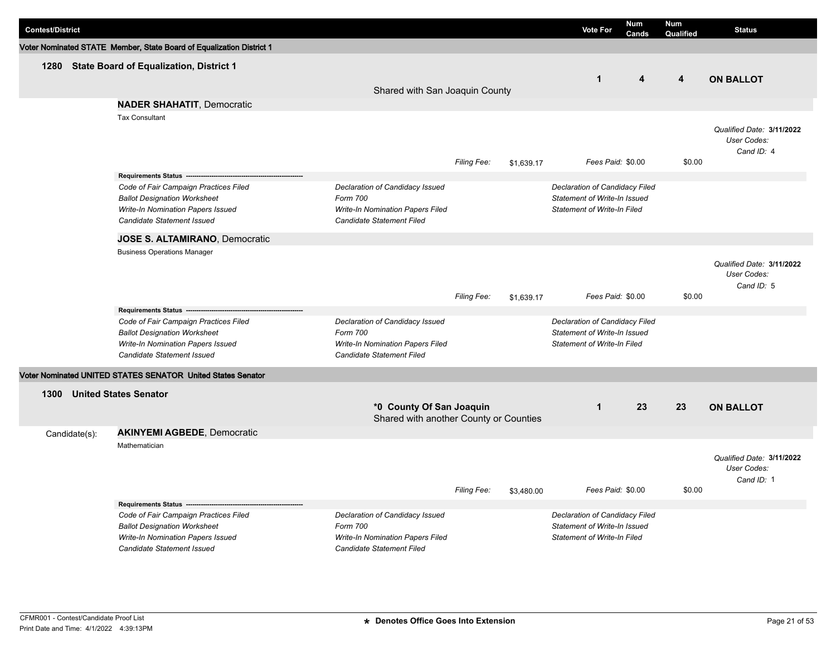| <b>Contest/District</b> |                                                                                                                                                 |                                                                                                              |             |            | <b>Vote For</b>                                                                                      | <b>Num</b><br>Cands | <b>Num</b><br>Qualified | <b>Status</b>                                          |
|-------------------------|-------------------------------------------------------------------------------------------------------------------------------------------------|--------------------------------------------------------------------------------------------------------------|-------------|------------|------------------------------------------------------------------------------------------------------|---------------------|-------------------------|--------------------------------------------------------|
|                         | Voter Nominated STATE Member, State Board of Equalization District 1                                                                            |                                                                                                              |             |            |                                                                                                      |                     |                         |                                                        |
|                         | 1280 State Board of Equalization, District 1                                                                                                    | Shared with San Joaquin County                                                                               |             |            | $\mathbf{1}$                                                                                         | 4                   | 4                       | <b>ON BALLOT</b>                                       |
|                         | <b>NADER SHAHATIT, Democratic</b>                                                                                                               |                                                                                                              |             |            |                                                                                                      |                     |                         |                                                        |
|                         | <b>Tax Consultant</b>                                                                                                                           |                                                                                                              | Filing Fee: | \$1,639.17 | Fees Paid: \$0.00                                                                                    |                     | \$0.00                  | Qualified Date: 3/11/2022<br>User Codes:<br>Cand ID: 4 |
|                         | <b>Requirements Status -</b>                                                                                                                    |                                                                                                              |             |            |                                                                                                      |                     |                         |                                                        |
|                         | Code of Fair Campaign Practices Filed<br><b>Ballot Designation Worksheet</b><br>Write-In Nomination Papers Issued<br>Candidate Statement Issued | Declaration of Candidacy Issued<br>Form 700<br>Write-In Nomination Papers Filed<br>Candidate Statement Filed |             |            | Declaration of Candidacy Filed<br>Statement of Write-In Issued<br><b>Statement of Write-In Filed</b> |                     |                         |                                                        |
|                         | JOSE S. ALTAMIRANO, Democratic                                                                                                                  |                                                                                                              |             |            |                                                                                                      |                     |                         |                                                        |
|                         | <b>Business Operations Manager</b>                                                                                                              |                                                                                                              | Filing Fee: | \$1,639.17 | Fees Paid: \$0.00                                                                                    |                     | \$0.00                  | Qualified Date: 3/11/2022<br>User Codes:<br>Cand ID: 5 |
|                         | Requirements Status -                                                                                                                           |                                                                                                              |             |            |                                                                                                      |                     |                         |                                                        |
|                         | Code of Fair Campaign Practices Filed<br><b>Ballot Designation Worksheet</b><br>Write-In Nomination Papers Issued<br>Candidate Statement Issued | Declaration of Candidacy Issued<br>Form 700<br>Write-In Nomination Papers Filed<br>Candidate Statement Filed |             |            | Declaration of Candidacy Filed<br>Statement of Write-In Issued<br><b>Statement of Write-In Filed</b> |                     |                         |                                                        |
|                         | Voter Nominated UNITED STATES SENATOR United States Senator                                                                                     |                                                                                                              |             |            |                                                                                                      |                     |                         |                                                        |
| 1300                    | <b>United States Senator</b>                                                                                                                    |                                                                                                              |             |            |                                                                                                      |                     |                         |                                                        |
|                         |                                                                                                                                                 | *0 County Of San Joaquin<br>Shared with another County or Counties                                           |             |            | $\mathbf 1$                                                                                          | 23                  | 23                      | <b>ON BALLOT</b>                                       |
| Candidate(s):           | <b>AKINYEMI AGBEDE, Democratic</b>                                                                                                              |                                                                                                              |             |            |                                                                                                      |                     |                         |                                                        |
|                         | Mathematician                                                                                                                                   |                                                                                                              | Filing Fee: | \$3,480.00 | Fees Paid: \$0.00                                                                                    |                     | \$0.00                  | Qualified Date: 3/11/2022<br>User Codes:<br>Cand ID: 1 |
|                         | Requirements Status -------------------                                                                                                         |                                                                                                              |             |            |                                                                                                      |                     |                         |                                                        |
|                         | Code of Fair Campaign Practices Filed<br><b>Ballot Designation Worksheet</b><br>Write-In Nomination Papers Issued<br>Candidate Statement Issued | Declaration of Candidacy Issued<br>Form 700<br>Write-In Nomination Papers Filed<br>Candidate Statement Filed |             |            | Declaration of Candidacy Filed<br>Statement of Write-In Issued<br><b>Statement of Write-In Filed</b> |                     |                         |                                                        |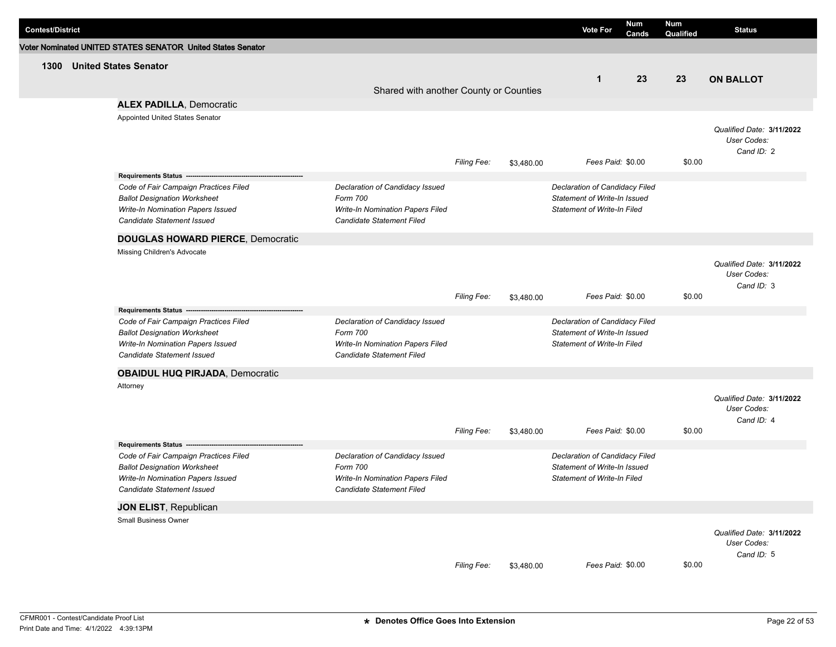| <b>Contest/District</b> |                                                             |                                         |             |            | <b>Vote For</b>                    | <b>Num</b><br>Cands | Num<br>Qualified | <b>Status</b>             |
|-------------------------|-------------------------------------------------------------|-----------------------------------------|-------------|------------|------------------------------------|---------------------|------------------|---------------------------|
|                         | Voter Nominated UNITED STATES SENATOR United States Senator |                                         |             |            |                                    |                     |                  |                           |
| 1300                    | <b>United States Senator</b>                                |                                         |             |            |                                    |                     |                  |                           |
|                         |                                                             |                                         |             |            | $\mathbf{1}$                       | 23                  | 23               | <b>ON BALLOT</b>          |
|                         |                                                             | Shared with another County or Counties  |             |            |                                    |                     |                  |                           |
|                         | <b>ALEX PADILLA, Democratic</b>                             |                                         |             |            |                                    |                     |                  |                           |
|                         | Appointed United States Senator                             |                                         |             |            |                                    |                     |                  |                           |
|                         |                                                             |                                         |             |            |                                    |                     |                  | Qualified Date: 3/11/2022 |
|                         |                                                             |                                         |             |            |                                    |                     |                  | User Codes:<br>Cand ID: 2 |
|                         |                                                             |                                         | Filing Fee: | \$3,480.00 | Fees Paid: \$0.00                  |                     | \$0.00           |                           |
|                         |                                                             |                                         |             |            |                                    |                     |                  |                           |
|                         | Code of Fair Campaign Practices Filed                       | Declaration of Candidacy Issued         |             |            | Declaration of Candidacy Filed     |                     |                  |                           |
|                         | <b>Ballot Designation Worksheet</b>                         | Form 700                                |             |            | Statement of Write-In Issued       |                     |                  |                           |
|                         | Write-In Nomination Papers Issued                           | Write-In Nomination Papers Filed        |             |            | <b>Statement of Write-In Filed</b> |                     |                  |                           |
|                         | <b>Candidate Statement Issued</b>                           | Candidate Statement Filed               |             |            |                                    |                     |                  |                           |
|                         | <b>DOUGLAS HOWARD PIERCE, Democratic</b>                    |                                         |             |            |                                    |                     |                  |                           |
|                         | Missing Children's Advocate                                 |                                         |             |            |                                    |                     |                  |                           |
|                         |                                                             |                                         |             |            |                                    |                     |                  | Qualified Date: 3/11/2022 |
|                         |                                                             |                                         |             |            |                                    |                     |                  | User Codes:<br>Cand ID: 3 |
|                         |                                                             |                                         | Filing Fee: | \$3,480.00 | Fees Paid: \$0.00                  |                     | \$0.00           |                           |
|                         | Requirements Status ---                                     |                                         |             |            |                                    |                     |                  |                           |
|                         | Code of Fair Campaign Practices Filed                       | Declaration of Candidacy Issued         |             |            | Declaration of Candidacy Filed     |                     |                  |                           |
|                         | <b>Ballot Designation Worksheet</b>                         | Form 700                                |             |            | Statement of Write-In Issued       |                     |                  |                           |
|                         | Write-In Nomination Papers Issued                           | Write-In Nomination Papers Filed        |             |            | <b>Statement of Write-In Filed</b> |                     |                  |                           |
|                         | <b>Candidate Statement Issued</b>                           | Candidate Statement Filed               |             |            |                                    |                     |                  |                           |
|                         | <b>OBAIDUL HUQ PIRJADA, Democratic</b>                      |                                         |             |            |                                    |                     |                  |                           |
|                         | Attorney                                                    |                                         |             |            |                                    |                     |                  |                           |
|                         |                                                             |                                         |             |            |                                    |                     |                  | Qualified Date: 3/11/2022 |
|                         |                                                             |                                         |             |            |                                    |                     |                  | User Codes:<br>Cand ID: 4 |
|                         |                                                             |                                         | Filing Fee: | \$3,480.00 | Fees Paid: \$0.00                  |                     | \$0.00           |                           |
|                         | Requirements Status ------------------                      |                                         |             |            |                                    |                     |                  |                           |
|                         | Code of Fair Campaign Practices Filed                       | Declaration of Candidacy Issued         |             |            | Declaration of Candidacy Filed     |                     |                  |                           |
|                         | <b>Ballot Designation Worksheet</b>                         | Form 700                                |             |            | Statement of Write-In Issued       |                     |                  |                           |
|                         | Write-In Nomination Papers Issued                           | <b>Write-In Nomination Papers Filed</b> |             |            | <b>Statement of Write-In Filed</b> |                     |                  |                           |
|                         | Candidate Statement Issued                                  | Candidate Statement Filed               |             |            |                                    |                     |                  |                           |
|                         | JON ELIST, Republican                                       |                                         |             |            |                                    |                     |                  |                           |
|                         | Small Business Owner                                        |                                         |             |            |                                    |                     |                  |                           |
|                         |                                                             |                                         |             |            |                                    |                     |                  | Qualified Date: 3/11/2022 |
|                         |                                                             |                                         |             |            |                                    |                     |                  | User Codes:               |
|                         |                                                             |                                         | Filing Fee: | \$3,480.00 | Fees Paid: \$0.00                  |                     | \$0.00           | Cand ID: 5                |
|                         |                                                             |                                         |             |            |                                    |                     |                  |                           |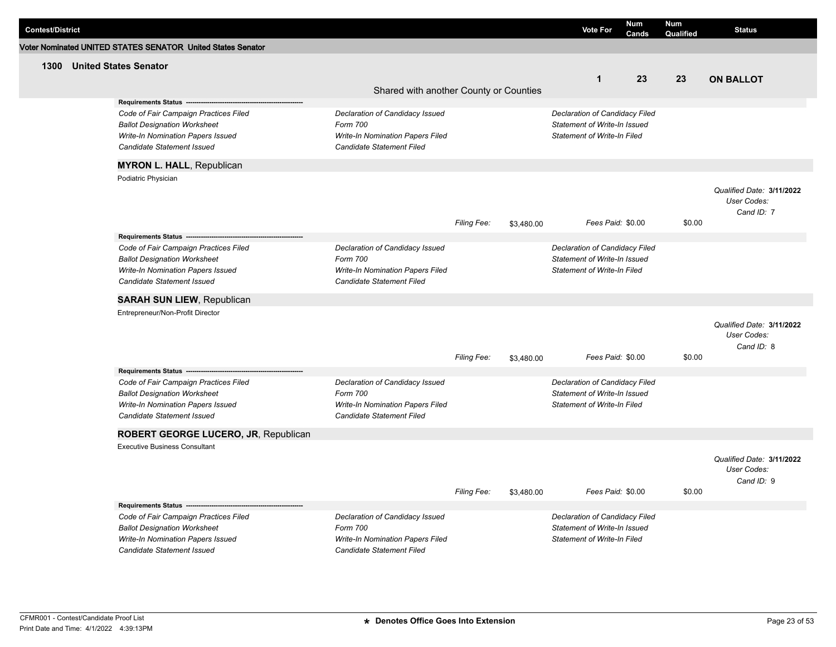| <b>Contest/District</b> |                                                                                  |                                                               |             |            | <b>Vote For</b>                                             | <b>Num</b><br>Cands | <b>Num</b><br>Qualified | <b>Status</b>                            |
|-------------------------|----------------------------------------------------------------------------------|---------------------------------------------------------------|-------------|------------|-------------------------------------------------------------|---------------------|-------------------------|------------------------------------------|
|                         | Voter Nominated UNITED STATES SENATOR United States Senator                      |                                                               |             |            |                                                             |                     |                         |                                          |
| 1300                    | <b>United States Senator</b>                                                     |                                                               |             |            |                                                             |                     |                         |                                          |
|                         |                                                                                  |                                                               |             |            | $\mathbf{1}$                                                | 23                  | 23                      | <b>ON BALLOT</b>                         |
|                         |                                                                                  | Shared with another County or Counties                        |             |            |                                                             |                     |                         |                                          |
|                         | Requirements Status ----                                                         |                                                               |             |            |                                                             |                     |                         |                                          |
|                         | Code of Fair Campaign Practices Filed                                            | Declaration of Candidacy Issued                               |             |            | Declaration of Candidacy Filed                              |                     |                         |                                          |
|                         | <b>Ballot Designation Worksheet</b>                                              | Form 700                                                      |             |            | Statement of Write-In Issued                                |                     |                         |                                          |
|                         | Write-In Nomination Papers Issued<br>Candidate Statement Issued                  | Write-In Nomination Papers Filed<br>Candidate Statement Filed |             |            | <b>Statement of Write-In Filed</b>                          |                     |                         |                                          |
|                         | <b>MYRON L. HALL, Republican</b>                                                 |                                                               |             |            |                                                             |                     |                         |                                          |
|                         | Podiatric Physician                                                              |                                                               |             |            |                                                             |                     |                         |                                          |
|                         |                                                                                  |                                                               |             |            |                                                             |                     |                         | Qualified Date: 3/11/2022                |
|                         |                                                                                  |                                                               |             |            |                                                             |                     |                         | User Codes:                              |
|                         |                                                                                  |                                                               |             |            |                                                             |                     |                         | Cand ID: 7                               |
|                         |                                                                                  |                                                               | Filing Fee: | \$3,480.00 | Fees Paid: \$0.00                                           |                     | \$0.00                  |                                          |
|                         | Requirements Status --                                                           |                                                               |             |            |                                                             |                     |                         |                                          |
|                         | Code of Fair Campaign Practices Filed                                            | Declaration of Candidacy Issued                               |             |            | Declaration of Candidacy Filed                              |                     |                         |                                          |
|                         | <b>Ballot Designation Worksheet</b><br>Write-In Nomination Papers Issued         | Form 700<br>Write-In Nomination Papers Filed                  |             |            | Statement of Write-In Issued<br>Statement of Write-In Filed |                     |                         |                                          |
|                         | <b>Candidate Statement Issued</b>                                                | Candidate Statement Filed                                     |             |            |                                                             |                     |                         |                                          |
|                         |                                                                                  |                                                               |             |            |                                                             |                     |                         |                                          |
|                         | <b>SARAH SUN LIEW, Republican</b>                                                |                                                               |             |            |                                                             |                     |                         |                                          |
|                         | Entrepreneur/Non-Profit Director                                                 |                                                               |             |            |                                                             |                     |                         |                                          |
|                         |                                                                                  |                                                               |             |            |                                                             |                     |                         | Qualified Date: 3/11/2022<br>User Codes: |
|                         |                                                                                  |                                                               |             |            |                                                             |                     |                         | Cand ID: 8                               |
|                         |                                                                                  |                                                               | Filing Fee: | \$3,480.00 | Fees Paid: \$0.00                                           |                     | \$0.00                  |                                          |
|                         | Requirements Status --                                                           |                                                               |             |            |                                                             |                     |                         |                                          |
|                         | Code of Fair Campaign Practices Filed                                            | Declaration of Candidacy Issued                               |             |            | Declaration of Candidacy Filed                              |                     |                         |                                          |
|                         | <b>Ballot Designation Worksheet</b>                                              | Form 700                                                      |             |            | <b>Statement of Write-In Issued</b>                         |                     |                         |                                          |
|                         | Write-In Nomination Papers Issued                                                | Write-In Nomination Papers Filed                              |             |            | <b>Statement of Write-In Filed</b>                          |                     |                         |                                          |
|                         | Candidate Statement Issued                                                       | Candidate Statement Filed                                     |             |            |                                                             |                     |                         |                                          |
|                         | ROBERT GEORGE LUCERO, JR, Republican                                             |                                                               |             |            |                                                             |                     |                         |                                          |
|                         | <b>Executive Business Consultant</b>                                             |                                                               |             |            |                                                             |                     |                         |                                          |
|                         |                                                                                  |                                                               |             |            |                                                             |                     |                         | Qualified Date: 3/11/2022                |
|                         |                                                                                  |                                                               |             |            |                                                             |                     |                         | User Codes:                              |
|                         |                                                                                  |                                                               |             |            |                                                             |                     |                         | Cand ID: 9                               |
|                         |                                                                                  |                                                               | Filing Fee: | \$3,480.00 | Fees Paid: \$0.00                                           |                     | \$0.00                  |                                          |
|                         | Requirements Status -------------------<br>Code of Fair Campaign Practices Filed |                                                               |             |            | Declaration of Candidacy Filed                              |                     |                         |                                          |
|                         | <b>Ballot Designation Worksheet</b>                                              | Declaration of Candidacy Issued<br>Form 700                   |             |            | Statement of Write-In Issued                                |                     |                         |                                          |
|                         | Write-In Nomination Papers Issued                                                | Write-In Nomination Papers Filed                              |             |            | <b>Statement of Write-In Filed</b>                          |                     |                         |                                          |
|                         | <b>Candidate Statement Issued</b>                                                | Candidate Statement Filed                                     |             |            |                                                             |                     |                         |                                          |
|                         |                                                                                  |                                                               |             |            |                                                             |                     |                         |                                          |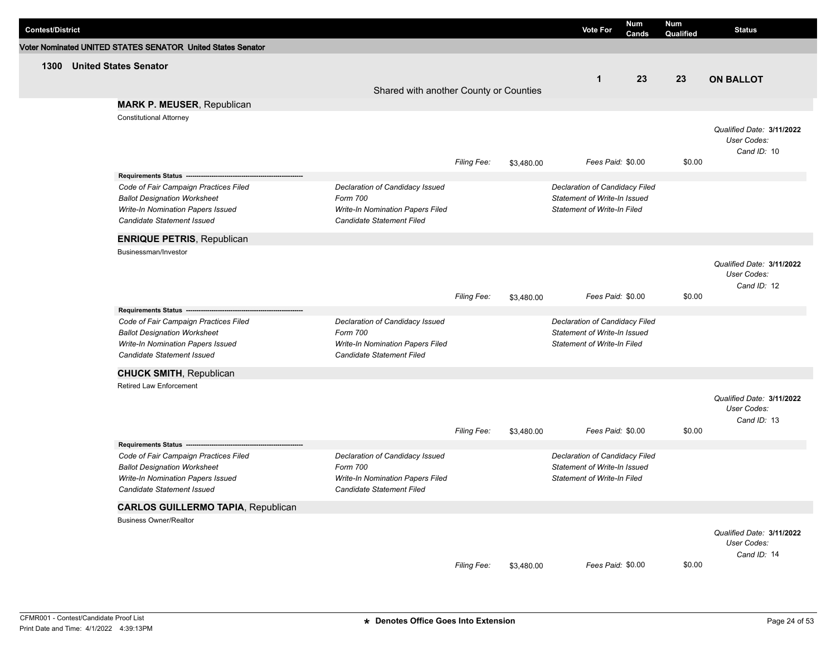| <b>Contest/District</b> |                                                                                                                                                                                                          |                                                                                                                     |                    |            | <b>Vote For</b>                                                                                      | <b>Num</b><br>Cands | Num<br>Qualified | <b>Status</b>                                           |
|-------------------------|----------------------------------------------------------------------------------------------------------------------------------------------------------------------------------------------------------|---------------------------------------------------------------------------------------------------------------------|--------------------|------------|------------------------------------------------------------------------------------------------------|---------------------|------------------|---------------------------------------------------------|
|                         | Voter Nominated UNITED STATES SENATOR United States Senator                                                                                                                                              |                                                                                                                     |                    |            |                                                                                                      |                     |                  |                                                         |
| 1300                    | <b>United States Senator</b><br><b>MARK P. MEUSER, Republican</b>                                                                                                                                        | Shared with another County or Counties                                                                              |                    |            | $\mathbf{1}$                                                                                         | 23                  | 23               | <b>ON BALLOT</b>                                        |
|                         | <b>Constitutional Attorney</b>                                                                                                                                                                           |                                                                                                                     | <b>Filing Fee:</b> | \$3,480.00 | Fees Paid: \$0.00                                                                                    |                     | \$0.00           | Qualified Date: 3/11/2022<br>User Codes:<br>Cand ID: 10 |
|                         | Requirements Status ---------------------------------<br>Code of Fair Campaign Practices Filed<br><b>Ballot Designation Worksheet</b><br>Write-In Nomination Papers Issued<br>Candidate Statement Issued | Declaration of Candidacy Issued<br>Form 700<br>Write-In Nomination Papers Filed<br>Candidate Statement Filed        |                    |            | Declaration of Candidacy Filed<br>Statement of Write-In Issued<br><b>Statement of Write-In Filed</b> |                     |                  |                                                         |
|                         | <b>ENRIQUE PETRIS, Republican</b>                                                                                                                                                                        |                                                                                                                     |                    |            |                                                                                                      |                     |                  |                                                         |
|                         | Businessman/Investor                                                                                                                                                                                     |                                                                                                                     | <b>Filing Fee:</b> | \$3,480.00 | Fees Paid: \$0.00                                                                                    |                     | \$0.00           | Qualified Date: 3/11/2022<br>User Codes:<br>Cand ID: 12 |
|                         | Requirements Status ---<br>Code of Fair Campaign Practices Filed<br><b>Ballot Designation Worksheet</b><br>Write-In Nomination Papers Issued<br><b>Candidate Statement Issued</b>                        | Declaration of Candidacy Issued<br>Form 700<br>Write-In Nomination Papers Filed<br>Candidate Statement Filed        |                    |            | Declaration of Candidacy Filed<br>Statement of Write-In Issued<br>Statement of Write-In Filed        |                     |                  |                                                         |
|                         | <b>CHUCK SMITH, Republican</b>                                                                                                                                                                           |                                                                                                                     |                    |            |                                                                                                      |                     |                  |                                                         |
|                         | Retired Law Enforcement                                                                                                                                                                                  |                                                                                                                     | Filing Fee:        | \$3,480.00 | Fees Paid: \$0.00                                                                                    |                     | \$0.00           | Qualified Date: 3/11/2022<br>User Codes:<br>Cand ID: 13 |
|                         | Requirements Status -----------------------<br>Code of Fair Campaign Practices Filed<br><b>Ballot Designation Worksheet</b><br>Write-In Nomination Papers Issued<br>Candidate Statement Issued           | Declaration of Candidacy Issued<br>Form 700<br><b>Write-In Nomination Papers Filed</b><br>Candidate Statement Filed |                    |            | Declaration of Candidacy Filed<br>Statement of Write-In Issued<br><b>Statement of Write-In Filed</b> |                     |                  |                                                         |
|                         | <b>CARLOS GUILLERMO TAPIA, Republican</b>                                                                                                                                                                |                                                                                                                     |                    |            |                                                                                                      |                     |                  |                                                         |
|                         | <b>Business Owner/Realtor</b>                                                                                                                                                                            |                                                                                                                     | Filing Fee:        | \$3,480.00 | Fees Paid: \$0.00                                                                                    |                     | \$0.00           | Qualified Date: 3/11/2022<br>User Codes:<br>Cand ID: 14 |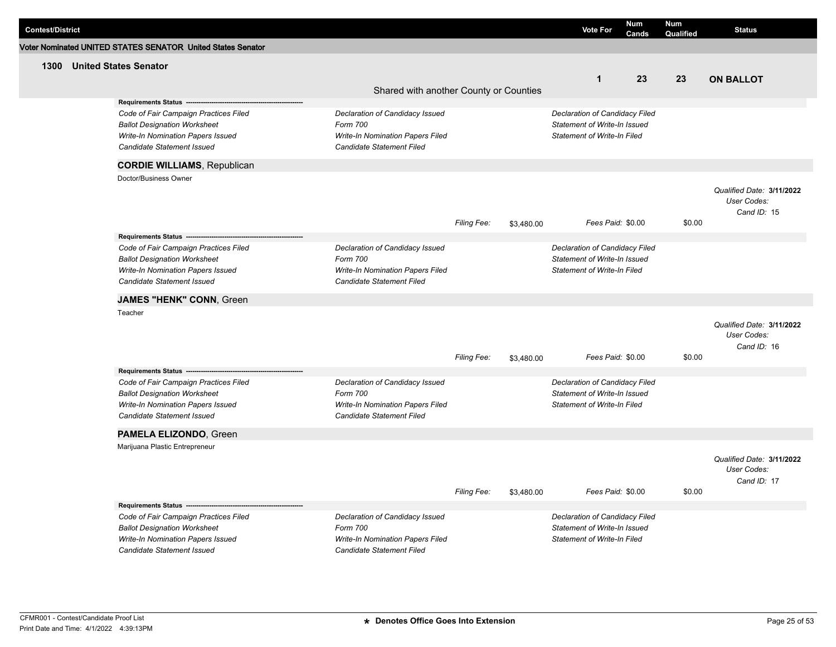| <b>Contest/District</b> |                                                                 |                                                               |             |            | <b>Vote For</b>                                                    | Num<br>Cands | <b>Num</b><br>Qualified | <b>Status</b>              |
|-------------------------|-----------------------------------------------------------------|---------------------------------------------------------------|-------------|------------|--------------------------------------------------------------------|--------------|-------------------------|----------------------------|
|                         | Voter Nominated UNITED STATES SENATOR United States Senator     |                                                               |             |            |                                                                    |              |                         |                            |
| 1300                    | <b>United States Senator</b>                                    |                                                               |             |            |                                                                    |              |                         |                            |
|                         |                                                                 |                                                               |             |            | $\mathbf{1}$                                                       | 23           | 23                      | <b>ON BALLOT</b>           |
|                         |                                                                 | Shared with another County or Counties                        |             |            |                                                                    |              |                         |                            |
|                         | Requirements Status ---------                                   |                                                               |             |            |                                                                    |              |                         |                            |
|                         | Code of Fair Campaign Practices Filed                           | Declaration of Candidacy Issued                               |             |            | Declaration of Candidacy Filed                                     |              |                         |                            |
|                         | <b>Ballot Designation Worksheet</b>                             | Form 700                                                      |             |            | Statement of Write-In Issued                                       |              |                         |                            |
|                         | Write-In Nomination Papers Issued                               | Write-In Nomination Papers Filed                              |             |            | <b>Statement of Write-In Filed</b>                                 |              |                         |                            |
|                         | Candidate Statement Issued                                      | Candidate Statement Filed                                     |             |            |                                                                    |              |                         |                            |
|                         | <b>CORDIE WILLIAMS, Republican</b>                              |                                                               |             |            |                                                                    |              |                         |                            |
|                         | Doctor/Business Owner                                           |                                                               |             |            |                                                                    |              |                         |                            |
|                         |                                                                 |                                                               |             |            |                                                                    |              |                         | Qualified Date: 3/11/2022  |
|                         |                                                                 |                                                               |             |            |                                                                    |              |                         | User Codes:                |
|                         |                                                                 |                                                               |             |            |                                                                    |              | \$0.00                  | Cand ID: 15                |
|                         |                                                                 |                                                               | Filing Fee: | \$3,480.00 | Fees Paid: \$0.00                                                  |              |                         |                            |
|                         | Requirements Status --<br>Code of Fair Campaign Practices Filed | Declaration of Candidacy Issued                               |             |            | Declaration of Candidacy Filed                                     |              |                         |                            |
|                         | <b>Ballot Designation Worksheet</b>                             | Form 700                                                      |             |            | Statement of Write-In Issued                                       |              |                         |                            |
|                         | Write-In Nomination Papers Issued                               | Write-In Nomination Papers Filed                              |             |            | <b>Statement of Write-In Filed</b>                                 |              |                         |                            |
|                         | Candidate Statement Issued                                      | Candidate Statement Filed                                     |             |            |                                                                    |              |                         |                            |
|                         | JAMES "HENK" CONN, Green                                        |                                                               |             |            |                                                                    |              |                         |                            |
|                         | Teacher                                                         |                                                               |             |            |                                                                    |              |                         |                            |
|                         |                                                                 |                                                               |             |            |                                                                    |              |                         | Qualified Date: 3/11/2022  |
|                         |                                                                 |                                                               |             |            |                                                                    |              |                         | User Codes:                |
|                         |                                                                 |                                                               |             |            |                                                                    |              |                         | Cand ID: 16                |
|                         |                                                                 |                                                               | Filing Fee: | \$3,480.00 | Fees Paid: \$0.00                                                  |              | \$0.00                  |                            |
|                         | Requirements Status -----                                       |                                                               |             |            |                                                                    |              |                         |                            |
|                         | Code of Fair Campaign Practices Filed                           | Declaration of Candidacy Issued                               |             |            | Declaration of Candidacy Filed                                     |              |                         |                            |
|                         | <b>Ballot Designation Worksheet</b>                             | Form 700                                                      |             |            | Statement of Write-In Issued<br><b>Statement of Write-In Filed</b> |              |                         |                            |
|                         | Write-In Nomination Papers Issued<br>Candidate Statement Issued | Write-In Nomination Papers Filed<br>Candidate Statement Filed |             |            |                                                                    |              |                         |                            |
|                         |                                                                 |                                                               |             |            |                                                                    |              |                         |                            |
|                         | PAMELA ELIZONDO, Green                                          |                                                               |             |            |                                                                    |              |                         |                            |
|                         | Marijuana Plastic Entrepreneur                                  |                                                               |             |            |                                                                    |              |                         |                            |
|                         |                                                                 |                                                               |             |            |                                                                    |              |                         | Qualified Date: 3/11/2022  |
|                         |                                                                 |                                                               |             |            |                                                                    |              |                         | User Codes:<br>Cand ID: 17 |
|                         |                                                                 |                                                               | Filing Fee: | \$3,480.00 | Fees Paid: \$0.00                                                  |              | \$0.00                  |                            |
|                         | Requirements Status ------------------                          |                                                               |             |            |                                                                    |              |                         |                            |
|                         | Code of Fair Campaign Practices Filed                           | Declaration of Candidacy Issued                               |             |            | Declaration of Candidacy Filed                                     |              |                         |                            |
|                         | <b>Ballot Designation Worksheet</b>                             | Form 700                                                      |             |            | Statement of Write-In Issued                                       |              |                         |                            |
|                         | Write-In Nomination Papers Issued                               | Write-In Nomination Papers Filed                              |             |            | <b>Statement of Write-In Filed</b>                                 |              |                         |                            |
|                         | <b>Candidate Statement Issued</b>                               | Candidate Statement Filed                                     |             |            |                                                                    |              |                         |                            |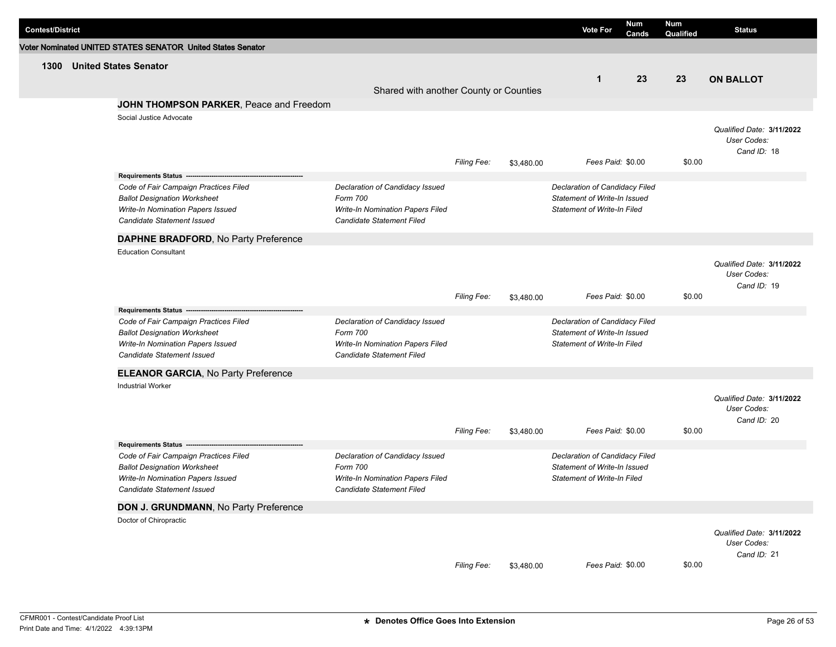| <b>Contest/District</b> |                                                                                                                                                 |                                                                                                                     |                    |            | <b>Vote For</b>                                                                                      | Num<br>Cands | Num<br>Qualified | <b>Status</b>                                           |
|-------------------------|-------------------------------------------------------------------------------------------------------------------------------------------------|---------------------------------------------------------------------------------------------------------------------|--------------------|------------|------------------------------------------------------------------------------------------------------|--------------|------------------|---------------------------------------------------------|
|                         | Voter Nominated UNITED STATES SENATOR United States Senator                                                                                     |                                                                                                                     |                    |            |                                                                                                      |              |                  |                                                         |
| 1300                    | <b>United States Senator</b>                                                                                                                    | Shared with another County or Counties                                                                              |                    |            | $\mathbf 1$                                                                                          | 23           | 23               | <b>ON BALLOT</b>                                        |
|                         | JOHN THOMPSON PARKER, Peace and Freedom                                                                                                         |                                                                                                                     |                    |            |                                                                                                      |              |                  |                                                         |
|                         | Social Justice Advocate                                                                                                                         |                                                                                                                     | Filing Fee:        | \$3,480.00 | Fees Paid: \$0.00                                                                                    |              | \$0.00           | Qualified Date: 3/11/2022<br>User Codes:<br>Cand ID: 18 |
|                         | Requirements Status --------------------------                                                                                                  |                                                                                                                     |                    |            |                                                                                                      |              |                  |                                                         |
|                         | Code of Fair Campaign Practices Filed<br><b>Ballot Designation Worksheet</b><br>Write-In Nomination Papers Issued<br>Candidate Statement Issued | Declaration of Candidacy Issued<br>Form 700<br>Write-In Nomination Papers Filed<br>Candidate Statement Filed        |                    |            | Declaration of Candidacy Filed<br>Statement of Write-In Issued<br><b>Statement of Write-In Filed</b> |              |                  |                                                         |
|                         | DAPHNE BRADFORD, No Party Preference                                                                                                            |                                                                                                                     |                    |            |                                                                                                      |              |                  |                                                         |
|                         | <b>Education Consultant</b>                                                                                                                     |                                                                                                                     | <b>Filing Fee:</b> | \$3,480.00 | Fees Paid: \$0.00                                                                                    |              | \$0.00           | Qualified Date: 3/11/2022<br>User Codes:<br>Cand ID: 19 |
|                         | Requirements Status ----                                                                                                                        |                                                                                                                     |                    |            |                                                                                                      |              |                  |                                                         |
|                         | Code of Fair Campaign Practices Filed<br><b>Ballot Designation Worksheet</b><br>Write-In Nomination Papers Issued<br>Candidate Statement Issued | Declaration of Candidacy Issued<br>Form 700<br>Write-In Nomination Papers Filed<br>Candidate Statement Filed        |                    |            | Declaration of Candidacy Filed<br>Statement of Write-In Issued<br><b>Statement of Write-In Filed</b> |              |                  |                                                         |
|                         | <b>ELEANOR GARCIA, No Party Preference</b>                                                                                                      |                                                                                                                     |                    |            |                                                                                                      |              |                  |                                                         |
|                         | <b>Industrial Worker</b>                                                                                                                        |                                                                                                                     | Filing Fee:        | \$3,480.00 | Fees Paid: \$0.00                                                                                    |              | \$0.00           | Qualified Date: 3/11/2022<br>User Codes:<br>Cand ID: 20 |
|                         | Requirements Status ---                                                                                                                         |                                                                                                                     |                    |            |                                                                                                      |              |                  |                                                         |
|                         | Code of Fair Campaign Practices Filed<br><b>Ballot Designation Worksheet</b><br>Write-In Nomination Papers Issued<br>Candidate Statement Issued | Declaration of Candidacy Issued<br>Form 700<br><b>Write-In Nomination Papers Filed</b><br>Candidate Statement Filed |                    |            | Declaration of Candidacy Filed<br>Statement of Write-In Issued<br><b>Statement of Write-In Filed</b> |              |                  |                                                         |
|                         | DON J. GRUNDMANN, No Party Preference                                                                                                           |                                                                                                                     |                    |            |                                                                                                      |              |                  |                                                         |
|                         | Doctor of Chiropractic                                                                                                                          |                                                                                                                     | Filing Fee:        | \$3,480.00 | Fees Paid: \$0.00                                                                                    |              | \$0.00           | Qualified Date: 3/11/2022<br>User Codes:<br>Cand ID: 21 |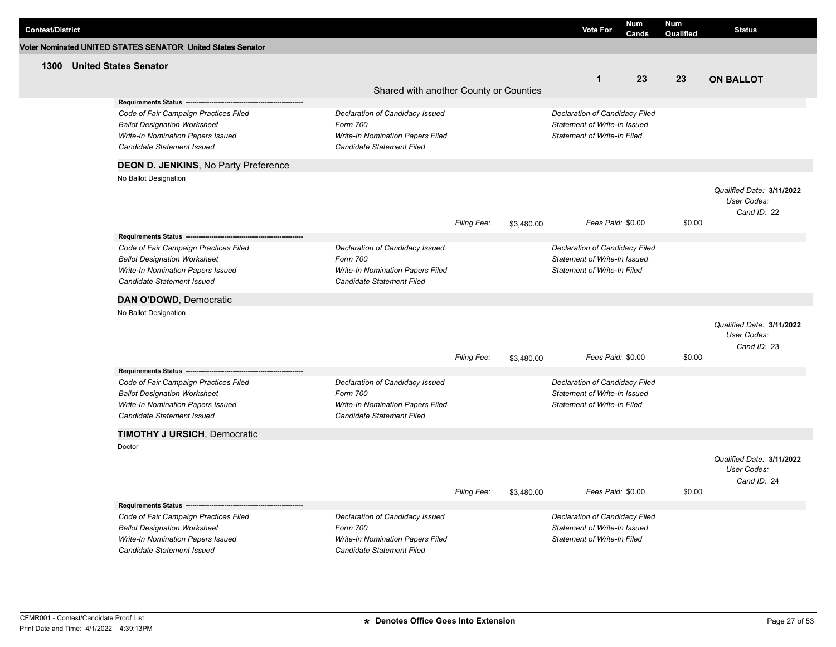| <b>Contest/District</b> |                                                                                                                                                                                 |                                                                                                              |             |            | <b>Vote For</b>                                                                                             | <b>Num</b><br>Cands | Num<br>Qualified | <b>Status</b>                                           |
|-------------------------|---------------------------------------------------------------------------------------------------------------------------------------------------------------------------------|--------------------------------------------------------------------------------------------------------------|-------------|------------|-------------------------------------------------------------------------------------------------------------|---------------------|------------------|---------------------------------------------------------|
|                         | Voter Nominated UNITED STATES SENATOR United States Senator                                                                                                                     |                                                                                                              |             |            |                                                                                                             |                     |                  |                                                         |
| 1300                    | <b>United States Senator</b>                                                                                                                                                    |                                                                                                              |             |            | $\mathbf{1}$                                                                                                | 23                  | 23               | <b>ON BALLOT</b>                                        |
|                         | <b>Requirements Status -</b>                                                                                                                                                    | Shared with another County or Counties                                                                       |             |            |                                                                                                             |                     |                  |                                                         |
|                         | Code of Fair Campaign Practices Filed<br><b>Ballot Designation Worksheet</b><br>Write-In Nomination Papers Issued<br>Candidate Statement Issued                                 | Declaration of Candidacy Issued<br>Form 700<br>Write-In Nomination Papers Filed<br>Candidate Statement Filed |             |            | Declaration of Candidacy Filed<br>Statement of Write-In Issued<br><b>Statement of Write-In Filed</b>        |                     |                  |                                                         |
|                         | <b>DEON D. JENKINS, No Party Preference</b>                                                                                                                                     |                                                                                                              |             |            |                                                                                                             |                     |                  |                                                         |
|                         | No Ballot Designation                                                                                                                                                           |                                                                                                              | Filing Fee: | \$3,480.00 | Fees Paid: \$0.00                                                                                           |                     | \$0.00           | Qualified Date: 3/11/2022<br>User Codes:<br>Cand ID: 22 |
|                         | Requirements Status --                                                                                                                                                          |                                                                                                              |             |            |                                                                                                             |                     |                  |                                                         |
|                         | Code of Fair Campaign Practices Filed<br><b>Ballot Designation Worksheet</b><br>Write-In Nomination Papers Issued<br>Candidate Statement Issued                                 | Declaration of Candidacy Issued<br>Form 700<br>Write-In Nomination Papers Filed<br>Candidate Statement Filed |             |            | Declaration of Candidacy Filed<br>Statement of Write-In Issued<br>Statement of Write-In Filed               |                     |                  |                                                         |
|                         | DAN O'DOWD, Democratic                                                                                                                                                          |                                                                                                              |             |            |                                                                                                             |                     |                  |                                                         |
|                         | No Ballot Designation                                                                                                                                                           |                                                                                                              | Filing Fee: | \$3,480.00 | Fees Paid: \$0.00                                                                                           |                     | \$0.00           | Qualified Date: 3/11/2022<br>User Codes:<br>Cand ID: 23 |
|                         | Requirements Status --                                                                                                                                                          |                                                                                                              |             |            |                                                                                                             |                     |                  |                                                         |
|                         | Code of Fair Campaign Practices Filed<br><b>Ballot Designation Worksheet</b><br>Write-In Nomination Papers Issued<br>Candidate Statement Issued                                 | Declaration of Candidacy Issued<br>Form 700<br>Write-In Nomination Papers Filed<br>Candidate Statement Filed |             |            | Declaration of Candidacy Filed<br>Statement of Write-In Issued<br><b>Statement of Write-In Filed</b>        |                     |                  |                                                         |
|                         | <b>TIMOTHY J URSICH, Democratic</b>                                                                                                                                             |                                                                                                              |             |            |                                                                                                             |                     |                  |                                                         |
|                         | Doctor                                                                                                                                                                          |                                                                                                              | Filing Fee: | \$3,480.00 | Fees Paid: \$0.00                                                                                           |                     | \$0.00           | Qualified Date: 3/11/2022<br>User Codes:<br>Cand ID: 24 |
|                         | <b>Requirements Status -</b><br>Code of Fair Campaign Practices Filed<br><b>Ballot Designation Worksheet</b><br>Write-In Nomination Papers Issued<br>Candidate Statement Issued | Declaration of Candidacy Issued<br>Form 700<br>Write-In Nomination Papers Filed<br>Candidate Statement Filed |             |            | Declaration of Candidacy Filed<br><b>Statement of Write-In Issued</b><br><b>Statement of Write-In Filed</b> |                     |                  |                                                         |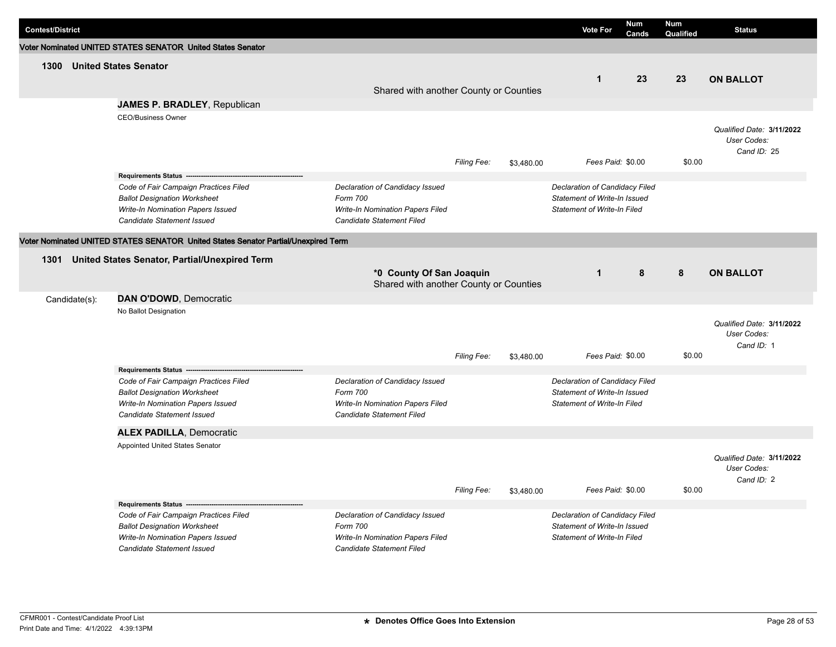| <b>Contest/District</b> |                                                                                                                                                                              |                                                                                                                     |             |            | <b>Vote For</b>                                                                                      | <b>Num</b><br>Cands | <b>Num</b><br>Qualified | <b>Status</b>                                           |
|-------------------------|------------------------------------------------------------------------------------------------------------------------------------------------------------------------------|---------------------------------------------------------------------------------------------------------------------|-------------|------------|------------------------------------------------------------------------------------------------------|---------------------|-------------------------|---------------------------------------------------------|
|                         | Voter Nominated UNITED STATES SENATOR United States Senator                                                                                                                  |                                                                                                                     |             |            |                                                                                                      |                     |                         |                                                         |
| 1300                    | <b>United States Senator</b>                                                                                                                                                 |                                                                                                                     |             |            |                                                                                                      |                     |                         |                                                         |
|                         |                                                                                                                                                                              |                                                                                                                     |             |            | $\mathbf{1}$                                                                                         | 23                  | 23                      | <b>ON BALLOT</b>                                        |
|                         |                                                                                                                                                                              | Shared with another County or Counties                                                                              |             |            |                                                                                                      |                     |                         |                                                         |
|                         | JAMES P. BRADLEY, Republican                                                                                                                                                 |                                                                                                                     |             |            |                                                                                                      |                     |                         |                                                         |
|                         | <b>CEO/Business Owner</b>                                                                                                                                                    |                                                                                                                     | Filing Fee: | \$3,480.00 | Fees Paid: \$0.00                                                                                    |                     | \$0.00                  | Qualified Date: 3/11/2022<br>User Codes:<br>Cand ID: 25 |
|                         | Requirements Status ---                                                                                                                                                      |                                                                                                                     |             |            |                                                                                                      |                     |                         |                                                         |
|                         | Code of Fair Campaign Practices Filed<br><b>Ballot Designation Worksheet</b><br>Write-In Nomination Papers Issued<br><b>Candidate Statement Issued</b>                       | Declaration of Candidacy Issued<br>Form 700<br>Write-In Nomination Papers Filed<br><b>Candidate Statement Filed</b> |             |            | Declaration of Candidacy Filed<br>Statement of Write-In Issued<br><b>Statement of Write-In Filed</b> |                     |                         |                                                         |
|                         | Voter Nominated UNITED STATES SENATOR United States Senator Partial/Unexpired Term                                                                                           |                                                                                                                     |             |            |                                                                                                      |                     |                         |                                                         |
|                         | 1301 United States Senator, Partial/Unexpired Term                                                                                                                           |                                                                                                                     |             |            |                                                                                                      |                     |                         |                                                         |
|                         |                                                                                                                                                                              | *0 County Of San Joaquin<br>Shared with another County or Counties                                                  |             |            | $\mathbf{1}$                                                                                         | 8                   | 8                       | <b>ON BALLOT</b>                                        |
| Candidate(s):           | DAN O'DOWD, Democratic                                                                                                                                                       |                                                                                                                     |             |            |                                                                                                      |                     |                         |                                                         |
|                         | No Ballot Designation                                                                                                                                                        |                                                                                                                     | Filing Fee: | \$3,480.00 | Fees Paid: \$0.00                                                                                    |                     | \$0.00                  | Qualified Date: 3/11/2022<br>User Codes:<br>Cand ID: 1  |
|                         | Requirements Status -                                                                                                                                                        |                                                                                                                     |             |            |                                                                                                      |                     |                         |                                                         |
|                         | Code of Fair Campaign Practices Filed<br><b>Ballot Designation Worksheet</b><br>Write-In Nomination Papers Issued<br><b>Candidate Statement Issued</b>                       | Declaration of Candidacy Issued<br>Form 700<br>Write-In Nomination Papers Filed<br>Candidate Statement Filed        |             |            | Declaration of Candidacy Filed<br>Statement of Write-In Issued<br><b>Statement of Write-In Filed</b> |                     |                         |                                                         |
|                         | <b>ALEX PADILLA, Democratic</b>                                                                                                                                              |                                                                                                                     |             |            |                                                                                                      |                     |                         |                                                         |
|                         | Appointed United States Senator                                                                                                                                              |                                                                                                                     |             |            |                                                                                                      |                     |                         | Qualified Date: 3/11/2022<br>User Codes:<br>Cand ID: 2  |
|                         |                                                                                                                                                                              |                                                                                                                     | Filing Fee: | \$3,480.00 | Fees Paid: \$0.00                                                                                    |                     | \$0.00                  |                                                         |
|                         | Requirements Status -----<br>Code of Fair Campaign Practices Filed<br><b>Ballot Designation Worksheet</b><br>Write-In Nomination Papers Issued<br>Candidate Statement Issued | Declaration of Candidacy Issued<br>Form 700<br>Write-In Nomination Papers Filed<br>Candidate Statement Filed        |             |            | Declaration of Candidacy Filed<br>Statement of Write-In Issued<br><b>Statement of Write-In Filed</b> |                     |                         |                                                         |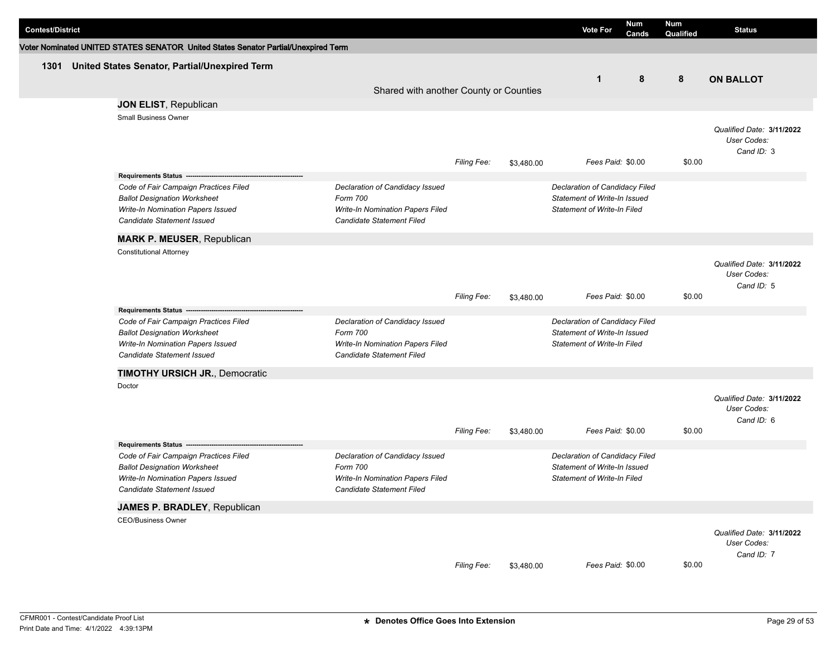| <b>Contest/District</b> |                                                                                    |                                                               |                    |            | <b>Vote For</b>                                                    | Num<br>Cands | Num<br>Qualified | <b>Status</b>                            |
|-------------------------|------------------------------------------------------------------------------------|---------------------------------------------------------------|--------------------|------------|--------------------------------------------------------------------|--------------|------------------|------------------------------------------|
|                         | Voter Nominated UNITED STATES SENATOR United States Senator Partial/Unexpired Term |                                                               |                    |            |                                                                    |              |                  |                                          |
| 1301                    | United States Senator, Partial/Unexpired Term                                      |                                                               |                    |            |                                                                    |              |                  |                                          |
|                         |                                                                                    |                                                               |                    |            | $\mathbf{1}$                                                       | 8            | 8                | <b>ON BALLOT</b>                         |
|                         |                                                                                    | Shared with another County or Counties                        |                    |            |                                                                    |              |                  |                                          |
|                         | JON ELIST, Republican                                                              |                                                               |                    |            |                                                                    |              |                  |                                          |
|                         | <b>Small Business Owner</b>                                                        |                                                               |                    |            |                                                                    |              |                  |                                          |
|                         |                                                                                    |                                                               |                    |            |                                                                    |              |                  | Qualified Date: 3/11/2022                |
|                         |                                                                                    |                                                               |                    |            |                                                                    |              |                  | User Codes:<br>Cand ID: 3                |
|                         |                                                                                    |                                                               | <b>Filing Fee:</b> | \$3,480.00 | Fees Paid: \$0.00                                                  |              | \$0.00           |                                          |
|                         |                                                                                    |                                                               |                    |            |                                                                    |              |                  |                                          |
|                         | Code of Fair Campaign Practices Filed                                              | Declaration of Candidacy Issued                               |                    |            | Declaration of Candidacy Filed                                     |              |                  |                                          |
|                         | <b>Ballot Designation Worksheet</b>                                                | Form 700                                                      |                    |            | Statement of Write-In Issued                                       |              |                  |                                          |
|                         | Write-In Nomination Papers Issued<br>Candidate Statement Issued                    | Write-In Nomination Papers Filed<br>Candidate Statement Filed |                    |            | <b>Statement of Write-In Filed</b>                                 |              |                  |                                          |
|                         |                                                                                    |                                                               |                    |            |                                                                    |              |                  |                                          |
|                         | <b>MARK P. MEUSER, Republican</b>                                                  |                                                               |                    |            |                                                                    |              |                  |                                          |
|                         | <b>Constitutional Attorney</b>                                                     |                                                               |                    |            |                                                                    |              |                  |                                          |
|                         |                                                                                    |                                                               |                    |            |                                                                    |              |                  | Qualified Date: 3/11/2022<br>User Codes: |
|                         |                                                                                    |                                                               |                    |            |                                                                    |              |                  | Cand ID: 5                               |
|                         |                                                                                    |                                                               | Filing Fee:        | \$3,480.00 | Fees Paid: \$0.00                                                  |              | \$0.00           |                                          |
|                         | <b>Requirements Status --</b>                                                      |                                                               |                    |            |                                                                    |              |                  |                                          |
|                         | Code of Fair Campaign Practices Filed                                              | Declaration of Candidacy Issued                               |                    |            | Declaration of Candidacy Filed                                     |              |                  |                                          |
|                         | <b>Ballot Designation Worksheet</b><br>Write-In Nomination Papers Issued           | Form 700<br>Write-In Nomination Papers Filed                  |                    |            | Statement of Write-In Issued<br><b>Statement of Write-In Filed</b> |              |                  |                                          |
|                         | <b>Candidate Statement Issued</b>                                                  | Candidate Statement Filed                                     |                    |            |                                                                    |              |                  |                                          |
|                         |                                                                                    |                                                               |                    |            |                                                                    |              |                  |                                          |
|                         | <b>TIMOTHY URSICH JR., Democratic</b><br>Doctor                                    |                                                               |                    |            |                                                                    |              |                  |                                          |
|                         |                                                                                    |                                                               |                    |            |                                                                    |              |                  | Qualified Date: 3/11/2022                |
|                         |                                                                                    |                                                               |                    |            |                                                                    |              |                  | User Codes:                              |
|                         |                                                                                    |                                                               |                    |            |                                                                    |              |                  | Cand ID: 6                               |
|                         |                                                                                    |                                                               | Filing Fee:        | \$3,480.00 | Fees Paid: \$0.00                                                  |              | \$0.00           |                                          |
|                         | Requirements Status -----------------                                              |                                                               |                    |            |                                                                    |              |                  |                                          |
|                         | Code of Fair Campaign Practices Filed<br><b>Ballot Designation Worksheet</b>       | Declaration of Candidacy Issued<br>Form 700                   |                    |            | Declaration of Candidacy Filed<br>Statement of Write-In Issued     |              |                  |                                          |
|                         | Write-In Nomination Papers Issued                                                  | <b>Write-In Nomination Papers Filed</b>                       |                    |            | <b>Statement of Write-In Filed</b>                                 |              |                  |                                          |
|                         | Candidate Statement Issued                                                         | Candidate Statement Filed                                     |                    |            |                                                                    |              |                  |                                          |
|                         | JAMES P. BRADLEY, Republican                                                       |                                                               |                    |            |                                                                    |              |                  |                                          |
|                         | <b>CEO/Business Owner</b>                                                          |                                                               |                    |            |                                                                    |              |                  |                                          |
|                         |                                                                                    |                                                               |                    |            |                                                                    |              |                  | Qualified Date: 3/11/2022                |
|                         |                                                                                    |                                                               |                    |            |                                                                    |              |                  | User Codes:                              |
|                         |                                                                                    |                                                               | Filing Fee:        | \$3,480.00 | Fees Paid: \$0.00                                                  |              | \$0.00           | Cand ID: 7                               |
|                         |                                                                                    |                                                               |                    |            |                                                                    |              |                  |                                          |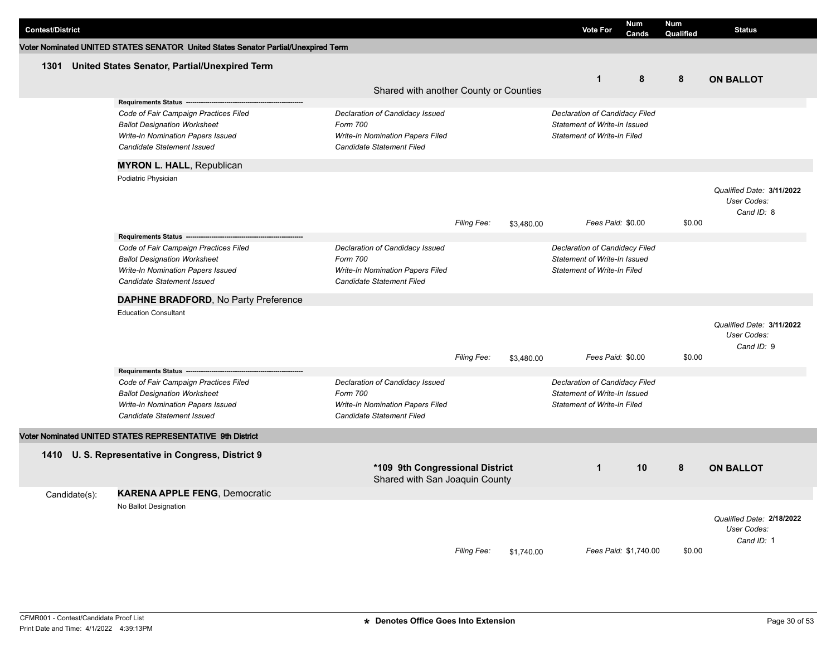| <b>Contest/District</b> |               |                                                                                    |                                                                   |                    |            | <b>Vote For</b>                | <b>Num</b><br>Cands   | <b>Num</b><br>Qualified | <b>Status</b>             |
|-------------------------|---------------|------------------------------------------------------------------------------------|-------------------------------------------------------------------|--------------------|------------|--------------------------------|-----------------------|-------------------------|---------------------------|
|                         |               | Voter Nominated UNITED STATES SENATOR United States Senator Partial/Unexpired Term |                                                                   |                    |            |                                |                       |                         |                           |
|                         |               |                                                                                    |                                                                   |                    |            |                                |                       |                         |                           |
| 1301                    |               | United States Senator, Partial/Unexpired Term                                      |                                                                   |                    |            |                                | 8                     |                         |                           |
|                         |               |                                                                                    | Shared with another County or Counties                            |                    |            | $\mathbf{1}$                   |                       | 8                       | <b>ON BALLOT</b>          |
|                         |               | Requirements Status ----------------                                               |                                                                   |                    |            |                                |                       |                         |                           |
|                         |               | Code of Fair Campaign Practices Filed                                              | Declaration of Candidacy Issued                                   |                    |            | Declaration of Candidacy Filed |                       |                         |                           |
|                         |               | <b>Ballot Designation Worksheet</b>                                                | Form 700                                                          |                    |            | Statement of Write-In Issued   |                       |                         |                           |
|                         |               | Write-In Nomination Papers Issued                                                  | Write-In Nomination Papers Filed                                  |                    |            | Statement of Write-In Filed    |                       |                         |                           |
|                         |               | Candidate Statement Issued                                                         | Candidate Statement Filed                                         |                    |            |                                |                       |                         |                           |
|                         |               | <b>MYRON L. HALL, Republican</b>                                                   |                                                                   |                    |            |                                |                       |                         |                           |
|                         |               | Podiatric Physician                                                                |                                                                   |                    |            |                                |                       |                         |                           |
|                         |               |                                                                                    |                                                                   |                    |            |                                |                       |                         | Qualified Date: 3/11/2022 |
|                         |               |                                                                                    |                                                                   |                    |            |                                |                       |                         | User Codes:               |
|                         |               |                                                                                    |                                                                   |                    |            |                                |                       |                         | Cand ID: 8                |
|                         |               |                                                                                    |                                                                   | <b>Filing Fee:</b> | \$3,480.00 | Fees Paid: \$0.00              |                       | \$0.00                  |                           |
|                         |               | Requirements Status -------------------------                                      |                                                                   |                    |            |                                |                       |                         |                           |
|                         |               | Code of Fair Campaign Practices Filed                                              | Declaration of Candidacy Issued                                   |                    |            | Declaration of Candidacy Filed |                       |                         |                           |
|                         |               | <b>Ballot Designation Worksheet</b>                                                | Form 700                                                          |                    |            | Statement of Write-In Issued   |                       |                         |                           |
|                         |               | Write-In Nomination Papers Issued                                                  | Write-In Nomination Papers Filed                                  |                    |            | Statement of Write-In Filed    |                       |                         |                           |
|                         |               | Candidate Statement Issued                                                         | Candidate Statement Filed                                         |                    |            |                                |                       |                         |                           |
|                         |               | DAPHNE BRADFORD, No Party Preference                                               |                                                                   |                    |            |                                |                       |                         |                           |
|                         |               | <b>Education Consultant</b>                                                        |                                                                   |                    |            |                                |                       |                         |                           |
|                         |               |                                                                                    |                                                                   |                    |            |                                |                       |                         | Qualified Date: 3/11/2022 |
|                         |               |                                                                                    |                                                                   |                    |            |                                |                       |                         | User Codes:               |
|                         |               |                                                                                    |                                                                   |                    |            |                                |                       |                         | Cand ID: 9                |
|                         |               |                                                                                    |                                                                   | Filing Fee:        | \$3,480.00 | Fees Paid: \$0.00              |                       | \$0.00                  |                           |
|                         |               | Requirements Status ---------------------------                                    |                                                                   |                    |            |                                |                       |                         |                           |
|                         |               | Code of Fair Campaign Practices Filed                                              | Declaration of Candidacy Issued                                   |                    |            | Declaration of Candidacy Filed |                       |                         |                           |
|                         |               | <b>Ballot Designation Worksheet</b>                                                | Form 700                                                          |                    |            | Statement of Write-In Issued   |                       |                         |                           |
|                         |               | Write-In Nomination Papers Issued                                                  | Write-In Nomination Papers Filed                                  |                    |            | Statement of Write-In Filed    |                       |                         |                           |
|                         |               | Candidate Statement Issued                                                         | Candidate Statement Filed                                         |                    |            |                                |                       |                         |                           |
|                         |               | Voter Nominated UNITED STATES REPRESENTATIVE 9th District                          |                                                                   |                    |            |                                |                       |                         |                           |
|                         |               | 1410 U.S. Representative in Congress, District 9                                   |                                                                   |                    |            |                                |                       |                         |                           |
|                         |               |                                                                                    |                                                                   |                    |            | $\mathbf{1}$                   | 10                    | 8                       |                           |
|                         |               |                                                                                    | *109 9th Congressional District<br>Shared with San Joaquin County |                    |            |                                |                       |                         | <b>ON BALLOT</b>          |
|                         | Candidate(s): | <b>KARENA APPLE FENG, Democratic</b>                                               |                                                                   |                    |            |                                |                       |                         |                           |
|                         |               | No Ballot Designation                                                              |                                                                   |                    |            |                                |                       |                         |                           |
|                         |               |                                                                                    |                                                                   |                    |            |                                |                       |                         | Qualified Date: 2/18/2022 |
|                         |               |                                                                                    |                                                                   |                    |            |                                |                       |                         | User Codes:               |
|                         |               |                                                                                    |                                                                   |                    |            |                                |                       |                         | Cand ID: 1                |
|                         |               |                                                                                    |                                                                   | <b>Filing Fee:</b> | \$1,740.00 |                                | Fees Paid: \$1,740.00 | \$0.00                  |                           |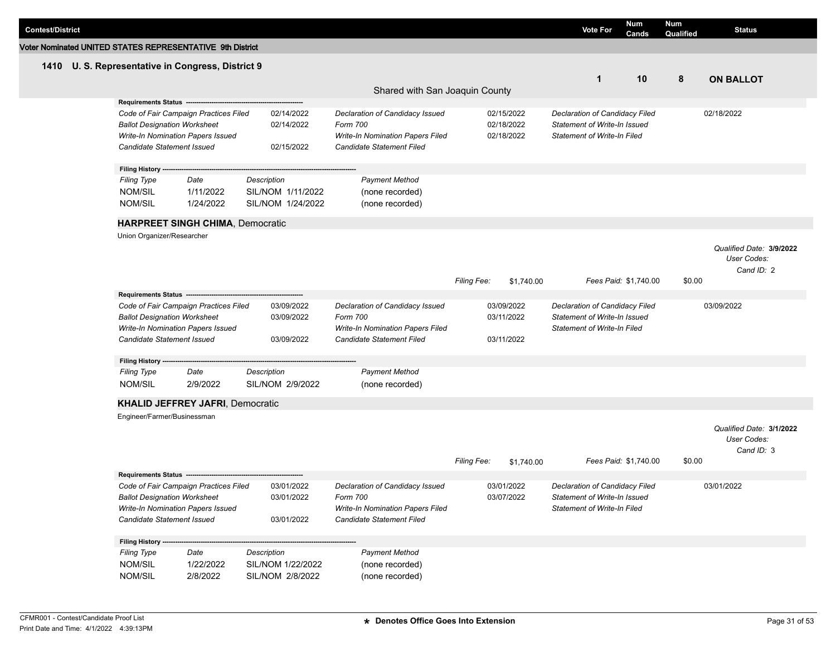| <b>Contest/District</b>                                   |                                                                          |                                       |                   |                                                               |                                            |                          | <b>Vote For</b>                                                    | Num<br>Cands          | <b>Num</b><br>Qualified | <b>Status</b>                           |
|-----------------------------------------------------------|--------------------------------------------------------------------------|---------------------------------------|-------------------|---------------------------------------------------------------|--------------------------------------------|--------------------------|--------------------------------------------------------------------|-----------------------|-------------------------|-----------------------------------------|
| Voter Nominated UNITED STATES REPRESENTATIVE 9th District |                                                                          |                                       |                   |                                                               |                                            |                          |                                                                    |                       |                         |                                         |
| 1410                                                      | U. S. Representative in Congress, District 9                             |                                       |                   |                                                               |                                            |                          |                                                                    |                       |                         |                                         |
|                                                           |                                                                          |                                       |                   |                                                               |                                            |                          | $\mathbf 1$                                                        | 10                    | 8                       | <b>ON BALLOT</b>                        |
|                                                           |                                                                          |                                       |                   | Shared with San Joaquin County                                |                                            |                          |                                                                    |                       |                         |                                         |
|                                                           | Requirements Status --                                                   |                                       |                   |                                                               |                                            |                          |                                                                    |                       |                         |                                         |
|                                                           | Code of Fair Campaign Practices Filed                                    |                                       | 02/14/2022        | Declaration of Candidacy Issued                               |                                            | 02/15/2022               | Declaration of Candidacy Filed                                     |                       |                         | 02/18/2022                              |
|                                                           | <b>Ballot Designation Worksheet</b>                                      | Write-In Nomination Papers Issued     | 02/14/2022        | Form 700<br>Write-In Nomination Papers Filed                  |                                            | 02/18/2022<br>02/18/2022 | Statement of Write-In Issued<br><b>Statement of Write-In Filed</b> |                       |                         |                                         |
|                                                           | Candidate Statement Issued                                               |                                       | 02/15/2022        | <b>Candidate Statement Filed</b>                              |                                            |                          |                                                                    |                       |                         |                                         |
|                                                           |                                                                          |                                       |                   |                                                               |                                            |                          |                                                                    |                       |                         |                                         |
|                                                           | <b>Filing History</b>                                                    |                                       |                   |                                                               |                                            |                          |                                                                    |                       |                         |                                         |
|                                                           | <b>Filing Type</b>                                                       | Date                                  | Description       | <b>Payment Method</b>                                         |                                            |                          |                                                                    |                       |                         |                                         |
|                                                           | <b>NOM/SIL</b>                                                           | 1/11/2022                             | SIL/NOM 1/11/2022 | (none recorded)                                               |                                            |                          |                                                                    |                       |                         |                                         |
|                                                           | <b>NOM/SIL</b>                                                           | 1/24/2022                             | SIL/NOM 1/24/2022 | (none recorded)                                               |                                            |                          |                                                                    |                       |                         |                                         |
|                                                           | <b>HARPREET SINGH CHIMA, Democratic</b>                                  |                                       |                   |                                                               |                                            |                          |                                                                    |                       |                         |                                         |
|                                                           | Union Organizer/Researcher                                               |                                       |                   |                                                               |                                            |                          |                                                                    |                       |                         |                                         |
|                                                           |                                                                          |                                       |                   |                                                               |                                            |                          |                                                                    |                       |                         | Qualified Date: 3/9/2022                |
|                                                           |                                                                          |                                       |                   |                                                               |                                            |                          |                                                                    |                       |                         | User Codes:                             |
|                                                           |                                                                          |                                       |                   |                                                               | <b>Filing Fee:</b>                         | \$1,740.00               |                                                                    | Fees Paid: \$1,740.00 | \$0.00                  | Cand ID: 2                              |
|                                                           | Requirements Status -------------------                                  |                                       |                   |                                                               |                                            |                          |                                                                    |                       |                         |                                         |
|                                                           | Code of Fair Campaign Practices Filed                                    |                                       | 03/09/2022        | Declaration of Candidacy Issued                               |                                            | 03/09/2022               | Declaration of Candidacy Filed                                     |                       |                         | 03/09/2022                              |
|                                                           | <b>Ballot Designation Worksheet</b>                                      |                                       | 03/09/2022        | Form 700                                                      | 03/11/2022<br>Statement of Write-In Issued |                          |                                                                    |                       |                         |                                         |
|                                                           |                                                                          | Write-In Nomination Papers Issued     |                   | Write-In Nomination Papers Filed                              |                                            |                          | <b>Statement of Write-In Filed</b>                                 |                       |                         |                                         |
|                                                           | Candidate Statement Issued                                               |                                       | 03/09/2022        | Candidate Statement Filed                                     |                                            | 03/11/2022               |                                                                    |                       |                         |                                         |
|                                                           | <b>Filing History</b>                                                    |                                       |                   |                                                               |                                            |                          |                                                                    |                       |                         |                                         |
|                                                           | <b>Filing Type</b>                                                       | Date                                  | Description       | <b>Payment Method</b>                                         |                                            |                          |                                                                    |                       |                         |                                         |
|                                                           | <b>NOM/SIL</b>                                                           | 2/9/2022                              | SIL/NOM 2/9/2022  | (none recorded)                                               |                                            |                          |                                                                    |                       |                         |                                         |
|                                                           |                                                                          |                                       |                   |                                                               |                                            |                          |                                                                    |                       |                         |                                         |
|                                                           | <b>KHALID JEFFREY JAFRI, Democratic</b>                                  |                                       |                   |                                                               |                                            |                          |                                                                    |                       |                         |                                         |
|                                                           | Engineer/Farmer/Businessman                                              |                                       |                   |                                                               |                                            |                          |                                                                    |                       |                         |                                         |
|                                                           |                                                                          |                                       |                   |                                                               |                                            |                          |                                                                    |                       |                         | Qualified Date: 3/1/2022<br>User Codes: |
|                                                           |                                                                          |                                       |                   |                                                               |                                            |                          |                                                                    |                       |                         | Cand ID: 3                              |
|                                                           |                                                                          |                                       |                   |                                                               | Filing Fee:                                | \$1,740.00               |                                                                    | Fees Paid: \$1,740.00 | \$0.00                  |                                         |
|                                                           | <b>Requirements Status -</b>                                             |                                       |                   |                                                               |                                            |                          |                                                                    |                       |                         |                                         |
|                                                           |                                                                          | Code of Fair Campaign Practices Filed | 03/01/2022        | Declaration of Candidacy Issued                               |                                            | 03/01/2022               | Declaration of Candidacy Filed                                     |                       |                         | 03/01/2022                              |
|                                                           | <b>Ballot Designation Worksheet</b><br>Write-In Nomination Papers Issued |                                       | 03/01/2022        | Form 700                                                      |                                            | 03/07/2022               | Statement of Write-In Issued<br><b>Statement of Write-In Filed</b> |                       |                         |                                         |
|                                                           | Candidate Statement Issued                                               |                                       | 03/01/2022        | Write-In Nomination Papers Filed<br>Candidate Statement Filed |                                            |                          |                                                                    |                       |                         |                                         |
|                                                           |                                                                          |                                       |                   |                                                               |                                            |                          |                                                                    |                       |                         |                                         |
|                                                           | Filing History ---                                                       |                                       |                   |                                                               |                                            |                          |                                                                    |                       |                         |                                         |
|                                                           | Filing Type                                                              | Date                                  | Description       | <b>Payment Method</b>                                         |                                            |                          |                                                                    |                       |                         |                                         |
|                                                           | NOM/SIL                                                                  | 1/22/2022                             | SIL/NOM 1/22/2022 | (none recorded)                                               |                                            |                          |                                                                    |                       |                         |                                         |
|                                                           | NOM/SIL                                                                  | 2/8/2022                              | SIL/NOM 2/8/2022  | (none recorded)                                               |                                            |                          |                                                                    |                       |                         |                                         |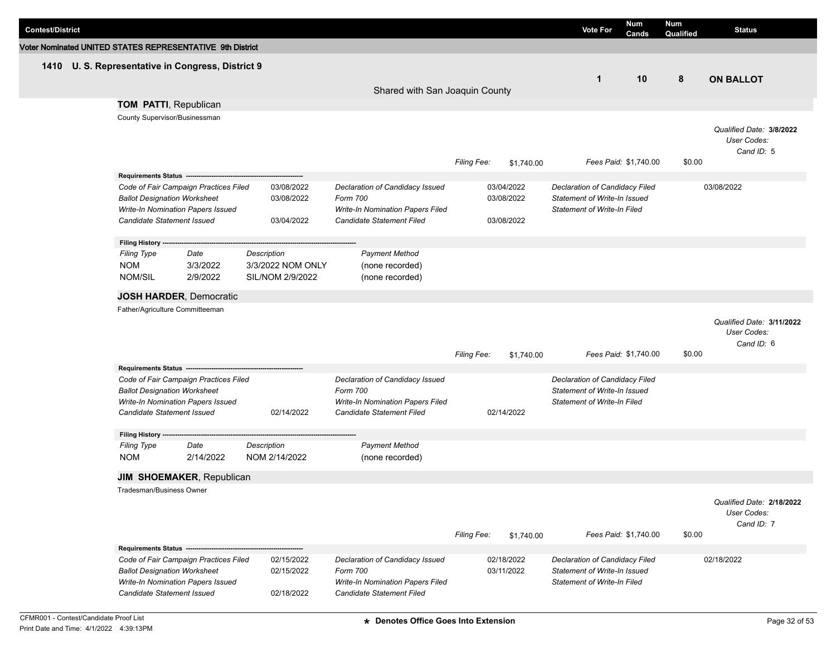| <b>Contest/District</b>                                   |                                     |                                                        |                   |                                             |                    |            | <b>Vote For</b>                                                | Num<br>Cands          | Num<br>Qualified | <b>Status</b>                           |
|-----------------------------------------------------------|-------------------------------------|--------------------------------------------------------|-------------------|---------------------------------------------|--------------------|------------|----------------------------------------------------------------|-----------------------|------------------|-----------------------------------------|
| Voter Nominated UNITED STATES REPRESENTATIVE 9th District |                                     |                                                        |                   |                                             |                    |            |                                                                |                       |                  |                                         |
| 1410                                                      |                                     | U. S. Representative in Congress, District 9           |                   |                                             |                    |            |                                                                |                       |                  |                                         |
|                                                           |                                     |                                                        |                   |                                             |                    |            | $\mathbf{1}$                                                   | 10                    | 8                | <b>ON BALLOT</b>                        |
|                                                           |                                     |                                                        |                   | Shared with San Joaquin County              |                    |            |                                                                |                       |                  |                                         |
|                                                           | <b>TOM PATTI, Republican</b>        |                                                        |                   |                                             |                    |            |                                                                |                       |                  |                                         |
|                                                           | County Supervisor/Businessman       |                                                        |                   |                                             |                    |            |                                                                |                       |                  |                                         |
|                                                           |                                     |                                                        |                   |                                             |                    |            |                                                                |                       |                  | Qualified Date: 3/8/2022<br>User Codes: |
|                                                           |                                     |                                                        |                   |                                             |                    |            |                                                                |                       |                  | Cand ID: 5                              |
|                                                           |                                     |                                                        |                   |                                             | Filing Fee:        | \$1,740.00 |                                                                | Fees Paid: \$1,740.00 | \$0.00           |                                         |
|                                                           |                                     | Requirements Status ---------------------------------- |                   |                                             |                    |            |                                                                |                       |                  |                                         |
|                                                           |                                     | Code of Fair Campaign Practices Filed                  | 03/08/2022        | Declaration of Candidacy Issued             |                    | 03/04/2022 | Declaration of Candidacy Filed                                 |                       |                  | 03/08/2022                              |
|                                                           | <b>Ballot Designation Worksheet</b> |                                                        | 03/08/2022        | Form 700                                    |                    | 03/08/2022 | Statement of Write-In Issued                                   |                       |                  |                                         |
|                                                           |                                     | Write-In Nomination Papers Issued                      |                   | Write-In Nomination Papers Filed            |                    |            | <b>Statement of Write-In Filed</b>                             |                       |                  |                                         |
|                                                           | <b>Candidate Statement Issued</b>   |                                                        | 03/04/2022        | <b>Candidate Statement Filed</b>            |                    | 03/08/2022 |                                                                |                       |                  |                                         |
|                                                           | Filing History ---                  |                                                        |                   |                                             |                    |            |                                                                |                       |                  |                                         |
|                                                           | <b>Filing Type</b>                  | Date                                                   | Description       | <b>Payment Method</b>                       |                    |            |                                                                |                       |                  |                                         |
|                                                           | <b>NOM</b>                          | 3/3/2022                                               | 3/3/2022 NOM ONLY | (none recorded)                             |                    |            |                                                                |                       |                  |                                         |
|                                                           | NOM/SIL                             | 2/9/2022                                               | SIL/NOM 2/9/2022  | (none recorded)                             |                    |            |                                                                |                       |                  |                                         |
|                                                           |                                     | <b>JOSH HARDER, Democratic</b>                         |                   |                                             |                    |            |                                                                |                       |                  |                                         |
|                                                           | Father/Agriculture Committeeman     |                                                        |                   |                                             |                    |            |                                                                |                       |                  |                                         |
|                                                           |                                     |                                                        |                   |                                             |                    |            |                                                                |                       |                  | Qualified Date: 3/11/2022               |
|                                                           |                                     |                                                        |                   |                                             |                    |            |                                                                |                       |                  | User Codes:                             |
|                                                           |                                     |                                                        |                   |                                             | <b>Filing Fee:</b> |            |                                                                | Fees Paid: \$1,740.00 | \$0.00           | Cand ID: 6                              |
|                                                           | Requirements Status ---             |                                                        |                   |                                             |                    | \$1,740.00 |                                                                |                       |                  |                                         |
|                                                           |                                     | Code of Fair Campaign Practices Filed                  |                   | Declaration of Candidacy Issued             |                    |            | Declaration of Candidacy Filed                                 |                       |                  |                                         |
|                                                           | <b>Ballot Designation Worksheet</b> |                                                        |                   | Form 700                                    |                    |            | Statement of Write-In Issued                                   |                       |                  |                                         |
|                                                           |                                     | Write-In Nomination Papers Issued                      |                   | <b>Write-In Nomination Papers Filed</b>     |                    |            | <b>Statement of Write-In Filed</b>                             |                       |                  |                                         |
|                                                           | Candidate Statement Issued          |                                                        | 02/14/2022        | <b>Candidate Statement Filed</b>            |                    | 02/14/2022 |                                                                |                       |                  |                                         |
|                                                           | <b>Filing History</b>               |                                                        |                   |                                             |                    |            |                                                                |                       |                  |                                         |
|                                                           | <b>Filing Type</b>                  | Date                                                   | Description       | <b>Payment Method</b>                       |                    |            |                                                                |                       |                  |                                         |
|                                                           | <b>NOM</b>                          | 2/14/2022                                              | NOM 2/14/2022     | (none recorded)                             |                    |            |                                                                |                       |                  |                                         |
|                                                           |                                     | <b>JIM SHOEMAKER, Republican</b>                       |                   |                                             |                    |            |                                                                |                       |                  |                                         |
|                                                           | Tradesman/Business Owner            |                                                        |                   |                                             |                    |            |                                                                |                       |                  |                                         |
|                                                           |                                     |                                                        |                   |                                             |                    |            |                                                                |                       |                  | Qualified Date: 2/18/2022               |
|                                                           |                                     |                                                        |                   |                                             |                    |            |                                                                |                       |                  | User Codes:                             |
|                                                           |                                     |                                                        |                   |                                             |                    |            |                                                                |                       |                  | Cand ID: 7                              |
|                                                           |                                     |                                                        |                   |                                             | <b>Filing Fee:</b> | \$1,740.00 |                                                                | Fees Paid: \$1,740.00 | \$0.00           |                                         |
|                                                           |                                     | Requirements Status -----------------------------      |                   |                                             |                    |            |                                                                |                       |                  |                                         |
|                                                           |                                     | Code of Fair Campaign Practices Filed                  | 02/15/2022        | Declaration of Candidacy Issued<br>Form 700 |                    | 02/18/2022 | Declaration of Candidacy Filed<br>Statement of Write-In Issued |                       |                  | 02/18/2022                              |
|                                                           | <b>Ballot Designation Worksheet</b> | Write-In Nomination Papers Issued                      | 02/15/2022        | Write-In Nomination Papers Filed            |                    | 03/11/2022 | <b>Statement of Write-In Filed</b>                             |                       |                  |                                         |
|                                                           | Candidate Statement Issued          |                                                        | 02/18/2022        | Candidate Statement Filed                   |                    |            |                                                                |                       |                  |                                         |
|                                                           |                                     |                                                        |                   |                                             |                    |            |                                                                |                       |                  |                                         |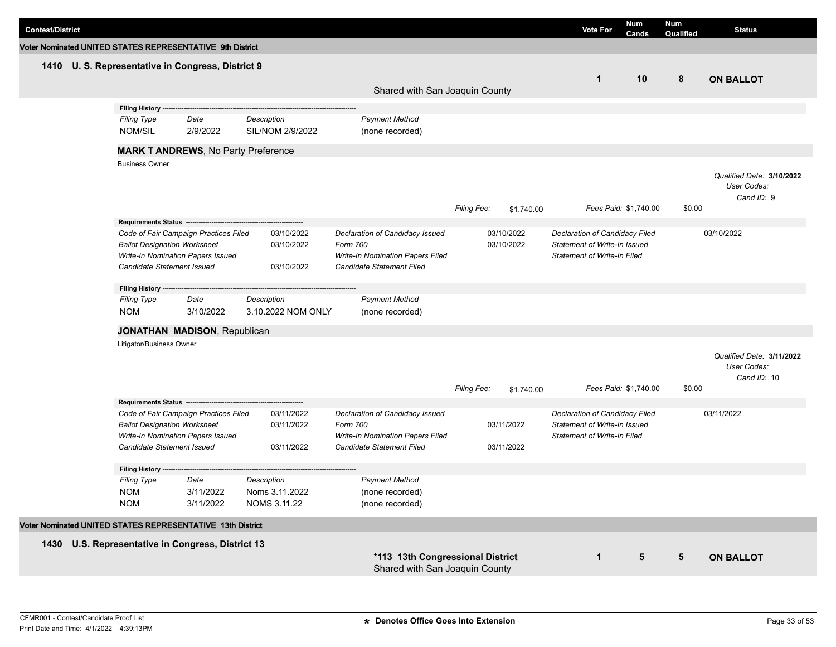| <b>Contest/District</b>                                    |                                              |           |                    |                                                                    |                    |            | <b>Vote For</b>                    | <b>Num</b><br>Cands   | Num<br>Qualified | <b>Status</b>                                           |
|------------------------------------------------------------|----------------------------------------------|-----------|--------------------|--------------------------------------------------------------------|--------------------|------------|------------------------------------|-----------------------|------------------|---------------------------------------------------------|
| Voter Nominated UNITED STATES REPRESENTATIVE 9th District  |                                              |           |                    |                                                                    |                    |            |                                    |                       |                  |                                                         |
| 1410 U.S. Representative in Congress, District 9           |                                              |           |                    |                                                                    |                    |            |                                    |                       |                  |                                                         |
|                                                            |                                              |           |                    |                                                                    |                    |            | $\mathbf{1}$                       | 10                    | 8                | <b>ON BALLOT</b>                                        |
|                                                            |                                              |           |                    | Shared with San Joaquin County                                     |                    |            |                                    |                       |                  |                                                         |
|                                                            | <b>Filing History -</b>                      |           |                    |                                                                    |                    |            |                                    |                       |                  |                                                         |
|                                                            | <b>Filing Type</b>                           | Date      | Description        | <b>Payment Method</b>                                              |                    |            |                                    |                       |                  |                                                         |
|                                                            | NOM/SIL                                      | 2/9/2022  | SIL/NOM 2/9/2022   | (none recorded)                                                    |                    |            |                                    |                       |                  |                                                         |
|                                                            | <b>MARK T ANDREWS, No Party Preference</b>   |           |                    |                                                                    |                    |            |                                    |                       |                  |                                                         |
|                                                            | <b>Business Owner</b>                        |           |                    |                                                                    |                    |            |                                    |                       |                  |                                                         |
|                                                            |                                              |           |                    |                                                                    | Filing Fee:        | \$1,740.00 |                                    | Fees Paid: \$1,740.00 | \$0.00           | Qualified Date: 3/10/2022<br>User Codes:<br>Cand ID: 9  |
|                                                            | Requirements Status ----                     |           |                    |                                                                    |                    |            |                                    |                       |                  |                                                         |
|                                                            | Code of Fair Campaign Practices Filed        |           | 03/10/2022         | Declaration of Candidacy Issued                                    |                    | 03/10/2022 | Declaration of Candidacy Filed     |                       |                  | 03/10/2022                                              |
|                                                            | <b>Ballot Designation Worksheet</b>          |           | 03/10/2022         | Form 700                                                           |                    | 03/10/2022 | Statement of Write-In Issued       |                       |                  |                                                         |
|                                                            | Write-In Nomination Papers Issued            |           |                    | Write-In Nomination Papers Filed                                   |                    |            | <b>Statement of Write-In Filed</b> |                       |                  |                                                         |
|                                                            | Candidate Statement Issued                   |           | 03/10/2022         | Candidate Statement Filed                                          |                    |            |                                    |                       |                  |                                                         |
|                                                            | Filing History --                            |           |                    |                                                                    |                    |            |                                    |                       |                  |                                                         |
|                                                            | <b>Filing Type</b>                           | Date      | Description        | <b>Payment Method</b>                                              |                    |            |                                    |                       |                  |                                                         |
|                                                            | <b>NOM</b>                                   | 3/10/2022 | 3.10.2022 NOM ONLY | (none recorded)                                                    |                    |            |                                    |                       |                  |                                                         |
|                                                            | <b>JONATHAN MADISON, Republican</b>          |           |                    |                                                                    |                    |            |                                    |                       |                  |                                                         |
|                                                            | Litigator/Business Owner                     |           |                    |                                                                    |                    |            |                                    |                       |                  |                                                         |
|                                                            |                                              |           |                    |                                                                    | <b>Filing Fee:</b> | \$1,740.00 |                                    | Fees Paid: \$1,740.00 | \$0.00           | Qualified Date: 3/11/2022<br>User Codes:<br>Cand ID: 10 |
|                                                            | Requirements Status ----                     |           |                    |                                                                    |                    |            |                                    |                       |                  |                                                         |
|                                                            | Code of Fair Campaign Practices Filed        |           | 03/11/2022         | Declaration of Candidacy Issued                                    |                    |            | Declaration of Candidacy Filed     |                       |                  | 03/11/2022                                              |
|                                                            | <b>Ballot Designation Worksheet</b>          |           | 03/11/2022         | Form 700                                                           |                    | 03/11/2022 | Statement of Write-In Issued       |                       |                  |                                                         |
|                                                            | Write-In Nomination Papers Issued            |           |                    | Write-In Nomination Papers Filed                                   |                    |            | <b>Statement of Write-In Filed</b> |                       |                  |                                                         |
|                                                            | Candidate Statement Issued                   |           | 03/11/2022         | Candidate Statement Filed                                          |                    | 03/11/2022 |                                    |                       |                  |                                                         |
|                                                            | <b>Filing History</b>                        |           |                    |                                                                    |                    |            |                                    |                       |                  |                                                         |
|                                                            | <b>Filing Type</b>                           | Date      | Description        | <b>Payment Method</b>                                              |                    |            |                                    |                       |                  |                                                         |
|                                                            | <b>NOM</b>                                   | 3/11/2022 | Noms 3.11.2022     | (none recorded)                                                    |                    |            |                                    |                       |                  |                                                         |
|                                                            | <b>NOM</b>                                   | 3/11/2022 | NOMS 3.11.22       | (none recorded)                                                    |                    |            |                                    |                       |                  |                                                         |
| Voter Nominated UNITED STATES REPRESENTATIVE 13th District |                                              |           |                    |                                                                    |                    |            |                                    |                       |                  |                                                         |
| 1430                                                       | U.S. Representative in Congress, District 13 |           |                    |                                                                    |                    |            |                                    |                       |                  |                                                         |
|                                                            |                                              |           |                    | *113 13th Congressional District<br>Shared with San Joaquin County |                    |            | $\mathbf{1}$                       | $\sqrt{5}$            | 5                | <b>ON BALLOT</b>                                        |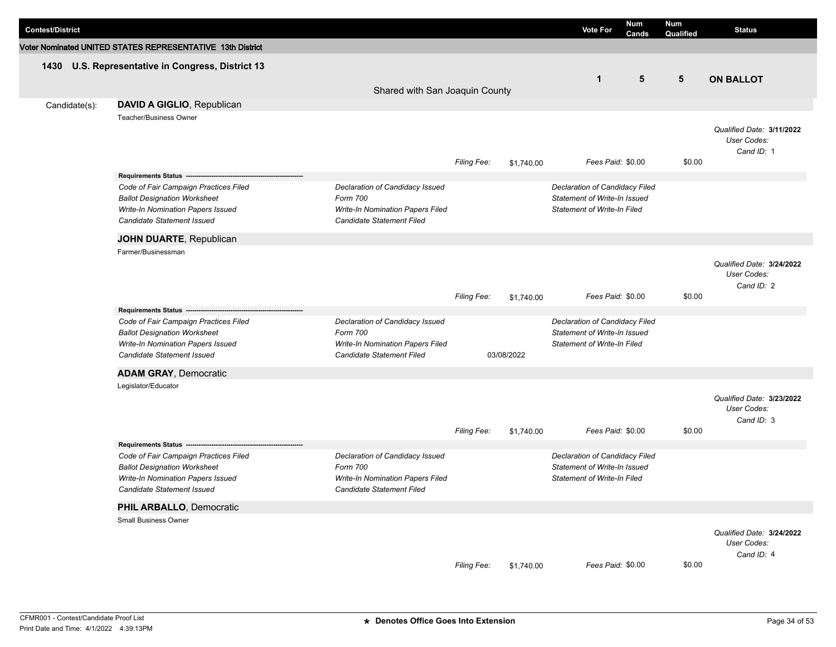| <b>Contest/District</b> |                                                                                                                                                 |                                                                                                                     |                    |            | <b>Vote For</b>                                                                                      | Num<br>Cands | Num<br>Qualified | <b>Status</b>                                          |
|-------------------------|-------------------------------------------------------------------------------------------------------------------------------------------------|---------------------------------------------------------------------------------------------------------------------|--------------------|------------|------------------------------------------------------------------------------------------------------|--------------|------------------|--------------------------------------------------------|
|                         | Voter Nominated UNITED STATES REPRESENTATIVE 13th District                                                                                      |                                                                                                                     |                    |            |                                                                                                      |              |                  |                                                        |
|                         | 1430 U.S. Representative in Congress, District 13                                                                                               | Shared with San Joaquin County                                                                                      |                    |            | $\mathbf{1}$                                                                                         | 5            | 5                | <b>ON BALLOT</b>                                       |
| Candidate(s):           | DAVID A GIGLIO, Republican                                                                                                                      |                                                                                                                     |                    |            |                                                                                                      |              |                  |                                                        |
|                         | Teacher/Business Owner                                                                                                                          |                                                                                                                     | <b>Filing Fee:</b> | \$1,740.00 | Fees Paid: \$0.00                                                                                    |              | \$0.00           | Qualified Date: 3/11/2022<br>User Codes:<br>Cand ID: 1 |
|                         | Requirements Status --------------------------                                                                                                  |                                                                                                                     |                    |            |                                                                                                      |              |                  |                                                        |
|                         | Code of Fair Campaign Practices Filed<br><b>Ballot Designation Worksheet</b><br>Write-In Nomination Papers Issued<br>Candidate Statement Issued | Declaration of Candidacy Issued<br>Form 700<br>Write-In Nomination Papers Filed<br>Candidate Statement Filed        |                    |            | Declaration of Candidacy Filed<br>Statement of Write-In Issued<br><b>Statement of Write-In Filed</b> |              |                  |                                                        |
|                         | JOHN DUARTE, Republican                                                                                                                         |                                                                                                                     |                    |            |                                                                                                      |              |                  |                                                        |
|                         | Farmer/Businessman                                                                                                                              |                                                                                                                     | Filing Fee:        | \$1,740.00 | Fees Paid: \$0.00                                                                                    |              | \$0.00           | Qualified Date: 3/24/2022<br>User Codes:<br>Cand ID: 2 |
|                         | Requirements Status ----                                                                                                                        |                                                                                                                     |                    |            |                                                                                                      |              |                  |                                                        |
|                         | Code of Fair Campaign Practices Filed<br><b>Ballot Designation Worksheet</b><br>Write-In Nomination Papers Issued<br>Candidate Statement Issued | Declaration of Candidacy Issued<br>Form 700<br>Write-In Nomination Papers Filed<br>Candidate Statement Filed        |                    | 03/08/2022 | Declaration of Candidacy Filed<br>Statement of Write-In Issued<br>Statement of Write-In Filed        |              |                  |                                                        |
|                         | <b>ADAM GRAY, Democratic</b>                                                                                                                    |                                                                                                                     |                    |            |                                                                                                      |              |                  |                                                        |
|                         | Legislator/Educator                                                                                                                             |                                                                                                                     | Filing Fee:        | \$1,740.00 | Fees Paid: \$0.00                                                                                    |              | \$0.00           | Qualified Date: 3/23/2022<br>User Codes:<br>Cand ID: 3 |
|                         | Requirements Status ---------------------                                                                                                       |                                                                                                                     |                    |            |                                                                                                      |              |                  |                                                        |
|                         | Code of Fair Campaign Practices Filed<br><b>Ballot Designation Worksheet</b><br>Write-In Nomination Papers Issued<br>Candidate Statement Issued | Declaration of Candidacy Issued<br>Form 700<br><b>Write-In Nomination Papers Filed</b><br>Candidate Statement Filed |                    |            | Declaration of Candidacy Filed<br>Statement of Write-In Issued<br><b>Statement of Write-In Filed</b> |              |                  |                                                        |
|                         | PHIL ARBALLO, Democratic                                                                                                                        |                                                                                                                     |                    |            |                                                                                                      |              |                  |                                                        |
|                         | Small Business Owner                                                                                                                            |                                                                                                                     | Filing Fee:        | \$1,740.00 | Fees Paid: \$0.00                                                                                    |              | \$0.00           | Qualified Date: 3/24/2022<br>User Codes:<br>Cand ID: 4 |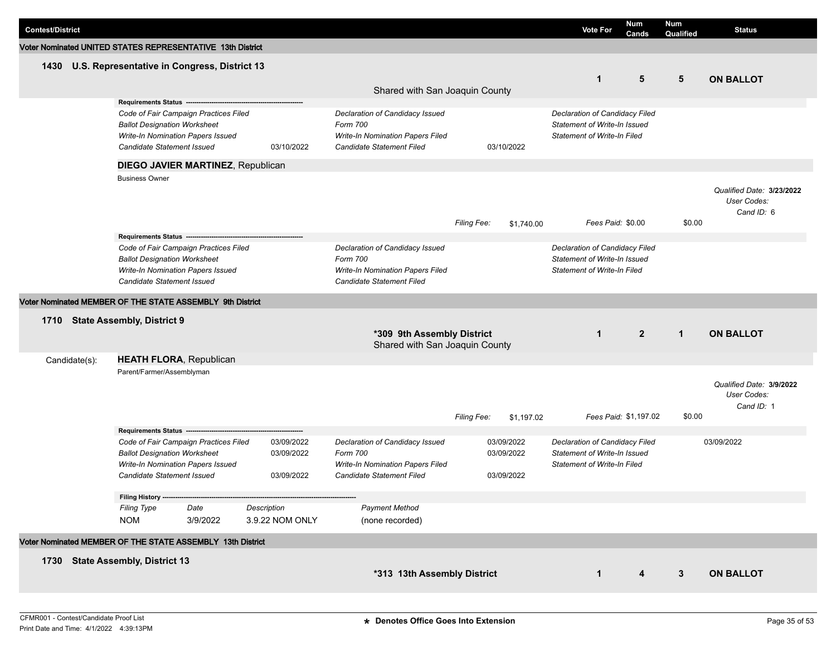| <b>Contest/District</b>                                    |                                     |                                       |                                |                                                              |                    |                | <b>Vote For</b>                                                    | <b>Num</b><br>Cands   | Num<br>Qualified | <b>Status</b>                                          |
|------------------------------------------------------------|-------------------------------------|---------------------------------------|--------------------------------|--------------------------------------------------------------|--------------------|----------------|--------------------------------------------------------------------|-----------------------|------------------|--------------------------------------------------------|
| Voter Nominated UNITED STATES REPRESENTATIVE 13th District |                                     |                                       |                                |                                                              |                    |                |                                                                    |                       |                  |                                                        |
| 1430 U.S. Representative in Congress, District 13          |                                     |                                       |                                |                                                              |                    |                |                                                                    |                       |                  |                                                        |
|                                                            |                                     |                                       |                                |                                                              |                    |                | $\mathbf{1}$                                                       | 5                     | 5                | <b>ON BALLOT</b>                                       |
|                                                            |                                     |                                       |                                | Shared with San Joaquin County                               |                    |                |                                                                    |                       |                  |                                                        |
|                                                            | Requirements Status ---             |                                       |                                |                                                              |                    |                |                                                                    |                       |                  |                                                        |
|                                                            |                                     | Code of Fair Campaign Practices Filed |                                | Declaration of Candidacy Issued                              |                    |                | Declaration of Candidacy Filed                                     |                       |                  |                                                        |
|                                                            | <b>Ballot Designation Worksheet</b> | Write-In Nomination Papers Issued     |                                | Form 700<br>Write-In Nomination Papers Filed                 |                    |                | Statement of Write-In Issued<br><b>Statement of Write-In Filed</b> |                       |                  |                                                        |
|                                                            | Candidate Statement Issued          |                                       | 03/10/2022                     | Candidate Statement Filed                                    | 03/10/2022         |                |                                                                    |                       |                  |                                                        |
|                                                            |                                     |                                       |                                |                                                              |                    |                |                                                                    |                       |                  |                                                        |
|                                                            | <b>Business Owner</b>               | DIEGO JAVIER MARTINEZ, Republican     |                                |                                                              |                    |                |                                                                    |                       |                  |                                                        |
|                                                            |                                     |                                       |                                |                                                              |                    |                |                                                                    |                       |                  | Qualified Date: 3/23/2022<br>User Codes:<br>Cand ID: 6 |
|                                                            |                                     |                                       |                                |                                                              | <b>Filing Fee:</b> | \$1,740.00     | Fees Paid: \$0.00                                                  |                       | \$0.00           |                                                        |
|                                                            |                                     |                                       |                                |                                                              |                    |                |                                                                    |                       |                  |                                                        |
|                                                            | <b>Ballot Designation Worksheet</b> | Code of Fair Campaign Practices Filed |                                | Declaration of Candidacy Issued<br>Form 700                  |                    |                | Declaration of Candidacy Filed<br>Statement of Write-In Issued     |                       |                  |                                                        |
|                                                            |                                     | Write-In Nomination Papers Issued     |                                | Write-In Nomination Papers Filed                             |                    |                | <b>Statement of Write-In Filed</b>                                 |                       |                  |                                                        |
|                                                            | <b>Candidate Statement Issued</b>   |                                       |                                | Candidate Statement Filed                                    |                    |                |                                                                    |                       |                  |                                                        |
| Voter Nominated MEMBER OF THE STATE ASSEMBLY 9th District  |                                     |                                       |                                |                                                              |                    |                |                                                                    |                       |                  |                                                        |
| 1710 State Assembly, District 9                            |                                     |                                       |                                |                                                              |                    |                |                                                                    |                       |                  |                                                        |
|                                                            |                                     |                                       |                                | *309 9th Assembly District<br>Shared with San Joaquin County | $\mathbf{1}$       | $\overline{2}$ | $\mathbf{1}$                                                       | <b>ON BALLOT</b>      |                  |                                                        |
| Candidate(s):                                              |                                     | <b>HEATH FLORA, Republican</b>        |                                |                                                              |                    |                |                                                                    |                       |                  |                                                        |
|                                                            | Parent/Farmer/Assemblyman           |                                       |                                |                                                              |                    |                |                                                                    |                       |                  |                                                        |
|                                                            |                                     |                                       |                                |                                                              | <b>Filing Fee:</b> | \$1,197.02     |                                                                    | Fees Paid: \$1,197.02 | \$0.00           | Qualified Date: 3/9/2022<br>User Codes:<br>Cand ID: 1  |
|                                                            | Requirements Status ------          |                                       |                                |                                                              |                    |                |                                                                    |                       |                  |                                                        |
|                                                            |                                     | Code of Fair Campaign Practices Filed | 03/09/2022                     | Declaration of Candidacy Issued                              | 03/09/2022         |                | Declaration of Candidacy Filed                                     |                       |                  | 03/09/2022                                             |
|                                                            | <b>Ballot Designation Worksheet</b> | Write-In Nomination Papers Issued     | 03/09/2022                     | Form 700<br><b>Write-In Nomination Papers Filed</b>          | 03/09/2022         |                | Statement of Write-In Issued                                       |                       |                  |                                                        |
|                                                            | Candidate Statement Issued          |                                       | 03/09/2022                     | Candidate Statement Filed                                    | 03/09/2022         |                | <b>Statement of Write-In Filed</b>                                 |                       |                  |                                                        |
|                                                            |                                     |                                       |                                |                                                              |                    |                |                                                                    |                       |                  |                                                        |
|                                                            | Filing History ----                 |                                       |                                |                                                              |                    |                |                                                                    |                       |                  |                                                        |
|                                                            | <b>Filing Type</b>                  | Date                                  | Description<br>3.9.22 NOM ONLY | <b>Payment Method</b>                                        |                    |                |                                                                    |                       |                  |                                                        |
|                                                            | <b>NOM</b>                          | 3/9/2022                              |                                | (none recorded)                                              |                    |                |                                                                    |                       |                  |                                                        |
| Voter Nominated MEMBER OF THE STATE ASSEMBLY 13th District |                                     |                                       |                                |                                                              |                    |                |                                                                    |                       |                  |                                                        |
| 1730 State Assembly, District 13                           |                                     |                                       |                                |                                                              |                    |                |                                                                    |                       |                  |                                                        |
|                                                            |                                     |                                       |                                | *313 13th Assembly District                                  |                    |                | $\mathbf{1}$                                                       | 4                     | $\mathbf{3}$     | <b>ON BALLOT</b>                                       |
|                                                            |                                     |                                       |                                |                                                              |                    |                |                                                                    |                       |                  |                                                        |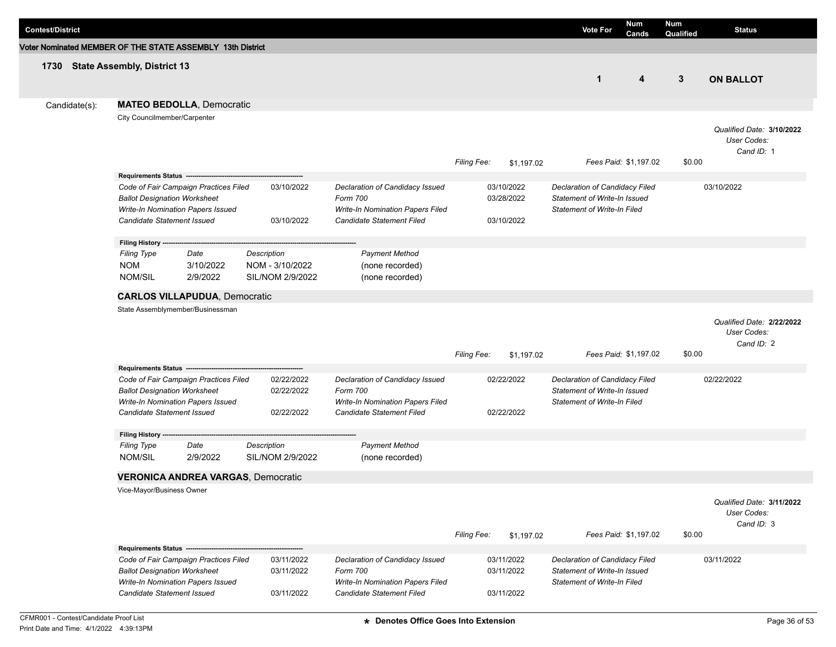| <b>Contest/District</b>                                    |                                           |                                       |                                           |                                                               |                    |            | <b>Vote For</b>                    | <b>Num</b><br>Cands   | Num<br>Qualified | <b>Status</b>             |
|------------------------------------------------------------|-------------------------------------------|---------------------------------------|-------------------------------------------|---------------------------------------------------------------|--------------------|------------|------------------------------------|-----------------------|------------------|---------------------------|
| Voter Nominated MEMBER OF THE STATE ASSEMBLY 13th District |                                           |                                       |                                           |                                                               |                    |            |                                    |                       |                  |                           |
| 1730 State Assembly, District 13                           |                                           |                                       |                                           |                                                               |                    |            |                                    |                       |                  |                           |
|                                                            |                                           |                                       |                                           |                                                               |                    |            | $\mathbf{1}$                       | 4                     | 3                | <b>ON BALLOT</b>          |
|                                                            |                                           |                                       |                                           |                                                               |                    |            |                                    |                       |                  |                           |
| Candidate(s):                                              |                                           | <b>MATEO BEDOLLA, Democratic</b>      |                                           |                                                               |                    |            |                                    |                       |                  |                           |
|                                                            | City Councilmember/Carpenter              |                                       |                                           |                                                               |                    |            |                                    |                       |                  |                           |
|                                                            |                                           |                                       |                                           |                                                               |                    |            |                                    |                       |                  | Qualified Date: 3/10/2022 |
|                                                            |                                           |                                       |                                           |                                                               |                    |            |                                    |                       |                  | User Codes:<br>Cand ID: 1 |
|                                                            |                                           |                                       |                                           |                                                               | <b>Filing Fee:</b> | \$1,197.02 |                                    | Fees Paid: \$1,197.02 | \$0.00           |                           |
|                                                            | Requirements Status -----------           |                                       |                                           |                                                               |                    |            |                                    |                       |                  |                           |
|                                                            |                                           | Code of Fair Campaign Practices Filed | 03/10/2022                                | Declaration of Candidacy Issued                               |                    | 03/10/2022 | Declaration of Candidacy Filed     |                       |                  | 03/10/2022                |
|                                                            | <b>Ballot Designation Worksheet</b>       |                                       |                                           | Form 700                                                      |                    | 03/28/2022 | Statement of Write-In Issued       |                       |                  |                           |
|                                                            | <b>Candidate Statement Issued</b>         | Write-In Nomination Papers Issued     | 03/10/2022                                | Write-In Nomination Papers Filed<br>Candidate Statement Filed |                    | 03/10/2022 | <b>Statement of Write-In Filed</b> |                       |                  |                           |
|                                                            |                                           |                                       |                                           |                                                               |                    |            |                                    |                       |                  |                           |
|                                                            | Filing History ----                       |                                       |                                           |                                                               |                    |            |                                    |                       |                  |                           |
|                                                            | <b>Filing Type</b>                        | Date                                  | Description                               | <b>Payment Method</b>                                         |                    |            |                                    |                       |                  |                           |
|                                                            | <b>NOM</b>                                | 3/10/2022                             | NOM - 3/10/2022                           | (none recorded)                                               |                    |            |                                    |                       |                  |                           |
|                                                            | <b>NOM/SIL</b>                            | 2/9/2022                              | SIL/NOM 2/9/2022                          | (none recorded)                                               |                    |            |                                    |                       |                  |                           |
|                                                            |                                           | <b>CARLOS VILLAPUDUA, Democratic</b>  |                                           |                                                               |                    |            |                                    |                       |                  |                           |
|                                                            |                                           | State Assemblymember/Businessman      |                                           |                                                               |                    |            |                                    |                       |                  |                           |
|                                                            |                                           |                                       |                                           |                                                               |                    |            |                                    |                       |                  | Qualified Date: 2/22/2022 |
|                                                            |                                           |                                       |                                           |                                                               |                    |            |                                    |                       |                  | User Codes:<br>Cand ID: 2 |
|                                                            |                                           |                                       |                                           |                                                               | <b>Filing Fee:</b> | \$1,197.02 |                                    | Fees Paid: \$1,197.02 | \$0.00           |                           |
|                                                            | Requirements Status -------------------   |                                       |                                           |                                                               |                    |            |                                    |                       |                  |                           |
|                                                            |                                           | Code of Fair Campaign Practices Filed | 02/22/2022                                | Declaration of Candidacy Issued                               |                    | 02/22/2022 | Declaration of Candidacy Filed     |                       |                  | 02/22/2022                |
|                                                            | <b>Ballot Designation Worksheet</b>       |                                       | 02/22/2022                                | Form 700                                                      |                    |            | Statement of Write-In Issued       |                       |                  |                           |
|                                                            | <b>Candidate Statement Issued</b>         | Write-In Nomination Papers Issued     | 02/22/2022                                | Write-In Nomination Papers Filed<br>Candidate Statement Filed |                    | 02/22/2022 | <b>Statement of Write-In Filed</b> |                       |                  |                           |
|                                                            |                                           |                                       |                                           |                                                               |                    |            |                                    |                       |                  |                           |
|                                                            | <b>Filing History</b>                     |                                       |                                           |                                                               |                    |            |                                    |                       |                  |                           |
|                                                            | <b>Filing Type</b>                        | Date                                  | Description                               | <b>Payment Method</b>                                         |                    |            |                                    |                       |                  |                           |
|                                                            | <b>NOM/SIL</b>                            | 2/9/2022                              | SIL/NOM 2/9/2022                          | (none recorded)                                               |                    |            |                                    |                       |                  |                           |
|                                                            |                                           |                                       | <b>VERONICA ANDREA VARGAS, Democratic</b> |                                                               |                    |            |                                    |                       |                  |                           |
|                                                            | Vice-Mayor/Business Owner                 |                                       |                                           |                                                               |                    |            |                                    |                       |                  |                           |
|                                                            |                                           |                                       |                                           |                                                               |                    |            |                                    |                       |                  | Qualified Date: 3/11/2022 |
|                                                            |                                           |                                       |                                           |                                                               |                    |            |                                    |                       |                  | User Codes:<br>Cand ID: 3 |
|                                                            |                                           |                                       |                                           |                                                               | Filing Fee:        | \$1,197.02 |                                    | Fees Paid: \$1,197.02 | \$0.00           |                           |
|                                                            | Requirements Status --------------------- |                                       |                                           |                                                               |                    |            |                                    |                       |                  |                           |
|                                                            |                                           | Code of Fair Campaign Practices Filed | 03/11/2022                                | Declaration of Candidacy Issued                               |                    | 03/11/2022 | Declaration of Candidacy Filed     |                       |                  | 03/11/2022                |
|                                                            | <b>Ballot Designation Worksheet</b>       |                                       | 03/11/2022                                | Form 700                                                      |                    | 03/11/2022 | Statement of Write-In Issued       |                       |                  |                           |
|                                                            |                                           | Write-In Nomination Papers Issued     |                                           | Write-In Nomination Papers Filed<br>Candidate Statement Filed |                    |            | <b>Statement of Write-In Filed</b> |                       |                  |                           |
|                                                            | Candidate Statement Issued                |                                       | 03/11/2022                                |                                                               |                    | 03/11/2022 |                                    |                       |                  |                           |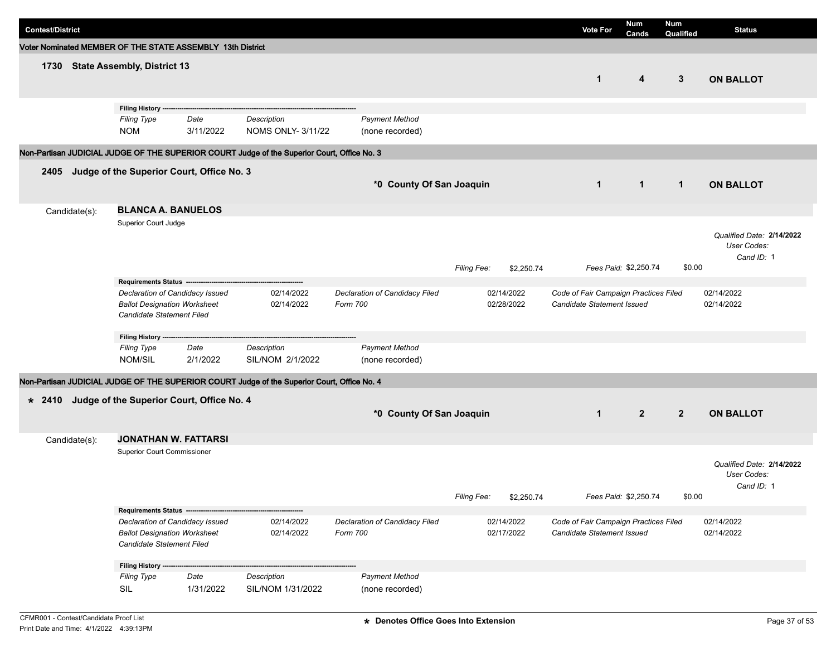| <b>Contest/District</b>                                    |                                                                                                     |                                            |                                                                                             |                                            |                           | <b>Vote For</b>                                                     | <b>Num</b><br>Cands   | Num<br>Qualified | <b>Status</b>                                          |
|------------------------------------------------------------|-----------------------------------------------------------------------------------------------------|--------------------------------------------|---------------------------------------------------------------------------------------------|--------------------------------------------|---------------------------|---------------------------------------------------------------------|-----------------------|------------------|--------------------------------------------------------|
| Voter Nominated MEMBER OF THE STATE ASSEMBLY 13th District |                                                                                                     |                                            |                                                                                             |                                            |                           |                                                                     |                       |                  |                                                        |
| 1730                                                       | <b>State Assembly, District 13</b>                                                                  |                                            |                                                                                             |                                            |                           | $\mathbf{1}$                                                        | 4                     | 3                | <b>ON BALLOT</b>                                       |
|                                                            | Filing History --                                                                                   |                                            |                                                                                             |                                            |                           |                                                                     |                       |                  |                                                        |
|                                                            | <b>Filing Type</b><br><b>NOM</b>                                                                    | Date<br>3/11/2022                          | Description<br><b>NOMS ONLY- 3/11/22</b>                                                    | <b>Payment Method</b><br>(none recorded)   |                           |                                                                     |                       |                  |                                                        |
|                                                            |                                                                                                     |                                            | Non-Partisan JUDICIAL JUDGE OF THE SUPERIOR COURT Judge of the Superior Court, Office No. 3 |                                            |                           |                                                                     |                       |                  |                                                        |
| 2405                                                       | Judge of the Superior Court, Office No. 3                                                           |                                            |                                                                                             |                                            |                           |                                                                     |                       |                  |                                                        |
|                                                            |                                                                                                     |                                            |                                                                                             | *0 County Of San Joaquin                   |                           | $\mathbf{1}$                                                        | $\mathbf{1}$          | $\mathbf{1}$     | <b>ON BALLOT</b>                                       |
| Candidate(s):                                              | <b>BLANCA A. BANUELOS</b>                                                                           |                                            |                                                                                             |                                            |                           |                                                                     |                       |                  |                                                        |
|                                                            | Superior Court Judge                                                                                |                                            |                                                                                             |                                            | Filing Fee:<br>\$2.250.74 |                                                                     | Fees Paid: \$2,250.74 | \$0.00           | Qualified Date: 2/14/2022<br>User Codes:<br>Cand ID: 1 |
|                                                            | Requirements Status --                                                                              |                                            |                                                                                             |                                            |                           |                                                                     |                       |                  |                                                        |
|                                                            | Declaration of Candidacy Issued<br><b>Ballot Designation Worksheet</b><br>Candidate Statement Filed |                                            | 02/14/2022<br>02/14/2022                                                                    | Declaration of Candidacy Filed<br>Form 700 | 02/14/2022<br>02/28/2022  | Code of Fair Campaign Practices Filed<br>Candidate Statement Issued |                       |                  | 02/14/2022<br>02/14/2022                               |
|                                                            | Filing History ---                                                                                  |                                            |                                                                                             |                                            |                           |                                                                     |                       |                  |                                                        |
|                                                            | <b>Filing Type</b><br>NOM/SIL                                                                       | Date<br>2/1/2022                           | Description<br>SIL/NOM 2/1/2022                                                             | <b>Payment Method</b><br>(none recorded)   |                           |                                                                     |                       |                  |                                                        |
|                                                            |                                                                                                     |                                            | Non-Partisan JUDICIAL JUDGE OF THE SUPERIOR COURT Judge of the Superior Court, Office No. 4 |                                            |                           |                                                                     |                       |                  |                                                        |
| $* 2410$                                                   | Judge of the Superior Court, Office No. 4                                                           |                                            |                                                                                             | *0 County Of San Joaquin                   |                           | $\mathbf{1}$                                                        | $\overline{2}$        | $\overline{2}$   | <b>ON BALLOT</b>                                       |
| Candidate(s):                                              | <b>JONATHAN W. FATTARSI</b>                                                                         |                                            |                                                                                             |                                            |                           |                                                                     |                       |                  |                                                        |
|                                                            | <b>Superior Court Commissioner</b>                                                                  |                                            |                                                                                             |                                            | Filing Fee:<br>\$2,250.74 |                                                                     | Fees Paid: \$2,250.74 | \$0.00           | Qualified Date: 2/14/2022<br>User Codes:<br>Cand ID: 1 |
|                                                            |                                                                                                     | Requirements Status ---------------------- |                                                                                             |                                            |                           |                                                                     |                       |                  |                                                        |
|                                                            | Declaration of Candidacy Issued<br><b>Ballot Designation Worksheet</b><br>Candidate Statement Filed |                                            | 02/14/2022<br>02/14/2022                                                                    | Declaration of Candidacy Filed<br>Form 700 | 02/14/2022<br>02/17/2022  | Code of Fair Campaign Practices Filed<br>Candidate Statement Issued |                       |                  | 02/14/2022<br>02/14/2022                               |
|                                                            | Filing History ------                                                                               |                                            |                                                                                             |                                            |                           |                                                                     |                       |                  |                                                        |
|                                                            | <b>Filing Type</b><br>SIL                                                                           | Date<br>1/31/2022                          | Description<br>SIL/NOM 1/31/2022                                                            | <b>Payment Method</b><br>(none recorded)   |                           |                                                                     |                       |                  |                                                        |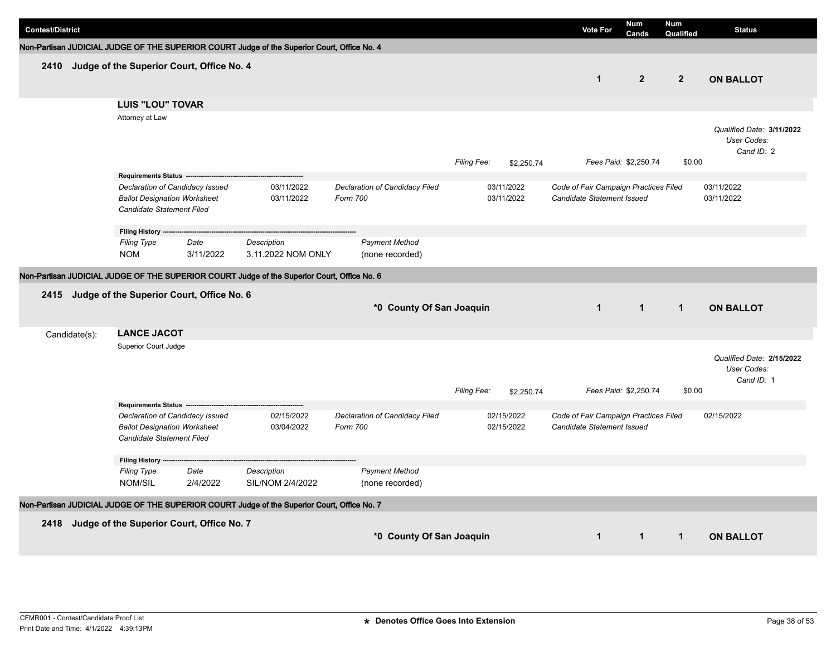| <b>Contest/District</b> |                                                                                                     |                   |                                                                                             |                                            |             |                          | <b>Vote For</b>                                                     | <b>Num</b>            | <b>Num</b>     | <b>Status</b>                                          |
|-------------------------|-----------------------------------------------------------------------------------------------------|-------------------|---------------------------------------------------------------------------------------------|--------------------------------------------|-------------|--------------------------|---------------------------------------------------------------------|-----------------------|----------------|--------------------------------------------------------|
|                         |                                                                                                     |                   |                                                                                             |                                            |             |                          |                                                                     | Cands                 | Qualified      |                                                        |
|                         |                                                                                                     |                   | Non-Partisan JUDICIAL JUDGE OF THE SUPERIOR COURT Judge of the Superior Court, Office No. 4 |                                            |             |                          |                                                                     |                       |                |                                                        |
|                         | 2410 Judge of the Superior Court, Office No. 4                                                      |                   |                                                                                             |                                            |             |                          | $\mathbf 1$                                                         | $\mathbf{2}$          | $\overline{2}$ | <b>ON BALLOT</b>                                       |
|                         | <b>LUIS "LOU" TOVAR</b>                                                                             |                   |                                                                                             |                                            |             |                          |                                                                     |                       |                |                                                        |
|                         | Attorney at Law                                                                                     |                   |                                                                                             |                                            | Filing Fee: | \$2,250.74               |                                                                     | Fees Paid: \$2,250.74 | \$0.00         | Qualified Date: 3/11/2022<br>User Codes:<br>Cand ID: 2 |
|                         | Requirements Status ---                                                                             |                   |                                                                                             |                                            |             |                          |                                                                     |                       |                |                                                        |
|                         | Declaration of Candidacy Issued<br><b>Ballot Designation Worksheet</b><br>Candidate Statement Filed |                   | 03/11/2022<br>03/11/2022                                                                    | Declaration of Candidacy Filed<br>Form 700 |             | 03/11/2022<br>03/11/2022 | Code of Fair Campaign Practices Filed<br>Candidate Statement Issued |                       |                | 03/11/2022<br>03/11/2022                               |
|                         | Filing History ----                                                                                 |                   |                                                                                             |                                            |             |                          |                                                                     |                       |                |                                                        |
|                         | <b>Filing Type</b><br><b>NOM</b>                                                                    | Date<br>3/11/2022 | <b>Description</b><br>3.11.2022 NOM ONLY                                                    | <b>Payment Method</b><br>(none recorded)   |             |                          |                                                                     |                       |                |                                                        |
|                         |                                                                                                     |                   | Non-Partisan JUDICIAL JUDGE OF THE SUPERIOR COURT Judge of the Superior Court, Office No. 6 |                                            |             |                          |                                                                     |                       |                |                                                        |
|                         | 2415 Judge of the Superior Court, Office No. 6                                                      |                   |                                                                                             | *0 County Of San Joaquin                   |             |                          | $\mathbf{1}$                                                        | $\mathbf{1}$          | $\mathbf{1}$   | <b>ON BALLOT</b>                                       |
| Candidate(s):           | <b>LANCE JACOT</b>                                                                                  |                   |                                                                                             |                                            |             |                          |                                                                     |                       |                |                                                        |
|                         | Superior Court Judge                                                                                |                   |                                                                                             |                                            | Filing Fee: | \$2,250.74               |                                                                     | Fees Paid: \$2,250.74 | \$0.00         | Qualified Date: 2/15/2022<br>User Codes:<br>Cand ID: 1 |
|                         | Requirements Status --                                                                              |                   |                                                                                             |                                            |             |                          |                                                                     |                       |                |                                                        |
|                         | Declaration of Candidacy Issued<br><b>Ballot Designation Worksheet</b><br>Candidate Statement Filed |                   | 02/15/2022<br>03/04/2022                                                                    | Declaration of Candidacy Filed<br>Form 700 |             | 02/15/2022<br>02/15/2022 | Code of Fair Campaign Practices Filed<br>Candidate Statement Issued |                       |                | 02/15/2022                                             |
|                         | Filing History ----                                                                                 |                   |                                                                                             |                                            |             |                          |                                                                     |                       |                |                                                        |
|                         | <b>Filing Type</b><br>NOM/SIL                                                                       | Date<br>2/4/2022  | <b>Description</b><br>SIL/NOM 2/4/2022                                                      | <b>Payment Method</b><br>(none recorded)   |             |                          |                                                                     |                       |                |                                                        |
|                         |                                                                                                     |                   | Non-Partisan JUDICIAL JUDGE OF THE SUPERIOR COURT Judge of the Superior Court, Office No. 7 |                                            |             |                          |                                                                     |                       |                |                                                        |
|                         | 2418 Judge of the Superior Court, Office No. 7                                                      |                   |                                                                                             | *0 County Of San Joaquin                   |             |                          | $\mathbf{1}$                                                        | $\mathbf{1}$          | $\mathbf{1}$   | <b>ON BALLOT</b>                                       |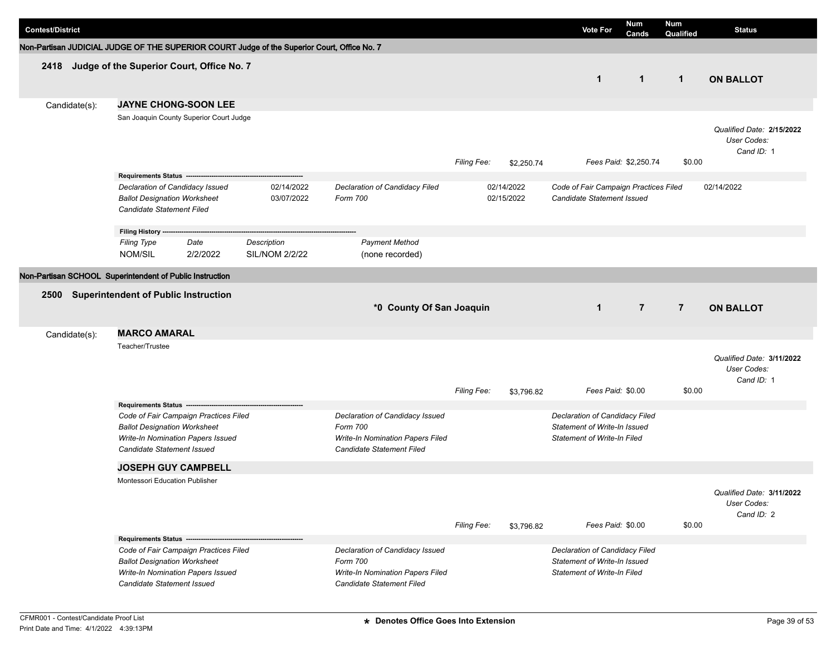| <b>Contest/District</b> |                                                                                                                                                 |                                      |                          |                                                                                                                     |                    |                          | <b>Vote For</b>                                                                                      | <b>Num</b><br>Cands   | Num<br>Qualified | <b>Status</b>                                          |
|-------------------------|-------------------------------------------------------------------------------------------------------------------------------------------------|--------------------------------------|--------------------------|---------------------------------------------------------------------------------------------------------------------|--------------------|--------------------------|------------------------------------------------------------------------------------------------------|-----------------------|------------------|--------------------------------------------------------|
|                         | Non-Partisan JUDICIAL JUDGE OF THE SUPERIOR COURT Judge of the Superior Court, Office No. 7                                                     |                                      |                          |                                                                                                                     |                    |                          |                                                                                                      |                       |                  |                                                        |
|                         | 2418 Judge of the Superior Court, Office No. 7                                                                                                  |                                      |                          |                                                                                                                     |                    |                          | $\mathbf{1}$                                                                                         | $\mathbf{1}$          | $\mathbf{1}$     | <b>ON BALLOT</b>                                       |
| Candidate(s):           | <b>JAYNE CHONG-SOON LEE</b><br>San Joaquin County Superior Court Judge                                                                          |                                      |                          |                                                                                                                     | Filing Fee:        | \$2,250.74               |                                                                                                      | Fees Paid: \$2,250.74 | \$0.00           | Qualified Date: 2/15/2022<br>User Codes:<br>Cand ID: 1 |
|                         | Requirements Status ----------<br>Declaration of Candidacy Issued<br><b>Ballot Designation Worksheet</b><br>Candidate Statement Filed           |                                      | 02/14/2022<br>03/07/2022 | Declaration of Candidacy Filed<br>Form 700                                                                          |                    | 02/14/2022<br>02/15/2022 | Code of Fair Campaign Practices Filed<br>Candidate Statement Issued                                  |                       |                  | 02/14/2022                                             |
|                         | Filing History ------<br><b>Filing Type</b><br>Date<br>NOM/SIL<br>2/2/2022                                                                      | Description<br><b>SIL/NOM 2/2/22</b> |                          | <b>Payment Method</b><br>(none recorded)                                                                            |                    |                          |                                                                                                      |                       |                  |                                                        |
|                         | Non-Partisan SCHOOL Superintendent of Public Instruction                                                                                        |                                      |                          |                                                                                                                     |                    |                          |                                                                                                      |                       |                  |                                                        |
| 2500                    | <b>Superintendent of Public Instruction</b>                                                                                                     |                                      |                          | *0 County Of San Joaquin                                                                                            |                    |                          | $\mathbf{1}$                                                                                         | $\overline{7}$        | $\overline{7}$   | <b>ON BALLOT</b>                                       |
| Candidate(s):           | <b>MARCO AMARAL</b>                                                                                                                             |                                      |                          |                                                                                                                     |                    |                          |                                                                                                      |                       |                  |                                                        |
|                         | Teacher/Trustee<br>Requirements Status ---------------                                                                                          |                                      |                          |                                                                                                                     | <b>Filing Fee:</b> | \$3,796.82               | Fees Paid: \$0.00                                                                                    |                       | \$0.00           | Qualified Date: 3/11/2022<br>User Codes:<br>Cand ID: 1 |
|                         | Code of Fair Campaign Practices Filed<br><b>Ballot Designation Worksheet</b><br>Write-In Nomination Papers Issued<br>Candidate Statement Issued |                                      |                          | Declaration of Candidacy Issued<br>Form 700<br><b>Write-In Nomination Papers Filed</b><br>Candidate Statement Filed |                    |                          | Declaration of Candidacy Filed<br>Statement of Write-In Issued<br><b>Statement of Write-In Filed</b> |                       |                  |                                                        |
|                         | <b>JOSEPH GUY CAMPBELL</b>                                                                                                                      |                                      |                          |                                                                                                                     |                    |                          |                                                                                                      |                       |                  |                                                        |
|                         | Montessori Education Publisher                                                                                                                  |                                      |                          |                                                                                                                     | Filing Fee:        | \$3,796.82               | Fees Paid: \$0.00                                                                                    |                       | \$0.00           | Qualified Date: 3/11/2022<br>User Codes:<br>Cand ID: 2 |
|                         | Requirements Status -------------                                                                                                               |                                      |                          |                                                                                                                     |                    |                          |                                                                                                      |                       |                  |                                                        |
|                         | Code of Fair Campaign Practices Filed<br><b>Ballot Designation Worksheet</b><br>Write-In Nomination Papers Issued<br>Candidate Statement Issued |                                      |                          | Declaration of Candidacy Issued<br>Form 700<br>Write-In Nomination Papers Filed<br>Candidate Statement Filed        |                    |                          | Declaration of Candidacy Filed<br>Statement of Write-In Issued<br><b>Statement of Write-In Filed</b> |                       |                  |                                                        |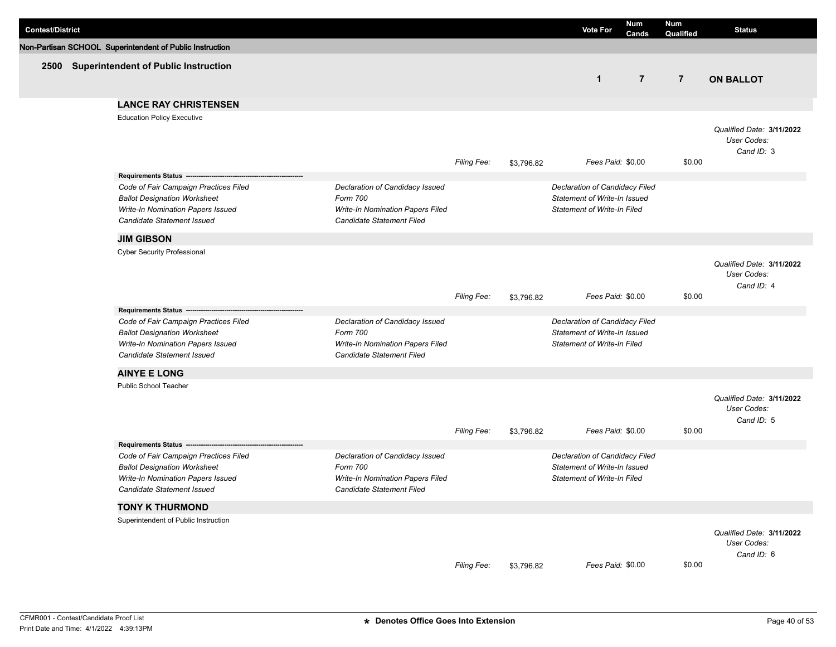| <b>Contest/District</b> |                                                                                                                                                        |                                                                                                                     |                    |            | <b>Vote For</b>                                                                                      | Num<br>Cands   | <b>Num</b><br>Qualified | <b>Status</b>                                          |
|-------------------------|--------------------------------------------------------------------------------------------------------------------------------------------------------|---------------------------------------------------------------------------------------------------------------------|--------------------|------------|------------------------------------------------------------------------------------------------------|----------------|-------------------------|--------------------------------------------------------|
|                         | Non-Partisan SCHOOL Superintendent of Public Instruction                                                                                               |                                                                                                                     |                    |            |                                                                                                      |                |                         |                                                        |
|                         | 2500 Superintendent of Public Instruction                                                                                                              |                                                                                                                     |                    |            | $\mathbf{1}$                                                                                         | $\overline{7}$ | $\overline{7}$          | <b>ON BALLOT</b>                                       |
|                         | <b>LANCE RAY CHRISTENSEN</b>                                                                                                                           |                                                                                                                     |                    |            |                                                                                                      |                |                         |                                                        |
|                         | <b>Education Policy Executive</b>                                                                                                                      |                                                                                                                     | <b>Filing Fee:</b> | \$3,796.82 | Fees Paid: \$0.00                                                                                    |                | \$0.00                  | Qualified Date: 3/11/2022<br>User Codes:<br>Cand ID: 3 |
|                         | Requirements Status ----------------------------                                                                                                       |                                                                                                                     |                    |            |                                                                                                      |                |                         |                                                        |
|                         | Code of Fair Campaign Practices Filed<br><b>Ballot Designation Worksheet</b><br>Write-In Nomination Papers Issued<br><b>Candidate Statement Issued</b> | Declaration of Candidacy Issued<br>Form 700<br>Write-In Nomination Papers Filed<br>Candidate Statement Filed        |                    |            | Declaration of Candidacy Filed<br>Statement of Write-In Issued<br><b>Statement of Write-In Filed</b> |                |                         |                                                        |
|                         | <b>JIM GIBSON</b>                                                                                                                                      |                                                                                                                     |                    |            |                                                                                                      |                |                         |                                                        |
|                         | <b>Cyber Security Professional</b>                                                                                                                     |                                                                                                                     | <b>Filing Fee:</b> | \$3,796.82 | Fees Paid: \$0.00                                                                                    |                | \$0.00                  | Qualified Date: 3/11/2022<br>User Codes:<br>Cand ID: 4 |
|                         | Requirements Status --                                                                                                                                 |                                                                                                                     |                    |            |                                                                                                      |                |                         |                                                        |
|                         | Code of Fair Campaign Practices Filed<br><b>Ballot Designation Worksheet</b><br>Write-In Nomination Papers Issued<br>Candidate Statement Issued        | Declaration of Candidacy Issued<br>Form 700<br>Write-In Nomination Papers Filed<br>Candidate Statement Filed        |                    |            | Declaration of Candidacy Filed<br>Statement of Write-In Issued<br>Statement of Write-In Filed        |                |                         |                                                        |
|                         | <b>AINYE E LONG</b>                                                                                                                                    |                                                                                                                     |                    |            |                                                                                                      |                |                         |                                                        |
|                         | Public School Teacher                                                                                                                                  |                                                                                                                     | Filing Fee:        | \$3,796.82 | Fees Paid: \$0.00                                                                                    |                | \$0.00                  | Qualified Date: 3/11/2022<br>User Codes:<br>Cand ID: 5 |
|                         | Requirements Status -------------------                                                                                                                |                                                                                                                     |                    |            |                                                                                                      |                |                         |                                                        |
|                         | Code of Fair Campaign Practices Filed<br><b>Ballot Designation Worksheet</b><br>Write-In Nomination Papers Issued<br>Candidate Statement Issued        | Declaration of Candidacy Issued<br>Form 700<br><b>Write-In Nomination Papers Filed</b><br>Candidate Statement Filed |                    |            | Declaration of Candidacy Filed<br>Statement of Write-In Issued<br><b>Statement of Write-In Filed</b> |                |                         |                                                        |
|                         | <b>TONY K THURMOND</b>                                                                                                                                 |                                                                                                                     |                    |            |                                                                                                      |                |                         |                                                        |
|                         | Superintendent of Public Instruction                                                                                                                   |                                                                                                                     | Filing Fee:        | \$3,796.82 | Fees Paid: \$0.00                                                                                    |                | \$0.00                  | Qualified Date: 3/11/2022<br>User Codes:<br>Cand ID: 6 |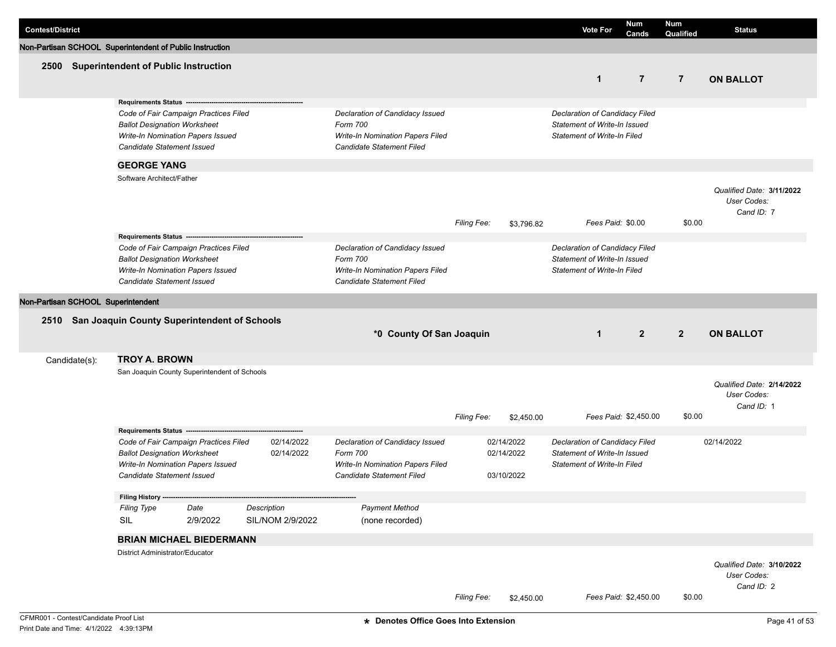| <b>Contest/District</b>            |               |                                                                                             |                                                                            |                                 |                                                                                                                     |             |                                        | <b>Vote For</b>                                                                                      | Num<br>Cands          | <b>Num</b><br>Qualified | <b>Status</b>                                          |
|------------------------------------|---------------|---------------------------------------------------------------------------------------------|----------------------------------------------------------------------------|---------------------------------|---------------------------------------------------------------------------------------------------------------------|-------------|----------------------------------------|------------------------------------------------------------------------------------------------------|-----------------------|-------------------------|--------------------------------------------------------|
|                                    |               | Non-Partisan SCHOOL Superintendent of Public Instruction                                    |                                                                            |                                 |                                                                                                                     |             |                                        |                                                                                                      |                       |                         |                                                        |
|                                    |               | 2500 Superintendent of Public Instruction                                                   |                                                                            |                                 |                                                                                                                     |             |                                        | $\mathbf{1}$                                                                                         | $\overline{7}$        | $\overline{7}$          | <b>ON BALLOT</b>                                       |
|                                    |               | Requirements Status --<br><b>Ballot Designation Worksheet</b><br>Candidate Statement Issued | Code of Fair Campaign Practices Filed<br>Write-In Nomination Papers Issued |                                 | Declaration of Candidacy Issued<br>Form 700<br><b>Write-In Nomination Papers Filed</b><br>Candidate Statement Filed |             |                                        | Declaration of Candidacy Filed<br>Statement of Write-In Issued<br><b>Statement of Write-In Filed</b> |                       |                         |                                                        |
|                                    |               | <b>GEORGE YANG</b>                                                                          |                                                                            |                                 |                                                                                                                     |             |                                        |                                                                                                      |                       |                         |                                                        |
|                                    |               | Software Architect/Father                                                                   |                                                                            |                                 |                                                                                                                     | Filing Fee: | \$3,796.82                             | Fees Paid: \$0.00                                                                                    |                       | \$0.00                  | Qualified Date: 3/11/2022<br>User Codes:<br>Cand ID: 7 |
|                                    |               |                                                                                             |                                                                            |                                 |                                                                                                                     |             |                                        |                                                                                                      |                       |                         |                                                        |
|                                    |               | <b>Ballot Designation Worksheet</b><br>Candidate Statement Issued                           | Code of Fair Campaign Practices Filed<br>Write-In Nomination Papers Issued |                                 | Declaration of Candidacy Issued<br>Form 700<br>Write-In Nomination Papers Filed<br>Candidate Statement Filed        |             |                                        | Declaration of Candidacy Filed<br>Statement of Write-In Issued<br><b>Statement of Write-In Filed</b> |                       |                         |                                                        |
| Non-Partisan SCHOOL Superintendent |               |                                                                                             |                                                                            |                                 |                                                                                                                     |             |                                        |                                                                                                      |                       |                         |                                                        |
|                                    |               |                                                                                             | 2510 San Joaquin County Superintendent of Schools                          |                                 | *0 County Of San Joaquin                                                                                            |             |                                        | $\mathbf 1$                                                                                          | $\overline{2}$        | $\overline{2}$          | <b>ON BALLOT</b>                                       |
|                                    | Candidate(s): | <b>TROY A. BROWN</b>                                                                        |                                                                            |                                 |                                                                                                                     |             |                                        |                                                                                                      |                       |                         |                                                        |
|                                    |               |                                                                                             | San Joaquin County Superintendent of Schools                               |                                 |                                                                                                                     | Filing Fee: | \$2,450.00                             |                                                                                                      | Fees Paid: \$2,450.00 | \$0.00                  | Qualified Date: 2/14/2022<br>User Codes:<br>Cand ID: 1 |
|                                    |               | Requirements Status -------                                                                 |                                                                            |                                 |                                                                                                                     |             |                                        |                                                                                                      |                       |                         |                                                        |
|                                    |               | <b>Ballot Designation Worksheet</b><br>Candidate Statement Issued                           | Code of Fair Campaign Practices Filed<br>Write-In Nomination Papers Issued | 02/14/2022<br>02/14/2022        | Declaration of Candidacy Issued<br>Form 700<br><b>Write-In Nomination Papers Filed</b><br>Candidate Statement Filed |             | 02/14/2022<br>02/14/2022<br>03/10/2022 | Declaration of Candidacy Filed<br>Statement of Write-In Issued<br><b>Statement of Write-In Filed</b> |                       |                         | 02/14/2022                                             |
|                                    |               | Filing History ----                                                                         |                                                                            |                                 |                                                                                                                     |             |                                        |                                                                                                      |                       |                         |                                                        |
|                                    |               | <b>Filing Type</b><br>SIL                                                                   | Date<br>2/9/2022                                                           | Description<br>SIL/NOM 2/9/2022 | <b>Payment Method</b><br>(none recorded)                                                                            |             |                                        |                                                                                                      |                       |                         |                                                        |
|                                    |               |                                                                                             | <b>BRIAN MICHAEL BIEDERMANN</b>                                            |                                 |                                                                                                                     |             |                                        |                                                                                                      |                       |                         |                                                        |
|                                    |               | District Administrator/Educator                                                             |                                                                            |                                 |                                                                                                                     | Filing Fee: | \$2,450.00                             |                                                                                                      | Fees Paid: \$2,450.00 | \$0.00                  | Qualified Date: 3/10/2022<br>User Codes:<br>Cand ID: 2 |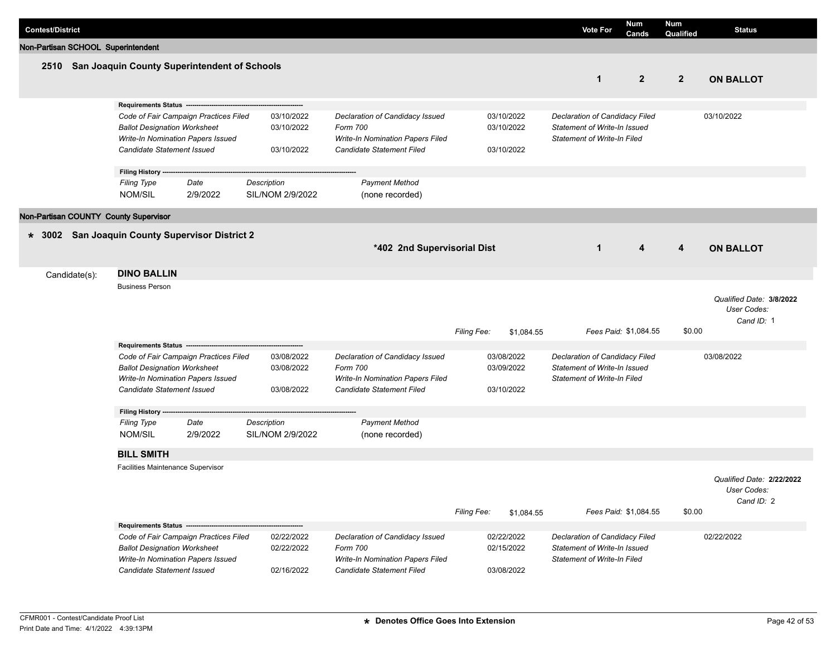| <b>Contest/District</b>               |                                                                                                                                       |                                       |                                        |                                                                                                              |             |                                        | <b>Vote For</b>                                                                                      | Num<br>Cands          | <b>Num</b><br>Qualified | <b>Status</b>                                          |
|---------------------------------------|---------------------------------------------------------------------------------------------------------------------------------------|---------------------------------------|----------------------------------------|--------------------------------------------------------------------------------------------------------------|-------------|----------------------------------------|------------------------------------------------------------------------------------------------------|-----------------------|-------------------------|--------------------------------------------------------|
| Non-Partisan SCHOOL Superintendent    |                                                                                                                                       |                                       |                                        |                                                                                                              |             |                                        |                                                                                                      |                       |                         |                                                        |
|                                       | 2510 San Joaquin County Superintendent of Schools                                                                                     |                                       |                                        |                                                                                                              |             |                                        | $\mathbf 1$                                                                                          | $\overline{2}$        | $\mathbf{2}$            | <b>ON BALLOT</b>                                       |
|                                       | Requirements Status ------<br><b>Ballot Designation Worksheet</b><br>Write-In Nomination Papers Issued<br>Candidate Statement Issued  | Code of Fair Campaign Practices Filed | 03/10/2022<br>03/10/2022<br>03/10/2022 | Declaration of Candidacy Issued<br>Form 700<br>Write-In Nomination Papers Filed<br>Candidate Statement Filed |             | 03/10/2022<br>03/10/2022<br>03/10/2022 | Declaration of Candidacy Filed<br>Statement of Write-In Issued<br><b>Statement of Write-In Filed</b> |                       |                         | 03/10/2022                                             |
|                                       | Filing History --<br><b>Filing Type</b><br>NOM/SIL                                                                                    | Date<br>2/9/2022                      | Description<br>SIL/NOM 2/9/2022        | <b>Payment Method</b><br>(none recorded)                                                                     |             |                                        |                                                                                                      |                       |                         |                                                        |
| Non-Partisan COUNTY County Supervisor |                                                                                                                                       |                                       |                                        |                                                                                                              |             |                                        |                                                                                                      |                       |                         |                                                        |
| $* 3002$                              | San Joaquin County Supervisor District 2                                                                                              |                                       |                                        | *402 2nd Supervisorial Dist                                                                                  |             |                                        | $\mathbf{1}$                                                                                         | 4                     | 4                       | <b>ON BALLOT</b>                                       |
| Candidate(s):                         | <b>DINO BALLIN</b><br><b>Business Person</b><br>Requirements Status ---                                                               |                                       |                                        |                                                                                                              | Filing Fee: | \$1,084.55                             |                                                                                                      | Fees Paid: \$1,084.55 | \$0.00                  | Qualified Date: 3/8/2022<br>User Codes:<br>Cand ID: 1  |
|                                       | <b>Ballot Designation Worksheet</b><br>Write-In Nomination Papers Issued<br>Candidate Statement Issued                                | Code of Fair Campaign Practices Filed | 03/08/2022<br>03/08/2022<br>03/08/2022 | Declaration of Candidacy Issued<br>Form 700<br>Write-In Nomination Papers Filed<br>Candidate Statement Filed |             | 03/08/2022<br>03/09/2022<br>03/10/2022 | Declaration of Candidacy Filed<br>Statement of Write-In Issued<br><b>Statement of Write-In Filed</b> |                       |                         | 03/08/2022                                             |
|                                       | <b>Filing History</b><br><b>Filing Type</b><br>NOM/SIL                                                                                | Date<br>2/9/2022                      | Description<br>SIL/NOM 2/9/2022        | <b>Payment Method</b><br>(none recorded)                                                                     |             |                                        |                                                                                                      |                       |                         |                                                        |
|                                       | <b>BILL SMITH</b>                                                                                                                     |                                       |                                        |                                                                                                              |             |                                        |                                                                                                      |                       |                         |                                                        |
|                                       | Facilities Maintenance Supervisor                                                                                                     |                                       |                                        |                                                                                                              | Filing Fee: | \$1,084.55                             |                                                                                                      | Fees Paid: \$1,084.55 | \$0.00                  | Qualified Date: 2/22/2022<br>User Codes:<br>Cand ID: 2 |
|                                       | Requirements Status -------<br><b>Ballot Designation Worksheet</b><br>Write-In Nomination Papers Issued<br>Candidate Statement Issued | Code of Fair Campaign Practices Filed | 02/22/2022<br>02/22/2022<br>02/16/2022 | Declaration of Candidacy Issued<br>Form 700<br>Write-In Nomination Papers Filed<br>Candidate Statement Filed |             | 02/22/2022<br>02/15/2022<br>03/08/2022 | Declaration of Candidacy Filed<br>Statement of Write-In Issued<br><b>Statement of Write-In Filed</b> |                       |                         | 02/22/2022                                             |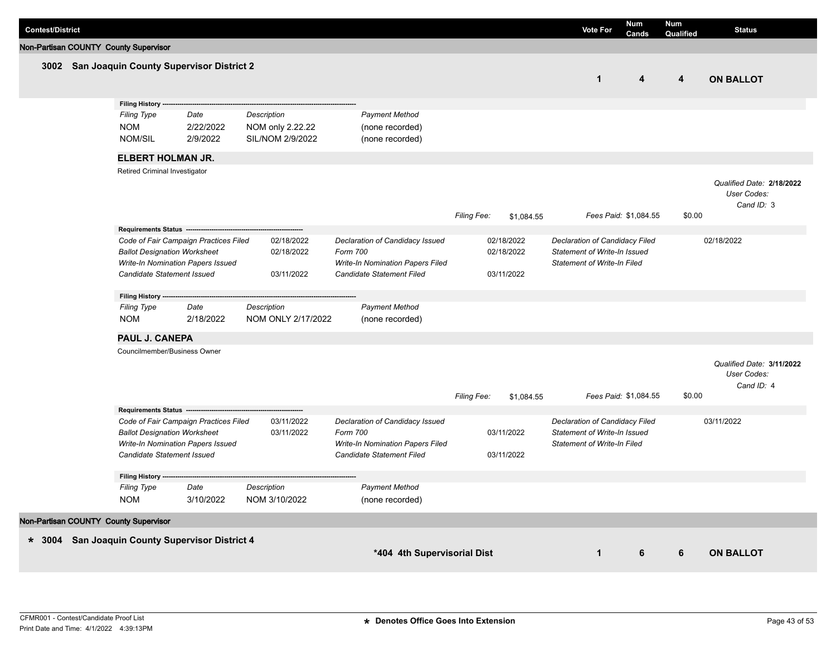| <b>Contest/District</b> |                                                                                                    |                                                                            |                                                            |                                                                                                              |             |                                        | <b>Vote For</b>                                                                                             | <b>Num</b><br>Cands     | <b>Num</b><br>Qualified | <b>Status</b>                                          |
|-------------------------|----------------------------------------------------------------------------------------------------|----------------------------------------------------------------------------|------------------------------------------------------------|--------------------------------------------------------------------------------------------------------------|-------------|----------------------------------------|-------------------------------------------------------------------------------------------------------------|-------------------------|-------------------------|--------------------------------------------------------|
|                         | Non-Partisan COUNTY County Supervisor                                                              |                                                                            |                                                            |                                                                                                              |             |                                        |                                                                                                             |                         |                         |                                                        |
|                         |                                                                                                    | 3002 San Joaquin County Supervisor District 2                              |                                                            |                                                                                                              |             |                                        | $\mathbf{1}$                                                                                                | $\overline{\mathbf{4}}$ | $\overline{4}$          | <b>ON BALLOT</b>                                       |
|                         | Filing History --<br><b>Filing Type</b><br><b>NOM</b><br><b>NOM/SIL</b>                            | Date<br>2/22/2022<br>2/9/2022                                              | <b>Description</b><br>NOM only 2.22.22<br>SIL/NOM 2/9/2022 | <b>Payment Method</b><br>(none recorded)<br>(none recorded)                                                  |             |                                        |                                                                                                             |                         |                         |                                                        |
|                         | <b>ELBERT HOLMAN JR.</b>                                                                           |                                                                            |                                                            |                                                                                                              |             |                                        |                                                                                                             |                         |                         |                                                        |
|                         | Retired Criminal Investigator                                                                      |                                                                            |                                                            |                                                                                                              | Filing Fee: | \$1,084.55                             |                                                                                                             | Fees Paid: \$1,084.55   | \$0.00                  | Qualified Date: 2/18/2022<br>User Codes:<br>Cand ID: 3 |
|                         | Requirements Status --<br><b>Ballot Designation Worksheet</b><br>Candidate Statement Issued        | Code of Fair Campaign Practices Filed<br>Write-In Nomination Papers Issued | 02/18/2022<br>02/18/2022<br>03/11/2022                     | Declaration of Candidacy Issued<br>Form 700<br>Write-In Nomination Papers Filed<br>Candidate Statement Filed |             | 02/18/2022<br>02/18/2022<br>03/11/2022 | Declaration of Candidacy Filed<br><b>Statement of Write-In Issued</b><br><b>Statement of Write-In Filed</b> |                         |                         | 02/18/2022                                             |
|                         | Filing History ---<br><b>Filing Type</b><br><b>NOM</b>                                             | Date<br>2/18/2022                                                          | Description<br>NOM ONLY 2/17/2022                          | <b>Payment Method</b><br>(none recorded)                                                                     |             |                                        |                                                                                                             |                         |                         |                                                        |
|                         | PAUL J. CANEPA                                                                                     |                                                                            |                                                            |                                                                                                              |             |                                        |                                                                                                             |                         |                         |                                                        |
|                         | Councilmember/Business Owner                                                                       |                                                                            |                                                            |                                                                                                              | Filing Fee: | \$1,084.55                             |                                                                                                             | Fees Paid: \$1,084.55   | \$0.00                  | Qualified Date: 3/11/2022<br>User Codes:<br>Cand ID: 4 |
|                         | Requirements Status --<br><b>Ballot Designation Worksheet</b><br><b>Candidate Statement Issued</b> | Code of Fair Campaign Practices Filed<br>Write-In Nomination Papers Issued | 03/11/2022<br>03/11/2022                                   | Declaration of Candidacy Issued<br>Form 700<br>Write-In Nomination Papers Filed<br>Candidate Statement Filed |             | 03/11/2022<br>03/11/2022               | Declaration of Candidacy Filed<br>Statement of Write-In Issued<br>Statement of Write-In Filed               |                         |                         | 03/11/2022                                             |
|                         | Filing History --<br><b>Filing Type</b><br><b>NOM</b>                                              | Date<br>3/10/2022                                                          | Description<br>NOM 3/10/2022                               | <b>Payment Method</b><br>(none recorded)                                                                     |             |                                        |                                                                                                             |                         |                         |                                                        |
|                         | Non-Partisan COUNTY County Supervisor                                                              |                                                                            |                                                            |                                                                                                              |             |                                        |                                                                                                             |                         |                         |                                                        |
|                         |                                                                                                    | * 3004 San Joaquin County Supervisor District 4                            |                                                            | *404 4th Supervisorial Dist                                                                                  |             |                                        | $\mathbf{1}$                                                                                                | 6                       | 6                       | <b>ON BALLOT</b>                                       |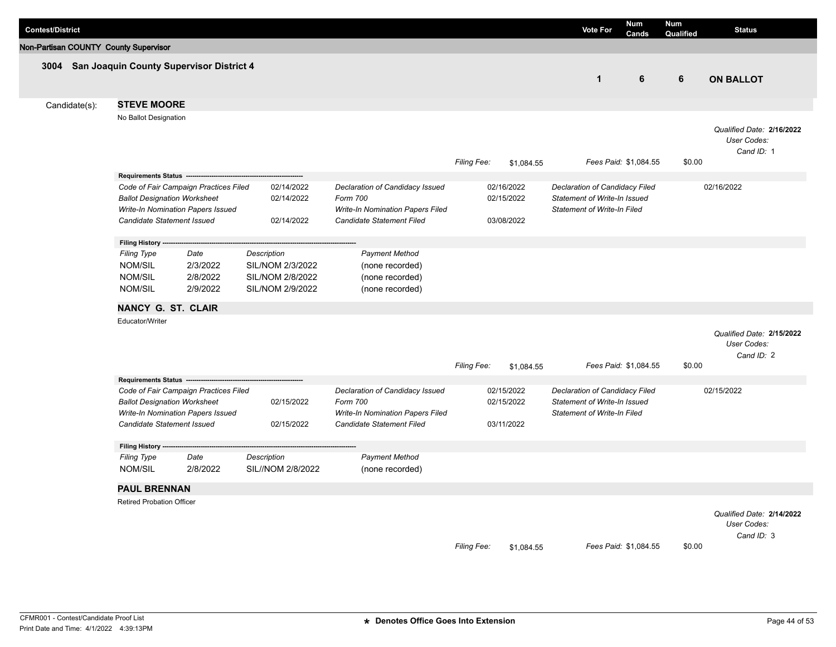| <b>Contest/District</b>               |                                                                          |                                                                            |                                                                         |                                                                                                              |                    |                                        | <b>Vote For</b>                                                                                      | <b>Num</b><br>Cands   | <b>Num</b><br>Qualified | <b>Status</b>                                          |
|---------------------------------------|--------------------------------------------------------------------------|----------------------------------------------------------------------------|-------------------------------------------------------------------------|--------------------------------------------------------------------------------------------------------------|--------------------|----------------------------------------|------------------------------------------------------------------------------------------------------|-----------------------|-------------------------|--------------------------------------------------------|
| Non-Partisan COUNTY County Supervisor |                                                                          |                                                                            |                                                                         |                                                                                                              |                    |                                        |                                                                                                      |                       |                         |                                                        |
|                                       | 3004 San Joaquin County Supervisor District 4                            |                                                                            |                                                                         |                                                                                                              |                    |                                        | $\mathbf{1}$                                                                                         | 6                     | 6                       | <b>ON BALLOT</b>                                       |
| Candidate(s):                         | <b>STEVE MOORE</b>                                                       |                                                                            |                                                                         |                                                                                                              |                    |                                        |                                                                                                      |                       |                         |                                                        |
|                                       | No Ballot Designation                                                    |                                                                            |                                                                         |                                                                                                              | Filing Fee:        | \$1,084.55                             |                                                                                                      | Fees Paid: \$1,084.55 | \$0.00                  | Qualified Date: 2/16/2022<br>User Codes:<br>Cand ID: 1 |
|                                       | <b>Requirements Status</b>                                               |                                                                            |                                                                         |                                                                                                              |                    |                                        |                                                                                                      |                       |                         |                                                        |
|                                       | <b>Ballot Designation Worksheet</b>                                      | Code of Fair Campaign Practices Filed<br>Write-In Nomination Papers Issued | 02/14/2022<br>02/14/2022                                                | Declaration of Candidacy Issued<br>Form 700<br>Write-In Nomination Papers Filed                              |                    | 02/16/2022<br>02/15/2022               | Declaration of Candidacy Filed<br>Statement of Write-In Issued<br>Statement of Write-In Filed        |                       |                         | 02/16/2022                                             |
|                                       | Candidate Statement Issued                                               |                                                                            | 02/14/2022                                                              | Candidate Statement Filed                                                                                    |                    | 03/08/2022                             |                                                                                                      |                       |                         |                                                        |
|                                       | Filing History ---                                                       |                                                                            |                                                                         |                                                                                                              |                    |                                        |                                                                                                      |                       |                         |                                                        |
|                                       | <b>Filing Type</b><br><b>NOM/SIL</b><br><b>NOM/SIL</b><br><b>NOM/SIL</b> | Date<br>2/3/2022<br>2/8/2022<br>2/9/2022                                   | Description<br>SIL/NOM 2/3/2022<br>SIL/NOM 2/8/2022<br>SIL/NOM 2/9/2022 | <b>Payment Method</b><br>(none recorded)<br>(none recorded)<br>(none recorded)                               |                    |                                        |                                                                                                      |                       |                         |                                                        |
|                                       | <b>NANCY G. ST. CLAIR</b>                                                |                                                                            |                                                                         |                                                                                                              |                    |                                        |                                                                                                      |                       |                         |                                                        |
|                                       | Educator/Writer                                                          |                                                                            |                                                                         |                                                                                                              | <b>Filing Fee:</b> | \$1,084.55                             |                                                                                                      | Fees Paid: \$1,084.55 | \$0.00                  | Qualified Date: 2/15/2022<br>User Codes:<br>Cand ID: 2 |
|                                       | Requirements Status -                                                    |                                                                            |                                                                         |                                                                                                              |                    |                                        |                                                                                                      |                       |                         |                                                        |
|                                       | <b>Ballot Designation Worksheet</b><br>Candidate Statement Issued        | Code of Fair Campaign Practices Filed<br>Write-In Nomination Papers Issued | 02/15/2022<br>02/15/2022                                                | Declaration of Candidacy Issued<br>Form 700<br>Write-In Nomination Papers Filed<br>Candidate Statement Filed |                    | 02/15/2022<br>02/15/2022<br>03/11/2022 | Declaration of Candidacy Filed<br>Statement of Write-In Issued<br><b>Statement of Write-In Filed</b> |                       |                         | 02/15/2022                                             |
|                                       |                                                                          |                                                                            |                                                                         |                                                                                                              |                    |                                        |                                                                                                      |                       |                         |                                                        |
|                                       | Filing History -<br><b>Filing Type</b>                                   | Date                                                                       | Description                                                             | <b>Payment Method</b>                                                                                        |                    |                                        |                                                                                                      |                       |                         |                                                        |
|                                       | <b>NOM/SIL</b>                                                           | 2/8/2022                                                                   | SIL//NOM 2/8/2022                                                       | (none recorded)                                                                                              |                    |                                        |                                                                                                      |                       |                         |                                                        |
|                                       | <b>PAUL BRENNAN</b><br>Retired Probation Officer                         |                                                                            |                                                                         |                                                                                                              | Filing Fee:        | \$1,084.55                             |                                                                                                      | Fees Paid: \$1,084.55 | \$0.00                  | Qualified Date: 2/14/2022<br>User Codes:<br>Cand ID: 3 |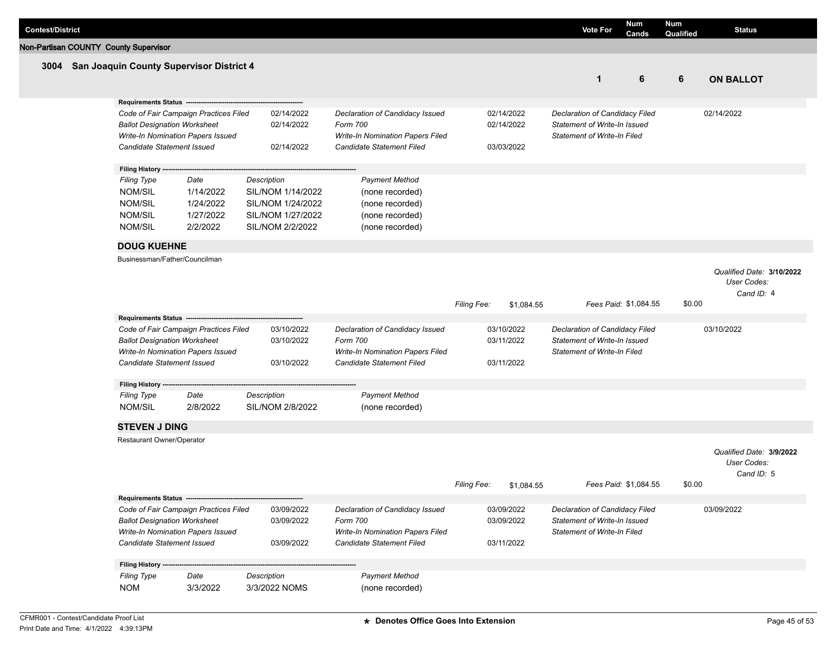| <b>Contest/District</b> |                                                                                             |           |                   |                                                                      |                    |            | <b>Vote For</b>                                                    | Num<br>Cands          | <b>Num</b><br>Qualified | <b>Status</b>             |
|-------------------------|---------------------------------------------------------------------------------------------|-----------|-------------------|----------------------------------------------------------------------|--------------------|------------|--------------------------------------------------------------------|-----------------------|-------------------------|---------------------------|
|                         | Non-Partisan COUNTY County Supervisor                                                       |           |                   |                                                                      |                    |            |                                                                    |                       |                         |                           |
|                         | 3004 San Joaquin County Supervisor District 4                                               |           |                   |                                                                      |                    |            |                                                                    |                       |                         |                           |
|                         |                                                                                             |           |                   |                                                                      |                    |            | $\mathbf{1}$                                                       | 6                     | 6                       | <b>ON BALLOT</b>          |
|                         |                                                                                             |           |                   |                                                                      |                    |            |                                                                    |                       |                         |                           |
|                         | <b>Requirements Status --</b>                                                               |           |                   |                                                                      |                    |            |                                                                    |                       |                         |                           |
|                         | Code of Fair Campaign Practices Filed                                                       |           | 02/14/2022        | Declaration of Candidacy Issued                                      |                    | 02/14/2022 | Declaration of Candidacy Filed                                     |                       |                         | 02/14/2022                |
|                         | <b>Ballot Designation Worksheet</b><br>Write-In Nomination Papers Issued                    |           | 02/14/2022        | Form 700<br><b>Write-In Nomination Papers Filed</b>                  |                    | 02/14/2022 | Statement of Write-In Issued<br><b>Statement of Write-In Filed</b> |                       |                         |                           |
|                         | Candidate Statement Issued                                                                  |           | 02/14/2022        | Candidate Statement Filed                                            |                    | 03/03/2022 |                                                                    |                       |                         |                           |
|                         |                                                                                             |           |                   |                                                                      |                    |            |                                                                    |                       |                         |                           |
|                         | Filing History --                                                                           |           |                   |                                                                      |                    |            |                                                                    |                       |                         |                           |
|                         | <b>Filing Type</b>                                                                          | Date      | Description       | <b>Payment Method</b>                                                |                    |            |                                                                    |                       |                         |                           |
|                         | NOM/SIL                                                                                     | 1/14/2022 | SIL/NOM 1/14/2022 | (none recorded)                                                      |                    |            |                                                                    |                       |                         |                           |
|                         | <b>NOM/SIL</b>                                                                              | 1/24/2022 | SIL/NOM 1/24/2022 | (none recorded)                                                      |                    |            |                                                                    |                       |                         |                           |
|                         | <b>NOM/SIL</b>                                                                              | 1/27/2022 | SIL/NOM 1/27/2022 | (none recorded)                                                      |                    |            |                                                                    |                       |                         |                           |
|                         | <b>NOM/SIL</b>                                                                              | 2/2/2022  | SIL/NOM 2/2/2022  | (none recorded)                                                      |                    |            |                                                                    |                       |                         |                           |
|                         | <b>DOUG KUEHNE</b>                                                                          |           |                   |                                                                      |                    |            |                                                                    |                       |                         |                           |
|                         | Businessman/Father/Councilman                                                               |           |                   |                                                                      |                    |            |                                                                    |                       |                         |                           |
|                         |                                                                                             |           |                   |                                                                      |                    |            |                                                                    |                       |                         | Qualified Date: 3/10/2022 |
|                         |                                                                                             |           |                   |                                                                      |                    |            |                                                                    |                       |                         | User Codes:               |
|                         |                                                                                             |           |                   |                                                                      |                    |            |                                                                    |                       |                         | Cand ID: 4                |
|                         |                                                                                             |           |                   |                                                                      | Filing Fee:        | \$1,084.55 |                                                                    | Fees Paid: \$1,084.55 | \$0.00                  |                           |
|                         | <b>Requirements Status --</b>                                                               |           |                   |                                                                      |                    |            |                                                                    |                       |                         |                           |
|                         | Code of Fair Campaign Practices Filed                                                       |           | 03/10/2022        | Declaration of Candidacy Issued                                      |                    | 03/10/2022 | Declaration of Candidacy Filed                                     |                       |                         | 03/10/2022                |
|                         | <b>Ballot Designation Worksheet</b>                                                         |           | 03/10/2022        | Form 700                                                             |                    | 03/11/2022 | Statement of Write-In Issued                                       |                       |                         |                           |
|                         | Write-In Nomination Papers Issued<br>Candidate Statement Issued                             |           | 03/10/2022        | <b>Write-In Nomination Papers Filed</b><br>Candidate Statement Filed |                    | 03/11/2022 | <b>Statement of Write-In Filed</b>                                 |                       |                         |                           |
|                         |                                                                                             |           |                   |                                                                      |                    |            |                                                                    |                       |                         |                           |
|                         | Filing History ---                                                                          |           |                   |                                                                      |                    |            |                                                                    |                       |                         |                           |
|                         | <b>Filing Type</b>                                                                          | Date      | Description       | <b>Payment Method</b>                                                |                    |            |                                                                    |                       |                         |                           |
|                         | NOM/SIL                                                                                     | 2/8/2022  | SIL/NOM 2/8/2022  | (none recorded)                                                      |                    |            |                                                                    |                       |                         |                           |
|                         | <b>STEVEN J DING</b>                                                                        |           |                   |                                                                      |                    |            |                                                                    |                       |                         |                           |
|                         | Restaurant Owner/Operator                                                                   |           |                   |                                                                      |                    |            |                                                                    |                       |                         |                           |
|                         |                                                                                             |           |                   |                                                                      |                    |            |                                                                    |                       |                         | Qualified Date: 3/9/2022  |
|                         |                                                                                             |           |                   |                                                                      |                    |            |                                                                    |                       |                         | User Codes:               |
|                         |                                                                                             |           |                   |                                                                      | <b>Filing Fee:</b> |            |                                                                    | Fees Paid: \$1,084.55 | \$0.00                  | Cand ID: 5                |
|                         |                                                                                             |           |                   |                                                                      |                    | \$1,084.55 |                                                                    |                       |                         |                           |
|                         | Requirements Status ------------------------------<br>Code of Fair Campaign Practices Filed |           | 03/09/2022        | Declaration of Candidacy Issued                                      |                    | 03/09/2022 | Declaration of Candidacy Filed                                     |                       |                         | 03/09/2022                |
|                         | <b>Ballot Designation Worksheet</b>                                                         |           | 03/09/2022        | Form 700                                                             |                    | 03/09/2022 | Statement of Write-In Issued                                       |                       |                         |                           |
|                         | Write-In Nomination Papers Issued                                                           |           |                   | Write-In Nomination Papers Filed                                     |                    |            | <b>Statement of Write-In Filed</b>                                 |                       |                         |                           |
|                         | Candidate Statement Issued                                                                  |           | 03/09/2022        | Candidate Statement Filed                                            |                    | 03/11/2022 |                                                                    |                       |                         |                           |
|                         |                                                                                             |           |                   |                                                                      |                    |            |                                                                    |                       |                         |                           |
|                         | Filing History ---                                                                          |           |                   |                                                                      |                    |            |                                                                    |                       |                         |                           |
|                         | <b>Filing Type</b>                                                                          | Date      | Description       | <b>Payment Method</b>                                                |                    |            |                                                                    |                       |                         |                           |
|                         | <b>NOM</b>                                                                                  | 3/3/2022  | 3/3/2022 NOMS     | (none recorded)                                                      |                    |            |                                                                    |                       |                         |                           |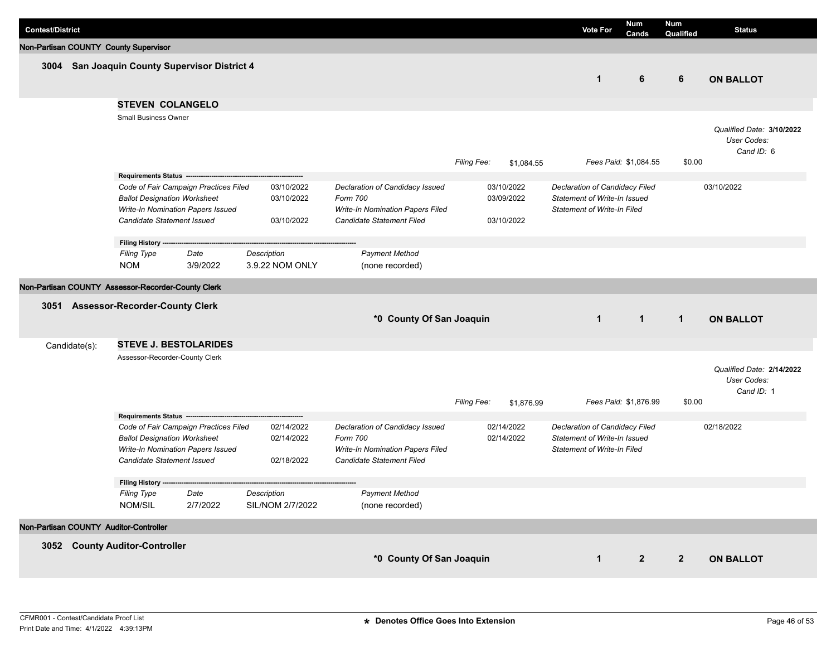| <b>Contest/District</b>                            |                                                                   |                                                                            |                                        |                                                                                                              |             |                                        | <b>Vote For</b>                                                                                      | <b>Num</b><br>Cands   | <b>Num</b><br>Qualified | <b>Status</b>                                          |
|----------------------------------------------------|-------------------------------------------------------------------|----------------------------------------------------------------------------|----------------------------------------|--------------------------------------------------------------------------------------------------------------|-------------|----------------------------------------|------------------------------------------------------------------------------------------------------|-----------------------|-------------------------|--------------------------------------------------------|
| Non-Partisan COUNTY County Supervisor              |                                                                   |                                                                            |                                        |                                                                                                              |             |                                        |                                                                                                      |                       |                         |                                                        |
| 3004 San Joaquin County Supervisor District 4      |                                                                   |                                                                            |                                        |                                                                                                              |             |                                        | $\mathbf{1}$                                                                                         | 6                     | 6                       | <b>ON BALLOT</b>                                       |
|                                                    | <b>STEVEN COLANGELO</b>                                           |                                                                            |                                        |                                                                                                              |             |                                        |                                                                                                      |                       |                         |                                                        |
|                                                    | Small Business Owner                                              |                                                                            |                                        |                                                                                                              | Filing Fee: | \$1,084.55                             |                                                                                                      | Fees Paid: \$1,084.55 | \$0.00                  | Qualified Date: 3/10/2022<br>User Codes:<br>Cand ID: 6 |
|                                                    | Requirements Status ---                                           |                                                                            |                                        |                                                                                                              |             |                                        |                                                                                                      |                       |                         |                                                        |
|                                                    | <b>Ballot Designation Worksheet</b><br>Candidate Statement Issued | Code of Fair Campaign Practices Filed<br>Write-In Nomination Papers Issued | 03/10/2022<br>03/10/2022<br>03/10/2022 | Declaration of Candidacy Issued<br>Form 700<br>Write-In Nomination Papers Filed<br>Candidate Statement Filed |             | 03/10/2022<br>03/09/2022<br>03/10/2022 | Declaration of Candidacy Filed<br>Statement of Write-In Issued<br><b>Statement of Write-In Filed</b> |                       |                         | 03/10/2022                                             |
|                                                    | Filing History --                                                 |                                                                            |                                        |                                                                                                              |             |                                        |                                                                                                      |                       |                         |                                                        |
|                                                    | <b>Filing Type</b>                                                | Date                                                                       | Description                            | <b>Payment Method</b>                                                                                        |             |                                        |                                                                                                      |                       |                         |                                                        |
|                                                    | <b>NOM</b>                                                        | 3/9/2022                                                                   | 3.9.22 NOM ONLY                        | (none recorded)                                                                                              |             |                                        |                                                                                                      |                       |                         |                                                        |
| Non-Partisan COUNTY Assessor-Recorder-County Clerk |                                                                   |                                                                            |                                        |                                                                                                              |             |                                        |                                                                                                      |                       |                         |                                                        |
| 3051 Assessor-Recorder-County Clerk                |                                                                   |                                                                            |                                        | *0 County Of San Joaquin                                                                                     |             |                                        | $\mathbf{1}$                                                                                         | $\overline{1}$        | $\mathbf{1}$            | <b>ON BALLOT</b>                                       |
| Candidate(s):                                      |                                                                   | <b>STEVE J. BESTOLARIDES</b>                                               |                                        |                                                                                                              |             |                                        |                                                                                                      |                       |                         |                                                        |
|                                                    | Assessor-Recorder-County Clerk                                    |                                                                            |                                        |                                                                                                              | Filing Fee: | \$1,876.99                             |                                                                                                      | Fees Paid: \$1,876.99 | \$0.00                  | Qualified Date: 2/14/2022<br>User Codes:<br>Cand ID: 1 |
|                                                    | Requirements Status ---                                           |                                                                            |                                        |                                                                                                              |             |                                        |                                                                                                      |                       |                         |                                                        |
|                                                    | <b>Ballot Designation Worksheet</b><br>Candidate Statement Issued | Code of Fair Campaign Practices Filed<br>Write-In Nomination Papers Issued | 02/14/2022<br>02/14/2022<br>02/18/2022 | Declaration of Candidacy Issued<br>Form 700<br>Write-In Nomination Papers Filed<br>Candidate Statement Filed |             | 02/14/2022<br>02/14/2022               | Declaration of Candidacy Filed<br>Statement of Write-In Issued<br><b>Statement of Write-In Filed</b> |                       |                         | 02/18/2022                                             |
|                                                    | Filing History ---                                                |                                                                            |                                        |                                                                                                              |             |                                        |                                                                                                      |                       |                         |                                                        |
|                                                    | <b>Filing Type</b><br>NOM/SIL                                     | Date<br>2/7/2022                                                           | Description<br>SIL/NOM 2/7/2022        | <b>Payment Method</b><br>(none recorded)                                                                     |             |                                        |                                                                                                      |                       |                         |                                                        |
| Non-Partisan COUNTY Auditor-Controller             |                                                                   |                                                                            |                                        |                                                                                                              |             |                                        |                                                                                                      |                       |                         |                                                        |
|                                                    |                                                                   |                                                                            |                                        |                                                                                                              |             |                                        |                                                                                                      |                       |                         |                                                        |
| 3052 County Auditor-Controller                     |                                                                   |                                                                            |                                        | *0 County Of San Joaquin                                                                                     |             |                                        | $\mathbf{1}$                                                                                         | $\mathbf{2}$          | $\overline{2}$          | <b>ON BALLOT</b>                                       |
|                                                    |                                                                   |                                                                            |                                        |                                                                                                              |             |                                        |                                                                                                      |                       |                         |                                                        |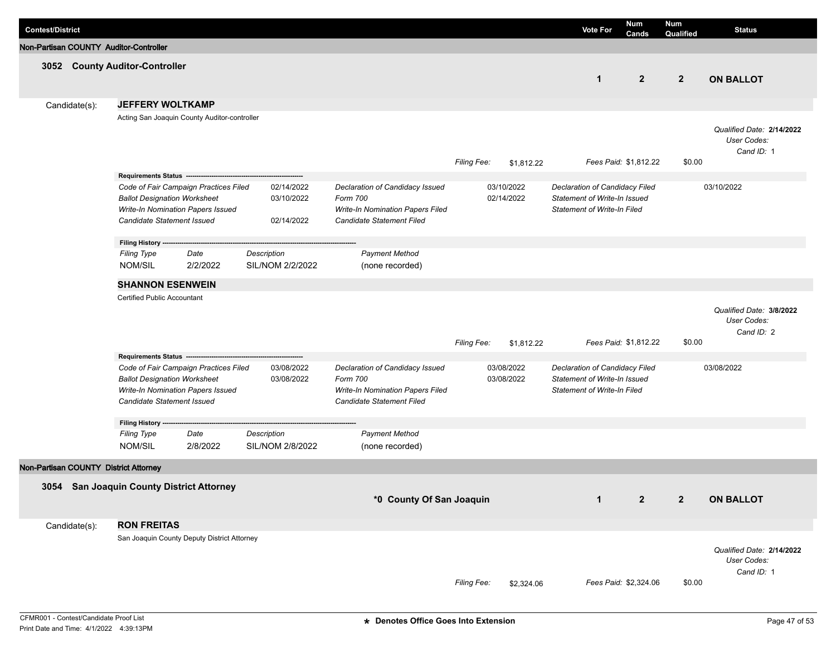| <b>Contest/District</b>                   |                                                                                                                                                                                |                  |                                        |                                                                                                                     |             |                          | <b>Vote For</b>                                                                                      | Num<br>Cands          | <b>Num</b><br>Qualified | <b>Status</b>                                          |
|-------------------------------------------|--------------------------------------------------------------------------------------------------------------------------------------------------------------------------------|------------------|----------------------------------------|---------------------------------------------------------------------------------------------------------------------|-------------|--------------------------|------------------------------------------------------------------------------------------------------|-----------------------|-------------------------|--------------------------------------------------------|
| Non-Partisan COUNTY Auditor-Controller    |                                                                                                                                                                                |                  |                                        |                                                                                                                     |             |                          |                                                                                                      |                       |                         |                                                        |
| 3052 County Auditor-Controller            |                                                                                                                                                                                |                  |                                        |                                                                                                                     |             |                          | $\mathbf{1}$                                                                                         | $\overline{2}$        | $\overline{2}$          | <b>ON BALLOT</b>                                       |
| Candidate(s):                             | <b>JEFFERY WOLTKAMP</b>                                                                                                                                                        |                  |                                        |                                                                                                                     |             |                          |                                                                                                      |                       |                         |                                                        |
|                                           | Acting San Joaquin County Auditor-controller                                                                                                                                   |                  |                                        |                                                                                                                     | Filing Fee: | \$1,812.22               |                                                                                                      | Fees Paid: \$1,812.22 | \$0.00                  | Qualified Date: 2/14/2022<br>User Codes:<br>Cand ID: 1 |
|                                           | Requirements Status ----                                                                                                                                                       |                  |                                        |                                                                                                                     |             |                          |                                                                                                      |                       |                         |                                                        |
|                                           | Code of Fair Campaign Practices Filed<br><b>Ballot Designation Worksheet</b><br>Write-In Nomination Papers Issued<br>Candidate Statement Issued                                |                  | 02/14/2022<br>03/10/2022<br>02/14/2022 | Declaration of Candidacy Issued<br>Form 700<br>Write-In Nomination Papers Filed<br>Candidate Statement Filed        |             | 03/10/2022<br>02/14/2022 | Declaration of Candidacy Filed<br>Statement of Write-In Issued<br><b>Statement of Write-In Filed</b> |                       |                         | 03/10/2022                                             |
|                                           | Filing History -                                                                                                                                                               |                  |                                        |                                                                                                                     |             |                          |                                                                                                      |                       |                         |                                                        |
|                                           | <b>Filing Type</b>                                                                                                                                                             | Date             | Description                            | <b>Payment Method</b>                                                                                               |             |                          |                                                                                                      |                       |                         |                                                        |
|                                           | NOM/SIL                                                                                                                                                                        | 2/2/2022         | SIL/NOM 2/2/2022                       | (none recorded)                                                                                                     |             |                          |                                                                                                      |                       |                         |                                                        |
|                                           | <b>SHANNON ESENWEIN</b>                                                                                                                                                        |                  |                                        |                                                                                                                     |             |                          |                                                                                                      |                       |                         |                                                        |
|                                           | Certified Public Accountant                                                                                                                                                    |                  |                                        |                                                                                                                     | Filing Fee: | \$1,812.22               |                                                                                                      | Fees Paid: \$1,812.22 | \$0.00                  | Qualified Date: 3/8/2022<br>User Codes:<br>Cand ID: 2  |
|                                           | Requirements Status -------<br>Code of Fair Campaign Practices Filed<br><b>Ballot Designation Worksheet</b><br>Write-In Nomination Papers Issued<br>Candidate Statement Issued |                  | 03/08/2022<br>03/08/2022               | Declaration of Candidacy Issued<br>Form 700<br><b>Write-In Nomination Papers Filed</b><br>Candidate Statement Filed |             | 03/08/2022<br>03/08/2022 | Declaration of Candidacy Filed<br>Statement of Write-In Issued<br><b>Statement of Write-In Filed</b> |                       |                         | 03/08/2022                                             |
|                                           | Filing History --                                                                                                                                                              |                  |                                        |                                                                                                                     |             |                          |                                                                                                      |                       |                         |                                                        |
|                                           | <b>Filing Type</b><br>NOM/SIL                                                                                                                                                  | Date<br>2/8/2022 | Description<br>SIL/NOM 2/8/2022        | <b>Payment Method</b><br>(none recorded)                                                                            |             |                          |                                                                                                      |                       |                         |                                                        |
| Non-Partisan COUNTY District Attorney     |                                                                                                                                                                                |                  |                                        |                                                                                                                     |             |                          |                                                                                                      |                       |                         |                                                        |
| 3054 San Joaquin County District Attorney |                                                                                                                                                                                |                  |                                        | *0 County Of San Joaquin                                                                                            |             |                          | $\mathbf{1}$                                                                                         | $\overline{2}$        | $\overline{2}$          | <b>ON BALLOT</b>                                       |
| Candidate(s):                             | <b>RON FREITAS</b>                                                                                                                                                             |                  |                                        |                                                                                                                     |             |                          |                                                                                                      |                       |                         |                                                        |
|                                           | San Joaquin County Deputy District Attorney                                                                                                                                    |                  |                                        |                                                                                                                     | Filing Fee: | \$2,324.06               |                                                                                                      | Fees Paid: \$2,324.06 | \$0.00                  | Qualified Date: 2/14/2022<br>User Codes:<br>Cand ID: 1 |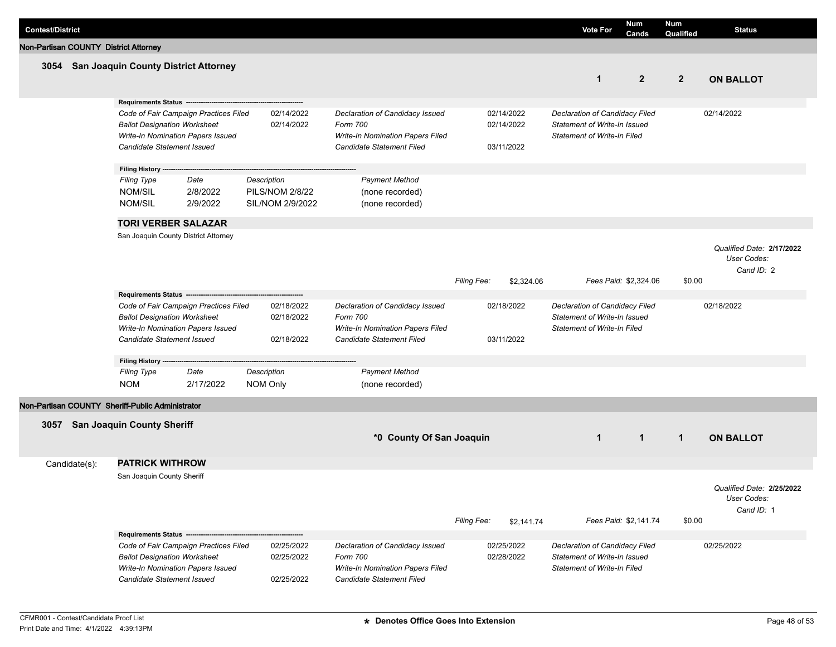| <b>Contest/District</b>               |                                                                                                        |                                                                                                 |                                                           |                                                                                                              |                    |                                        | <b>Vote For</b>                                                                               | Num<br>Cands          | Num<br>Qualified | <b>Status</b>                                          |
|---------------------------------------|--------------------------------------------------------------------------------------------------------|-------------------------------------------------------------------------------------------------|-----------------------------------------------------------|--------------------------------------------------------------------------------------------------------------|--------------------|----------------------------------------|-----------------------------------------------------------------------------------------------|-----------------------|------------------|--------------------------------------------------------|
| Non-Partisan COUNTY District Attorney |                                                                                                        |                                                                                                 |                                                           |                                                                                                              |                    |                                        |                                                                                               |                       |                  |                                                        |
|                                       | 3054 San Joaquin County District Attorney                                                              |                                                                                                 |                                                           |                                                                                                              |                    |                                        | $\mathbf{1}$                                                                                  | $\mathbf{2}$          | $\overline{2}$   | <b>ON BALLOT</b>                                       |
|                                       | Requirements Status ---------------                                                                    |                                                                                                 |                                                           |                                                                                                              |                    |                                        |                                                                                               |                       |                  |                                                        |
|                                       | <b>Ballot Designation Worksheet</b><br>Write-In Nomination Papers Issued<br>Candidate Statement Issued | Code of Fair Campaign Practices Filed                                                           | 02/14/2022<br>02/14/2022                                  | Declaration of Candidacy Issued<br>Form 700<br>Write-In Nomination Papers Filed<br>Candidate Statement Filed |                    | 02/14/2022<br>02/14/2022<br>03/11/2022 | Declaration of Candidacy Filed<br>Statement of Write-In Issued<br>Statement of Write-In Filed |                       |                  | 02/14/2022                                             |
|                                       | Filing History ----                                                                                    |                                                                                                 |                                                           |                                                                                                              |                    |                                        |                                                                                               |                       |                  |                                                        |
|                                       | <b>Filing Type</b><br><b>NOM/SIL</b><br><b>NOM/SIL</b>                                                 | Date<br>2/8/2022<br>2/9/2022                                                                    | Description<br><b>PILS/NOM 2/8/22</b><br>SIL/NOM 2/9/2022 | <b>Payment Method</b><br>(none recorded)<br>(none recorded)                                                  |                    |                                        |                                                                                               |                       |                  |                                                        |
|                                       | <b>TORI VERBER SALAZAR</b>                                                                             |                                                                                                 |                                                           |                                                                                                              |                    |                                        |                                                                                               |                       |                  |                                                        |
|                                       | San Joaquin County District Attorney                                                                   |                                                                                                 |                                                           |                                                                                                              | <b>Filing Fee:</b> | \$2,324.06                             |                                                                                               | Fees Paid: \$2,324.06 | \$0.00           | Qualified Date: 2/17/2022<br>User Codes:<br>Cand ID: 2 |
|                                       | <b>Requirements Status -</b>                                                                           |                                                                                                 |                                                           |                                                                                                              |                    |                                        |                                                                                               |                       |                  |                                                        |
|                                       | <b>Ballot Designation Worksheet</b><br>Write-In Nomination Papers Issued<br>Candidate Statement Issued | Code of Fair Campaign Practices Filed                                                           | 02/18/2022<br>02/18/2022<br>02/18/2022                    | Declaration of Candidacy Issued<br>Form 700<br>Write-In Nomination Papers Filed<br>Candidate Statement Filed |                    | 02/18/2022<br>03/11/2022               | Declaration of Candidacy Filed<br>Statement of Write-In Issued<br>Statement of Write-In Filed |                       |                  | 02/18/2022                                             |
|                                       | Filing History ---                                                                                     |                                                                                                 |                                                           |                                                                                                              |                    |                                        |                                                                                               |                       |                  |                                                        |
|                                       | <b>Filing Type</b><br><b>NOM</b>                                                                       | Date<br>2/17/2022                                                                               | Description<br>NOM Only                                   | <b>Payment Method</b><br>(none recorded)                                                                     |                    |                                        |                                                                                               |                       |                  |                                                        |
|                                       | Non-Partisan COUNTY Sheriff-Public Administrator                                                       |                                                                                                 |                                                           |                                                                                                              |                    |                                        |                                                                                               |                       |                  |                                                        |
| 3057                                  | <b>San Joaquin County Sheriff</b>                                                                      |                                                                                                 |                                                           | *0 County Of San Joaquin                                                                                     |                    |                                        | $\mathbf{1}$                                                                                  | $\mathbf{1}$          | $\mathbf{1}$     | <b>ON BALLOT</b>                                       |
| Candidate(s):                         | <b>PATRICK WITHROW</b>                                                                                 |                                                                                                 |                                                           |                                                                                                              |                    |                                        |                                                                                               |                       |                  |                                                        |
|                                       | San Joaquin County Sheriff                                                                             |                                                                                                 |                                                           |                                                                                                              | Filing Fee:        | \$2,141.74                             |                                                                                               | Fees Paid: \$2,141.74 | \$0.00           | Qualified Date: 2/25/2022<br>User Codes:<br>Cand ID: 1 |
|                                       | <b>Ballot Designation Worksheet</b><br>Write-In Nomination Papers Issued<br>Candidate Statement Issued | Requirements Status ----------------------------------<br>Code of Fair Campaign Practices Filed | 02/25/2022<br>02/25/2022<br>02/25/2022                    | Declaration of Candidacy Issued<br>Form 700<br>Write-In Nomination Papers Filed<br>Candidate Statement Filed |                    | 02/25/2022<br>02/28/2022               | Declaration of Candidacy Filed<br>Statement of Write-In Issued<br>Statement of Write-In Filed |                       |                  | 02/25/2022                                             |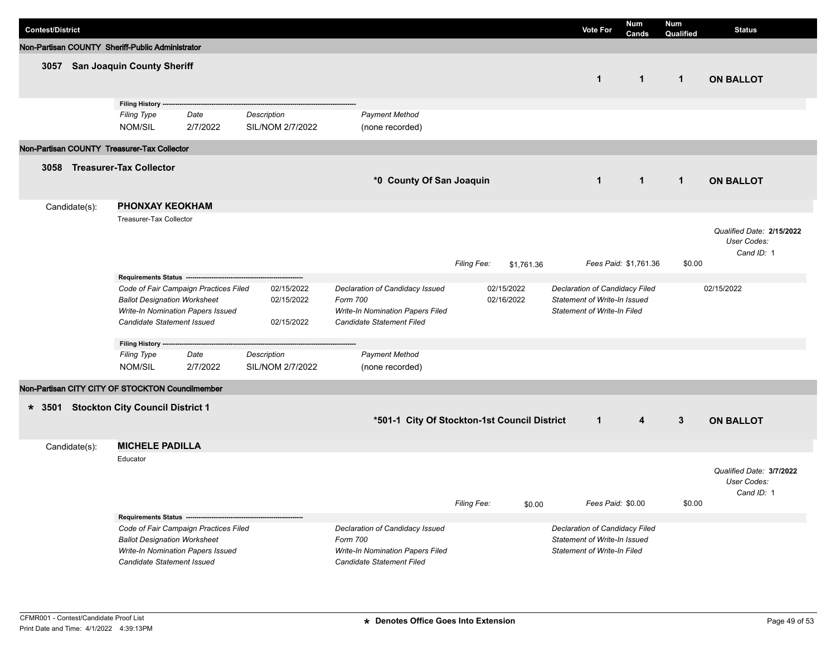| <b>Contest/District</b> |               |                                                                                                                                                 |                  |                                        |                                                                                                              |             |                          | <b>Vote For</b>                                                                                      | <b>Num</b><br>Cands   | <b>Num</b><br>Qualified | <b>Status</b>                                          |
|-------------------------|---------------|-------------------------------------------------------------------------------------------------------------------------------------------------|------------------|----------------------------------------|--------------------------------------------------------------------------------------------------------------|-------------|--------------------------|------------------------------------------------------------------------------------------------------|-----------------------|-------------------------|--------------------------------------------------------|
|                         |               | Non-Partisan COUNTY Sheriff-Public Administrator                                                                                                |                  |                                        |                                                                                                              |             |                          |                                                                                                      |                       |                         |                                                        |
| 3057                    |               | <b>San Joaquin County Sheriff</b>                                                                                                               |                  |                                        |                                                                                                              |             |                          | $\mathbf{1}$                                                                                         | $\mathbf{1}$          | $\mathbf{1}$            | <b>ON BALLOT</b>                                       |
|                         |               | Filing History -<br><b>Filing Type</b><br>NOM/SIL                                                                                               | Date<br>2/7/2022 | Description<br>SIL/NOM 2/7/2022        | <b>Payment Method</b><br>(none recorded)                                                                     |             |                          |                                                                                                      |                       |                         |                                                        |
|                         |               | Non-Partisan COUNTY Treasurer-Tax Collector                                                                                                     |                  |                                        |                                                                                                              |             |                          |                                                                                                      |                       |                         |                                                        |
| 3058                    |               | <b>Treasurer-Tax Collector</b>                                                                                                                  |                  |                                        | *0 County Of San Joaquin                                                                                     |             |                          | $\mathbf{1}$                                                                                         | $\mathbf{1}$          | $\mathbf{1}$            | <b>ON BALLOT</b>                                       |
|                         | Candidate(s): | <b>PHONXAY KEOKHAM</b>                                                                                                                          |                  |                                        |                                                                                                              |             |                          |                                                                                                      |                       |                         |                                                        |
|                         |               | Treasurer-Tax Collector                                                                                                                         |                  |                                        |                                                                                                              | Filing Fee: | \$1,761.36               |                                                                                                      | Fees Paid: \$1,761.36 | \$0.00                  | Qualified Date: 2/15/2022<br>User Codes:<br>Cand ID: 1 |
|                         |               | Requirements Status ---                                                                                                                         |                  |                                        |                                                                                                              |             |                          |                                                                                                      |                       |                         |                                                        |
|                         |               | Code of Fair Campaign Practices Filed<br><b>Ballot Designation Worksheet</b><br>Write-In Nomination Papers Issued<br>Candidate Statement Issued |                  | 02/15/2022<br>02/15/2022<br>02/15/2022 | Declaration of Candidacy Issued<br>Form 700<br>Write-In Nomination Papers Filed<br>Candidate Statement Filed |             | 02/15/2022<br>02/16/2022 | Declaration of Candidacy Filed<br>Statement of Write-In Issued<br><b>Statement of Write-In Filed</b> |                       |                         | 02/15/2022                                             |
|                         |               | Filing History ---                                                                                                                              |                  |                                        |                                                                                                              |             |                          |                                                                                                      |                       |                         |                                                        |
|                         |               | <b>Filing Type</b><br>NOM/SIL                                                                                                                   | Date<br>2/7/2022 | Description<br>SIL/NOM 2/7/2022        | <b>Payment Method</b><br>(none recorded)                                                                     |             |                          |                                                                                                      |                       |                         |                                                        |
|                         |               | Non-Partisan CITY CITY OF STOCKTON Councilmember                                                                                                |                  |                                        |                                                                                                              |             |                          |                                                                                                      |                       |                         |                                                        |
| $* 3501$                |               | <b>Stockton City Council District 1</b>                                                                                                         |                  |                                        | *501-1 City Of Stockton-1st Council District                                                                 |             |                          | $\mathbf{1}$                                                                                         | 4                     | $\mathbf{3}$            | <b>ON BALLOT</b>                                       |
|                         | Candidate(s): | <b>MICHELE PADILLA</b>                                                                                                                          |                  |                                        |                                                                                                              |             |                          |                                                                                                      |                       |                         |                                                        |
|                         |               | Educator                                                                                                                                        |                  |                                        |                                                                                                              | Filing Fee: | \$0.00                   | Fees Paid: \$0.00                                                                                    |                       | \$0.00                  | Qualified Date: 3/7/2022<br>User Codes:<br>Cand ID: 1  |
|                         |               | Requirements Status --<br>Code of Fair Campaign Practices Filed                                                                                 |                  |                                        | Declaration of Candidacy Issued                                                                              |             |                          | Declaration of Candidacy Filed                                                                       |                       |                         |                                                        |
|                         |               | <b>Ballot Designation Worksheet</b><br>Write-In Nomination Papers Issued<br>Candidate Statement Issued                                          |                  |                                        | Form 700<br>Write-In Nomination Papers Filed<br>Candidate Statement Filed                                    |             |                          | Statement of Write-In Issued<br><b>Statement of Write-In Filed</b>                                   |                       |                         |                                                        |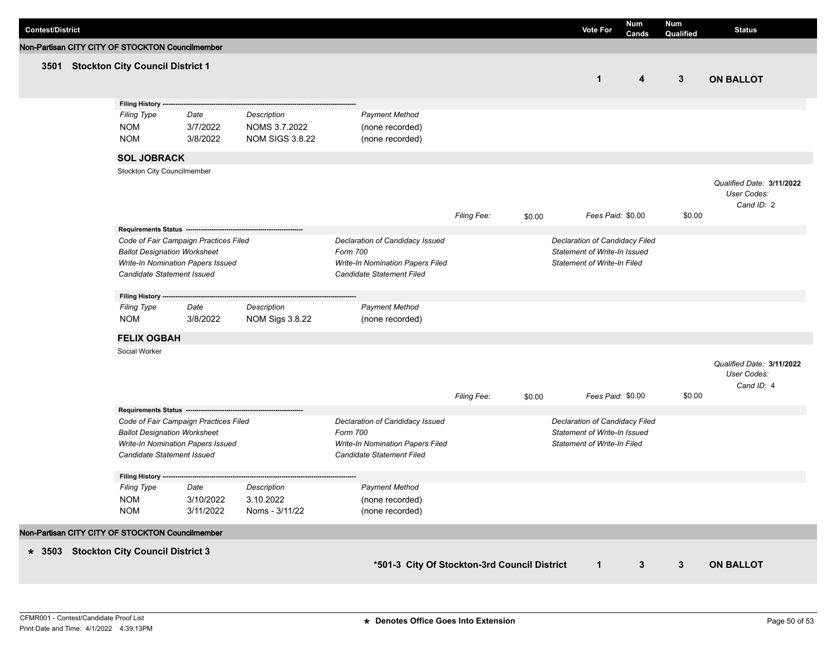| <b>Contest/District</b>                          |                                                                                                                                                 |                              |                                                        |                                                                                                              |             |        | <b>Vote For</b>                                                                                      | <b>Num</b><br>Cands | <b>Num</b><br>Qualified | <b>Status</b>                                          |
|--------------------------------------------------|-------------------------------------------------------------------------------------------------------------------------------------------------|------------------------------|--------------------------------------------------------|--------------------------------------------------------------------------------------------------------------|-------------|--------|------------------------------------------------------------------------------------------------------|---------------------|-------------------------|--------------------------------------------------------|
| Non-Partisan CITY CITY OF STOCKTON Councilmember |                                                                                                                                                 |                              |                                                        |                                                                                                              |             |        |                                                                                                      |                     |                         |                                                        |
|                                                  | 3501 Stockton City Council District 1                                                                                                           |                              |                                                        |                                                                                                              |             |        |                                                                                                      | 4                   | $\mathbf{3}$            | <b>ON BALLOT</b>                                       |
|                                                  | Filing History --                                                                                                                               |                              |                                                        |                                                                                                              |             |        |                                                                                                      |                     |                         |                                                        |
|                                                  | <b>Filing Type</b><br><b>NOM</b><br><b>NOM</b>                                                                                                  | Date<br>3/7/2022<br>3/8/2022 | Description<br>NOMS 3.7.2022<br><b>NOM SIGS 3.8.22</b> | <b>Payment Method</b><br>(none recorded)<br>(none recorded)                                                  |             |        |                                                                                                      |                     |                         |                                                        |
|                                                  | <b>SOL JOBRACK</b>                                                                                                                              |                              |                                                        |                                                                                                              |             |        |                                                                                                      |                     |                         |                                                        |
|                                                  | Stockton City Councilmember                                                                                                                     |                              |                                                        |                                                                                                              | Filing Fee: |        | Fees Paid: \$0.00                                                                                    |                     | \$0.00                  | Qualified Date: 3/11/2022<br>User Codes:<br>Cand ID: 2 |
|                                                  | Requirements Status -------                                                                                                                     |                              |                                                        |                                                                                                              |             | \$0.00 |                                                                                                      |                     |                         |                                                        |
|                                                  | Code of Fair Campaign Practices Filed<br><b>Ballot Designation Worksheet</b><br>Write-In Nomination Papers Issued<br>Candidate Statement Issued |                              |                                                        | Declaration of Candidacy Issued<br>Form 700<br>Write-In Nomination Papers Filed<br>Candidate Statement Filed |             |        | Declaration of Candidacy Filed<br>Statement of Write-In Issued<br><b>Statement of Write-In Filed</b> |                     |                         |                                                        |
|                                                  | Filing History ---                                                                                                                              |                              |                                                        |                                                                                                              |             |        |                                                                                                      |                     |                         |                                                        |
|                                                  | <b>Filing Type</b><br><b>NOM</b>                                                                                                                | Date<br>3/8/2022             | Description<br>NOM Sigs 3.8.22                         | <b>Payment Method</b><br>(none recorded)                                                                     |             |        |                                                                                                      |                     |                         |                                                        |
|                                                  | <b>FELIX OGBAH</b>                                                                                                                              |                              |                                                        |                                                                                                              |             |        |                                                                                                      |                     |                         |                                                        |
|                                                  | Social Worker                                                                                                                                   |                              |                                                        |                                                                                                              |             |        |                                                                                                      |                     |                         | Qualified Date: 3/11/2022<br>User Codes:<br>Cand ID: 4 |
|                                                  | Requirements Status -------------------                                                                                                         |                              |                                                        |                                                                                                              | Filing Fee: | \$0.00 | Fees Paid: \$0.00                                                                                    |                     | \$0.00                  |                                                        |
|                                                  | Code of Fair Campaign Practices Filed<br><b>Ballot Designation Worksheet</b><br>Write-In Nomination Papers Issued<br>Candidate Statement Issued |                              |                                                        | Declaration of Candidacy Issued<br>Form 700<br>Write-In Nomination Papers Filed<br>Candidate Statement Filed |             |        | Declaration of Candidacy Filed<br>Statement of Write-In Issued<br><b>Statement of Write-In Filed</b> |                     |                         |                                                        |
|                                                  | <b>Filing History</b><br><b>Filing Type</b>                                                                                                     | Date                         | Description                                            | <b>Payment Method</b>                                                                                        |             |        |                                                                                                      |                     |                         |                                                        |
|                                                  | <b>NOM</b><br><b>NOM</b>                                                                                                                        | 3/10/2022<br>3/11/2022       | 3.10.2022<br>Noms - 3/11/22                            | (none recorded)<br>(none recorded)                                                                           |             |        |                                                                                                      |                     |                         |                                                        |
| Non-Partisan CITY CITY OF STOCKTON Councilmember |                                                                                                                                                 |                              |                                                        |                                                                                                              |             |        |                                                                                                      |                     |                         |                                                        |
| * 3503 Stockton City Council District 3          |                                                                                                                                                 |                              |                                                        | *501-3 City Of Stockton-3rd Council District                                                                 |             |        | $\mathbf{1}$                                                                                         | $\mathbf{3}$        | $\mathbf{3}$            | <b>ON BALLOT</b>                                       |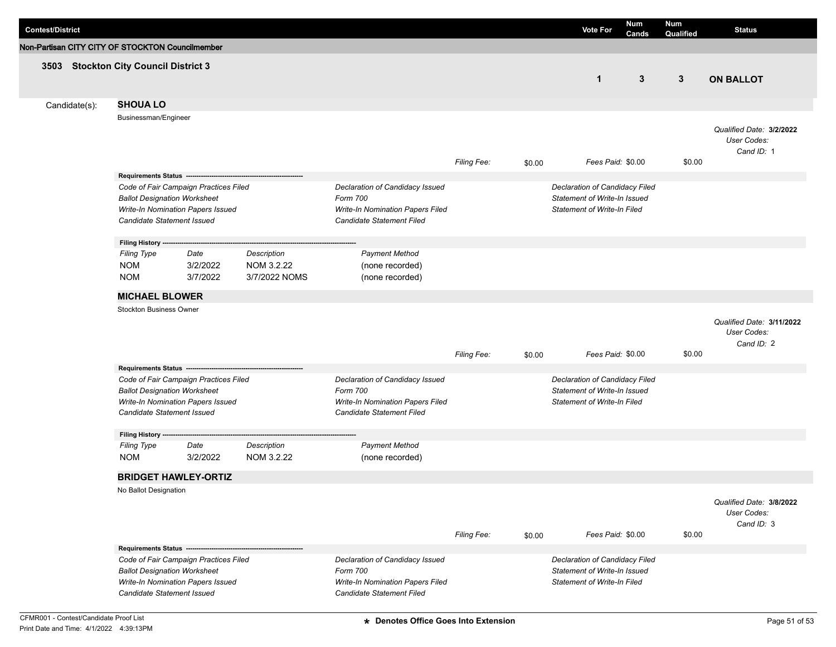| <b>Contest/District</b>                                                                                                                                                                 |                                                                                                                                                 |                              |                                                                                                                     |                                                                                                              |             |                   | <b>Vote For</b>                                                                                      | <b>Num</b><br>Cands | <b>Num</b><br>Qualified                               | <b>Status</b>                                          |
|-----------------------------------------------------------------------------------------------------------------------------------------------------------------------------------------|-------------------------------------------------------------------------------------------------------------------------------------------------|------------------------------|---------------------------------------------------------------------------------------------------------------------|--------------------------------------------------------------------------------------------------------------|-------------|-------------------|------------------------------------------------------------------------------------------------------|---------------------|-------------------------------------------------------|--------------------------------------------------------|
| Non-Partisan CITY CITY OF STOCKTON Councilmember                                                                                                                                        |                                                                                                                                                 |                              |                                                                                                                     |                                                                                                              |             |                   |                                                                                                      |                     |                                                       |                                                        |
| 3503 Stockton City Council District 3                                                                                                                                                   |                                                                                                                                                 |                              |                                                                                                                     |                                                                                                              |             |                   | $\mathbf{1}$                                                                                         | 3                   | 3                                                     | <b>ON BALLOT</b>                                       |
| Candidate(s):                                                                                                                                                                           | <b>SHOUA LO</b>                                                                                                                                 |                              |                                                                                                                     |                                                                                                              |             |                   |                                                                                                      |                     |                                                       |                                                        |
| Businessman/Engineer                                                                                                                                                                    |                                                                                                                                                 |                              |                                                                                                                     | Filing Fee:                                                                                                  | \$0.00      | Fees Paid: \$0.00 |                                                                                                      | \$0.00              | Qualified Date: 3/2/2022<br>User Codes:<br>Cand ID: 1 |                                                        |
|                                                                                                                                                                                         |                                                                                                                                                 |                              |                                                                                                                     |                                                                                                              |             |                   |                                                                                                      |                     |                                                       |                                                        |
| Requirements Status ----------------<br>Code of Fair Campaign Practices Filed<br><b>Ballot Designation Worksheet</b><br>Write-In Nomination Papers Issued<br>Candidate Statement Issued |                                                                                                                                                 |                              | Declaration of Candidacy Issued<br>Form 700<br><b>Write-In Nomination Papers Filed</b><br>Candidate Statement Filed | Declaration of Candidacy Filed<br>Statement of Write-In Issued<br><b>Statement of Write-In Filed</b>         |             |                   |                                                                                                      |                     |                                                       |                                                        |
|                                                                                                                                                                                         | Filing History ---                                                                                                                              |                              |                                                                                                                     |                                                                                                              |             |                   |                                                                                                      |                     |                                                       |                                                        |
|                                                                                                                                                                                         | Filing Type<br><b>NOM</b><br><b>NOM</b>                                                                                                         | Date<br>3/2/2022<br>3/7/2022 | Description<br>NOM 3.2.22<br>3/7/2022 NOMS                                                                          | <b>Payment Method</b><br>(none recorded)<br>(none recorded)                                                  |             |                   |                                                                                                      |                     |                                                       |                                                        |
|                                                                                                                                                                                         | <b>MICHAEL BLOWER</b>                                                                                                                           |                              |                                                                                                                     |                                                                                                              |             |                   |                                                                                                      |                     |                                                       |                                                        |
|                                                                                                                                                                                         | <b>Stockton Business Owner</b>                                                                                                                  |                              |                                                                                                                     |                                                                                                              | Filing Fee: |                   | Fees Paid: \$0.00                                                                                    |                     | \$0.00                                                | Qualified Date: 3/11/2022<br>User Codes:<br>Cand ID: 2 |
|                                                                                                                                                                                         |                                                                                                                                                 |                              |                                                                                                                     |                                                                                                              |             | \$0.00            |                                                                                                      |                     |                                                       |                                                        |
| Requirements Status ---<br>Code of Fair Campaign Practices Filed<br><b>Ballot Designation Worksheet</b><br>Write-In Nomination Papers Issued<br>Candidate Statement Issued              |                                                                                                                                                 |                              | Declaration of Candidacy Issued<br>Form 700<br>Write-In Nomination Papers Filed<br>Candidate Statement Filed        | Declaration of Candidacy Filed<br>Statement of Write-In Issued<br><b>Statement of Write-In Filed</b>         |             |                   |                                                                                                      |                     |                                                       |                                                        |
|                                                                                                                                                                                         | Filing History --                                                                                                                               |                              |                                                                                                                     |                                                                                                              |             |                   |                                                                                                      |                     |                                                       |                                                        |
|                                                                                                                                                                                         | <b>Filing Type</b><br><b>NOM</b>                                                                                                                | Date<br>3/2/2022             | Description<br>NOM 3.2.22                                                                                           | <b>Payment Method</b><br>(none recorded)                                                                     |             |                   |                                                                                                      |                     |                                                       |                                                        |
|                                                                                                                                                                                         |                                                                                                                                                 | <b>BRIDGET HAWLEY-ORTIZ</b>  |                                                                                                                     |                                                                                                              |             |                   |                                                                                                      |                     |                                                       |                                                        |
|                                                                                                                                                                                         | No Ballot Designation                                                                                                                           |                              |                                                                                                                     |                                                                                                              | Filing Fee: | \$0.00            | Fees Paid: \$0.00                                                                                    |                     | \$0.00                                                | Qualified Date: 3/8/2022<br>User Codes:<br>Cand ID: 3  |
|                                                                                                                                                                                         |                                                                                                                                                 |                              |                                                                                                                     |                                                                                                              |             |                   |                                                                                                      |                     |                                                       |                                                        |
|                                                                                                                                                                                         | Code of Fair Campaign Practices Filed<br><b>Ballot Designation Worksheet</b><br>Write-In Nomination Papers Issued<br>Candidate Statement Issued |                              |                                                                                                                     | Declaration of Candidacy Issued<br>Form 700<br>Write-In Nomination Papers Filed<br>Candidate Statement Filed |             |                   | Declaration of Candidacy Filed<br>Statement of Write-In Issued<br><b>Statement of Write-In Filed</b> |                     |                                                       |                                                        |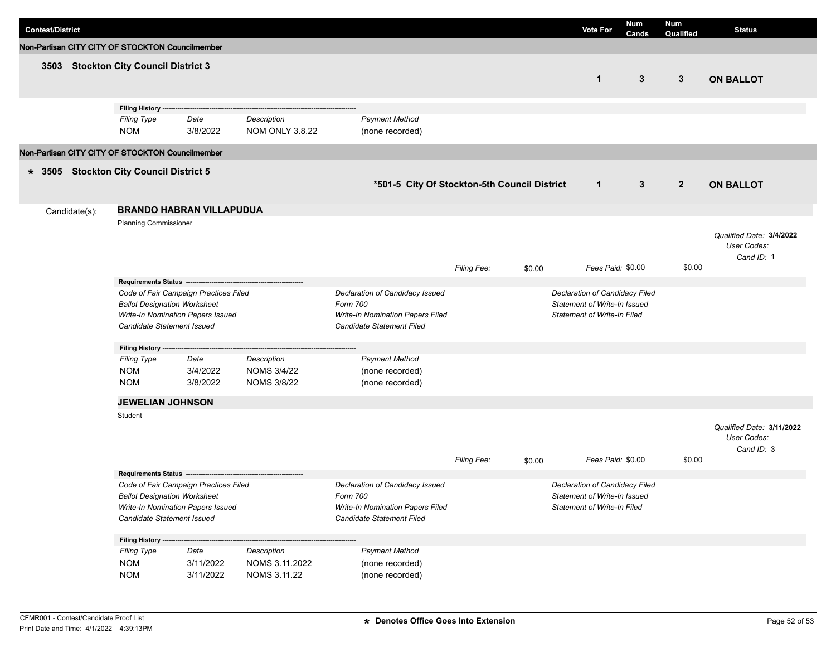| <b>Contest/District</b>                                                                                                                         |               |                                                                                        |                                                                                                              |                                                         |                                                                                                              |                                                                                                      |        | <b>Vote For</b>                                                                                      | <b>Num</b><br>Cands | Num<br>Qualified | <b>Status</b>                                          |
|-------------------------------------------------------------------------------------------------------------------------------------------------|---------------|----------------------------------------------------------------------------------------|--------------------------------------------------------------------------------------------------------------|---------------------------------------------------------|--------------------------------------------------------------------------------------------------------------|------------------------------------------------------------------------------------------------------|--------|------------------------------------------------------------------------------------------------------|---------------------|------------------|--------------------------------------------------------|
|                                                                                                                                                 |               | Non-Partisan CITY CITY OF STOCKTON Councilmember                                       |                                                                                                              |                                                         |                                                                                                              |                                                                                                      |        |                                                                                                      |                     |                  |                                                        |
|                                                                                                                                                 |               | 3503 Stockton City Council District 3                                                  |                                                                                                              |                                                         |                                                                                                              |                                                                                                      |        | $\mathbf{1}$                                                                                         | $3\phantom{.0}$     | 3                | <b>ON BALLOT</b>                                       |
|                                                                                                                                                 |               | Filing History ----<br><b>Filing Type</b><br><b>NOM</b>                                | Date<br>3/8/2022                                                                                             | Description<br><b>NOM ONLY 3.8.22</b>                   | <b>Payment Method</b><br>(none recorded)                                                                     |                                                                                                      |        |                                                                                                      |                     |                  |                                                        |
|                                                                                                                                                 |               | Non-Partisan CITY CITY OF STOCKTON Councilmember                                       |                                                                                                              |                                                         |                                                                                                              |                                                                                                      |        |                                                                                                      |                     |                  |                                                        |
|                                                                                                                                                 |               | * 3505 Stockton City Council District 5                                                |                                                                                                              |                                                         | *501-5 City Of Stockton-5th Council District                                                                 |                                                                                                      |        | $\mathbf{1}$                                                                                         | $\mathbf{3}$        | $\overline{2}$   | <b>ON BALLOT</b>                                       |
|                                                                                                                                                 | Candidate(s): |                                                                                        | <b>BRANDO HABRAN VILLAPUDUA</b>                                                                              |                                                         |                                                                                                              |                                                                                                      |        |                                                                                                      |                     |                  |                                                        |
|                                                                                                                                                 |               | <b>Planning Commissioner</b>                                                           |                                                                                                              |                                                         |                                                                                                              | Filing Fee:                                                                                          | \$0.00 | Fees Paid: \$0.00                                                                                    |                     | \$0.00           | Qualified Date: 3/4/2022<br>User Codes:<br>Cand ID: 1  |
|                                                                                                                                                 |               | Requirements Status -------------------                                                |                                                                                                              |                                                         |                                                                                                              |                                                                                                      |        |                                                                                                      |                     |                  |                                                        |
| Code of Fair Campaign Practices Filed<br><b>Ballot Designation Worksheet</b><br>Write-In Nomination Papers Issued<br>Candidate Statement Issued |               |                                                                                        | Declaration of Candidacy Issued<br>Form 700<br>Write-In Nomination Papers Filed<br>Candidate Statement Filed |                                                         |                                                                                                              | Declaration of Candidacy Filed<br>Statement of Write-In Issued<br><b>Statement of Write-In Filed</b> |        |                                                                                                      |                     |                  |                                                        |
|                                                                                                                                                 |               | Filing History ---                                                                     |                                                                                                              |                                                         |                                                                                                              |                                                                                                      |        |                                                                                                      |                     |                  |                                                        |
|                                                                                                                                                 |               | <b>Filing Type</b><br><b>NOM</b><br><b>NOM</b>                                         | Date<br>3/4/2022<br>3/8/2022                                                                                 | Description<br><b>NOMS 3/4/22</b><br><b>NOMS 3/8/22</b> | <b>Payment Method</b><br>(none recorded)<br>(none recorded)                                                  |                                                                                                      |        |                                                                                                      |                     |                  |                                                        |
|                                                                                                                                                 |               | <b>JEWELIAN JOHNSON</b>                                                                |                                                                                                              |                                                         |                                                                                                              |                                                                                                      |        |                                                                                                      |                     |                  |                                                        |
|                                                                                                                                                 |               | Student                                                                                |                                                                                                              |                                                         |                                                                                                              | Filing Fee:                                                                                          | \$0.00 | Fees Paid: \$0.00                                                                                    |                     | \$0.00           | Qualified Date: 3/11/2022<br>User Codes:<br>Cand ID: 3 |
|                                                                                                                                                 |               | <b>Requirements Status</b>                                                             |                                                                                                              |                                                         |                                                                                                              |                                                                                                      |        |                                                                                                      |                     |                  |                                                        |
|                                                                                                                                                 |               | <b>Ballot Designation Worksheet</b><br>Candidate Statement Issued<br>Filing History -- | Code of Fair Campaign Practices Filed<br>Write-In Nomination Papers Issued                                   |                                                         | Declaration of Candidacy Issued<br>Form 700<br>Write-In Nomination Papers Filed<br>Candidate Statement Filed |                                                                                                      |        | Declaration of Candidacy Filed<br>Statement of Write-In Issued<br><b>Statement of Write-In Filed</b> |                     |                  |                                                        |
|                                                                                                                                                 |               | <b>Filing Type</b><br><b>NOM</b><br><b>NOM</b>                                         | Date<br>3/11/2022<br>3/11/2022                                                                               | Description<br>NOMS 3.11.2022<br>NOMS 3.11.22           | <b>Payment Method</b><br>(none recorded)<br>(none recorded)                                                  |                                                                                                      |        |                                                                                                      |                     |                  |                                                        |